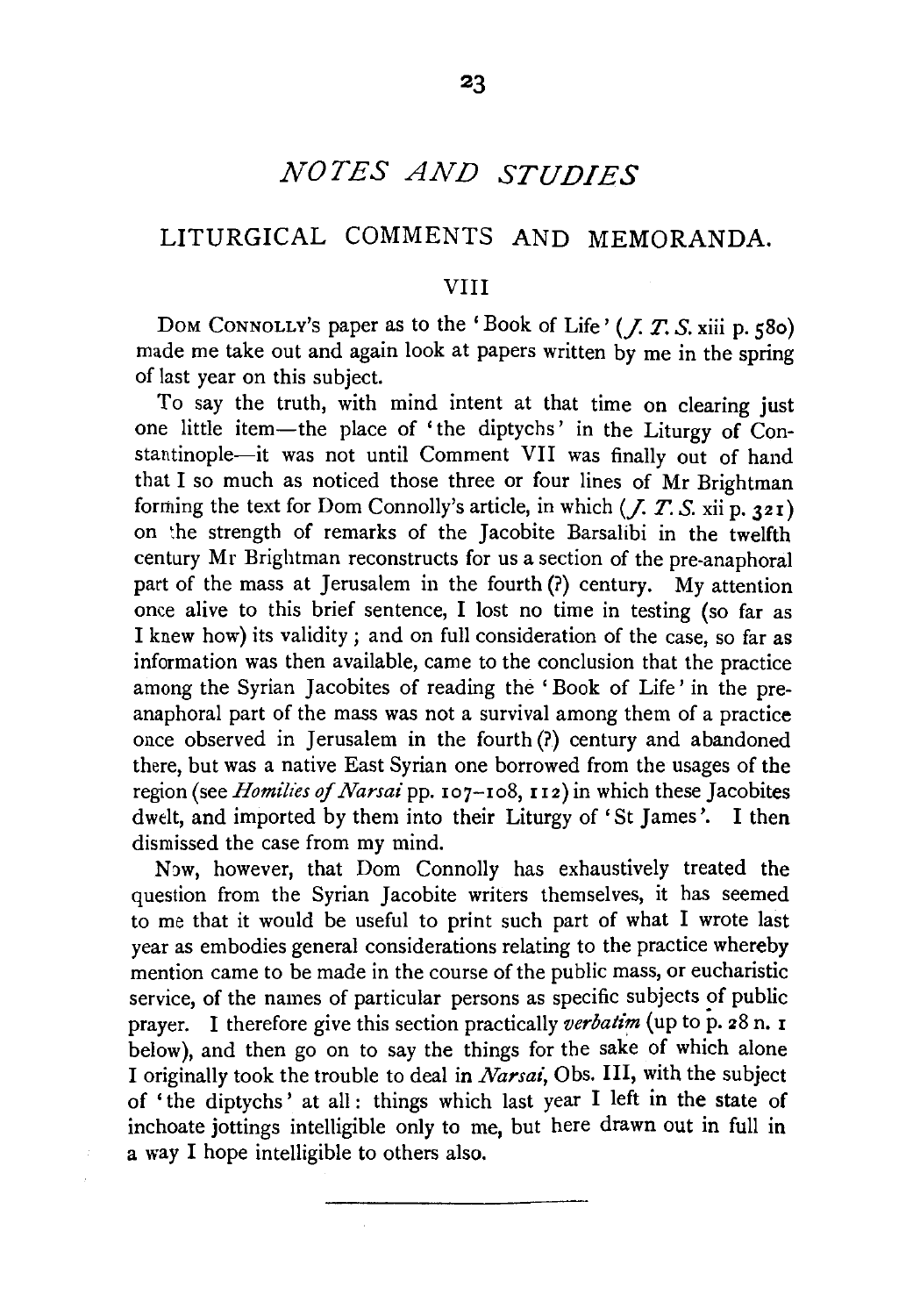## *NOTES AND STUDIES*

## LITURGICAL COMMENTS AND MEMORANDA.

### VIII

Dom Connolly's paper as to the 'Book of Life' (*J. T. S.* xiii p. 580) made me take out and again look at papers written by me in the spring of last year on this subject.

To say the truth, with mind intent at that time on clearing just one little item-the place of 'the diptychs' in the Liturgy of Constantinople-it was not until Comment VII was finally out of hand that I so much as noticed those three or four lines of Mr Brightman forming the text for Dom Connolly's article, in which  $(J, T, S, xii p. 321)$ on the strength of remarks of the Jacobite Barsalibi in the twelfth century Mr Brightman reconstructs for us a section of the pre-anaphoral part of the mass at Jerusalem in the fourth(?) century. My attention once alive to this brief sentence, I lost no time in testing (so far as I knew how) its validity; and on full consideration of the case, so far as information was then available, came to the conclusion that the practice among the Syrian Jacobites of reading the 'Book of Life' in the preanaphoral part of the mass was not a survival among them of a practice once observed in Jerusalem in the fourth (?) century and abandoned there, but was a native East Syrian one borrowed from the usages of the region (see *Homilies of Narsai* pp. 107-108, 112) in which these Jacobites dwelt, and imported by them into their Liturgy of 'St James'. I then dismissed the case from my mind.

Now, however, that Dom Connolly has exhaustively treated the question from the Syrian Jacobite writers themselves, it has seemed to me that it would be useful to print such part of what I wrote last year as embodies general considerations relating to the practice whereby mention came to be made in the course of the public mass, or eucharistic service, of the names of particular persons as specific subjects of public prayer. I therefore give this section practically *verbatim* (up to p. 28 n. I below), and then go on to say the things for the sake of which alone I originally took the trouble to deal in *Narsai*, Obs. III, with the subject of ' the diptychs ' at all : things which last year I left in the state of inchoate jottings intelligible only to me, but here drawn out in full in a way I hope intelligible to others also.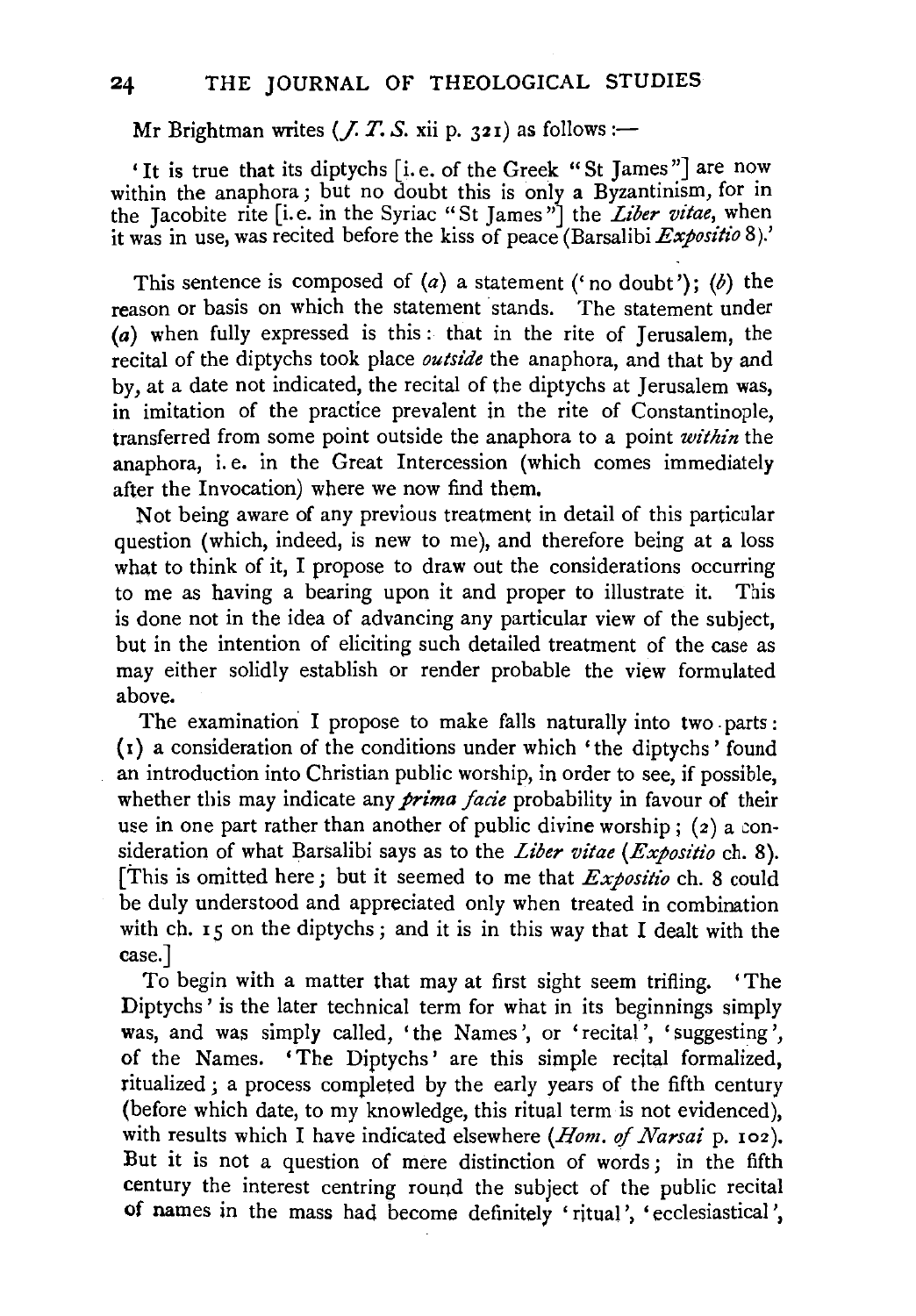#### Mr Brightman writes (*J. T. S.* xii p. 321) as follows:—

'It is true that its diptychs [i.e. of the Greek "St James"] are now within the anaphora; but no doubt this is only a Byzantinism, for in the Jacobite rite [i.e. in the Syriac "St James "] the *Liber vitae,* when it was in use, was recited before the kiss of peace (Barsalibi *Expositio* 8).'

This sentence is composed of  $(a)$  a statement ('no doubt'); (b) the reason or basis on which the statement stands. The statement under (a) when fully expressed is this: that in the rite of Jerusalem, the recital of the diptychs took place *outside* the anaphora, and that by and by, at a date not indicated, the recital of the diptychs at Jerusalem was, in imitation of the practice prevalent in the rite of Constantinople, transferred from some point outside the anaphora to a point *within* the anaphora, i.e. in the Great Intercession (which comes immediately after the Invocation) where we now find them.

Not being aware of any previous treatment in detail of this particular question (which, indeed, is new to me), and therefore being at a loss what to think of it, I propose to draw out the considerations occurring to me as having a bearing upon it and proper to illustrate it. This is done not in the idea of advancing any particular view of the subject, but in the intention of eliciting such detailed treatment of the case as may either solidly establish or render probable the view formulated above.

The examination I propose to make falls naturally into two. parts : (I) a consideration of the conditions under which 'the diptychs ' found an introduction into Christian public worship, in order to see, if possible, whether this may indicate any *prima facie* probability in favour of their use in one part rather than another of public divine worship; (2) a consideration of what Barsalibi says as to the *Liber vitae (Expositio* eh. 8). [This is omitted here; but it seemed to me that *Expositio* eh. 8 could be duly understood and appreciated only when treated in combination with eh. 15 on the diptychs; and it is in this way that I dealt with the case.]

To begin with a matter that may at first sight seem trifling. 'The Diptychs' is the later technical term for what in its beginnings simply was, and was simply called, 'the Names', or 'recital', 'suggesting', of the Names. 'The Diptychs' are this simple recital formalized, ritualized; a process completed by the early years of the fifth century (before which date, to my knowledge, this ritual term is not evidenced), with results which I have indicated elsewhere (*Hom. of Narsai* p. 102). But it is not a question of mere distinction of words; in the fifth century the interest centring round the subject of the public recital of names in the mass had become definitely 'ritual', 'ecclesiastical',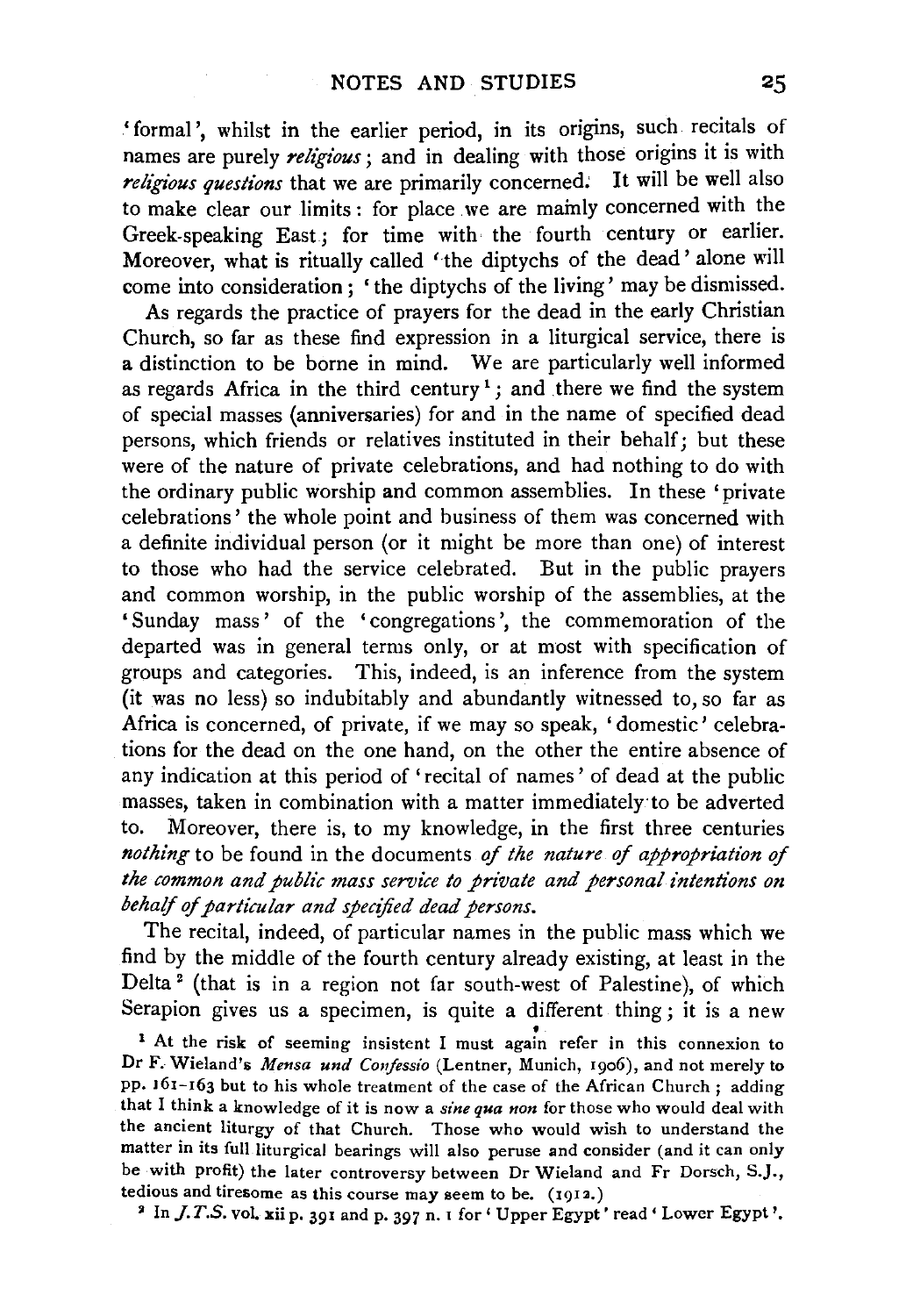'formal', whilst in the earlier period, in its origins, such recitals of names are purely *religious;* and in dealing with those origins it is with *religious questions* that we are primarily concerned. It will be well also to make clear our limits : for place we are mainly concerned with the Greek-speaking East; for time with the fourth century or earlier. Moreover, what is ritually called 'the diptychs of the dead' alone will come into consideration ; ' the diptychs of the living' may be dismissed.

As regards the practice of prayers for the dead in the early Christian Church, so far as these find expression in a liturgical service, there is a distinction to be borne in mind. We are particularly well informed as regards Africa in the third century<sup>1</sup>; and there we find the system of special masses (anniversaries) for and in the name of specified dead persons, which friends or relatives instituted in their behalf; but these were of the nature of private celebrations, and had nothing to do with the ordinary public worship and common assemblies. In these 'private celebrations' the whole point and business of them was concerned with a definite individual person (or it might be more than one) of interest to those who had the service celebrated. But in the public prayers and common worship, in the public worship of the assemblies, at the 'Sunday mass' of the 'congregations', the commemoration of the departed was in general terms only, or at most with specification of groups and categories. This, indeed, is an inference from the system (it was no less) so indubitably and abundantly witnessed to, so far as Africa is concerned, of private, if we may so speak, 'domestic' celebrations for the dead on the one hand, on the other the entire absence of any indication at this period of 'recital of names' of dead at the public masses, taken in combination with a matter immediately·to be adverted to. Moreover, there is, to my knowledge, in the first three centuries *nothing* to be found in the documents *of the nature* of *appropriation of the common and public mass service to private and personal intentions on behalf* of *particular and specified dead persons.* 

The recital, indeed, of particular names in the public mass which we find by the middle of the fourth century already existing, at least in the Delta<sup>2</sup> (that is in a region not far south-west of Palestine), of which Serapion gives us a specimen, is quite a different thing; it is a new

<sup>1</sup> At the risk of seeming insistent I must again refer in this connexion to Dr F. Wieland's *Mensa und Confessio* (Lentner, Munich, 1906), and not merely to pp.  $161-163$  but to his whole treatment of the case of the African Church; adding that I think a knowledge of it is now a *sine qua non* for those who would deal with the ancient liturgy of that Church. Those who would wish to understand the matter in its full liturgical bearings will also peruse and consider (and it can only be with profit) the later controversy between Dr Wieland and Fr Dorsch, S.J., tedious and tiresome as this course may seem to be. (1912.)<br><sup>2</sup> In *J. T. S.* vol. xii p. 391 and p. 397 n. 1 for ' Upper Egypt' read ' Lower Egypt'.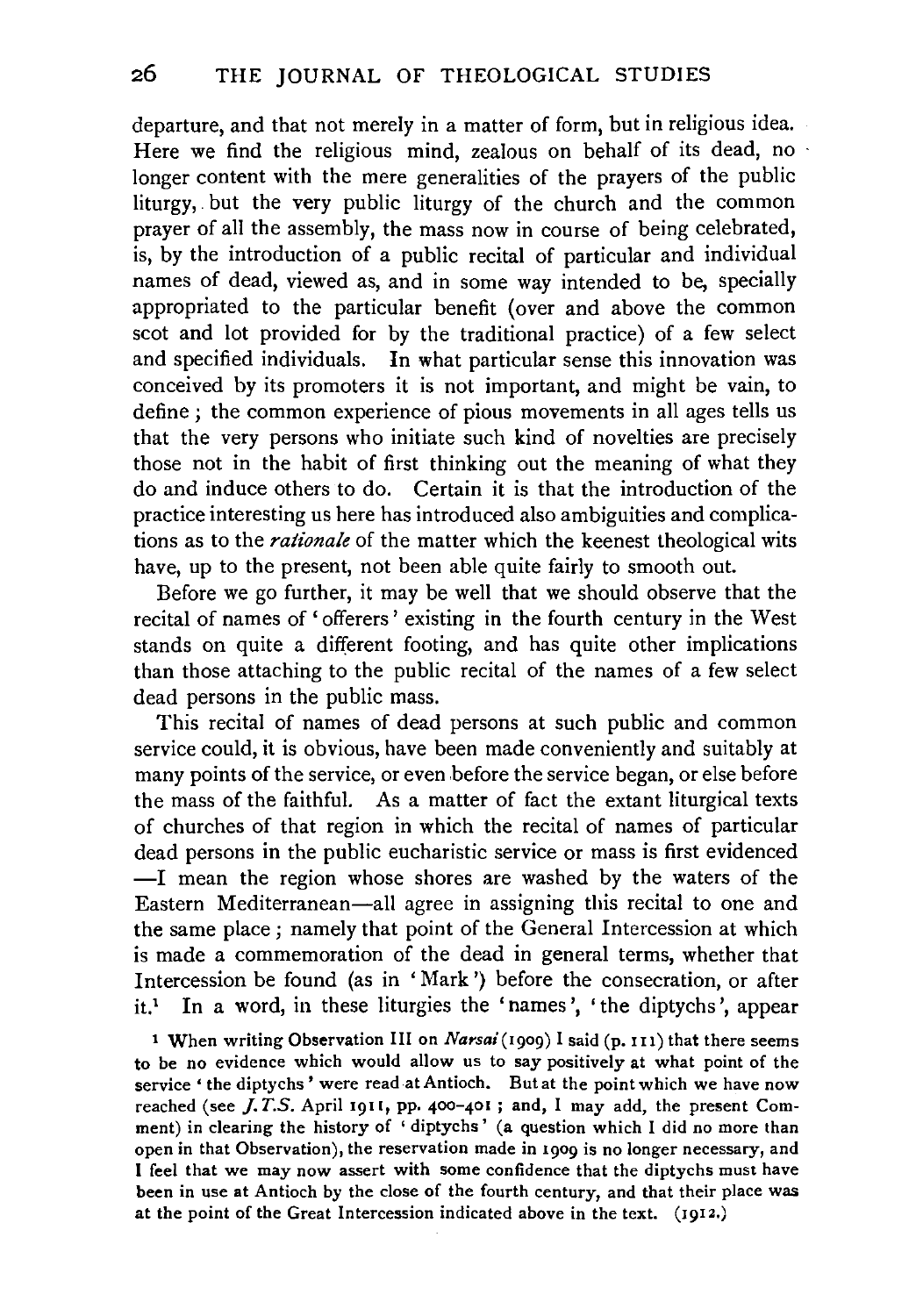departure, and that not merely in a matter of form, but in religious idea. Here we find the religious mind, zealous on behalf of its dead, no longer content with the mere generalities of the prayers of the public liturgy, but the very public liturgy of the church and the common prayer of all the assembly, the mass now in course of being celebrated, is, by the introduction of a public recital of particular and individual names of dead, viewed as, and in some way intended to be, specially appropriated to the particular benefit (over and above the common scot and lot provided for by the traditional practice) of a few select and specified individuals. In what particular sense this innovation was conceived by its promoters it is not important, and might be vain, to define ; the common experience of pious movements in all ages tells us that the very persons who initiate such kind of novelties are precisely those not in the habit of first thinking out the meaning of what they do and induce others to do. Certain it is that the introduction of the practice interesting us here has introduced also ambiguities and complications as to the *rationale* of the matter which the keenest theological wits have, up to the present, not been able quite fairly to smooth out.

Before we go further, it may be well that we should observe that the recital of names of' offerers' existing in the fourth century in the West stands on quite a different footing, and has quite other implications than those attaching to the public recital of the names of a few select dead persons in the public mass.

This recital of names of dead persons at such public and common service could, it is obvious, have been made conveniently and suitably at many points of the service, or even before the service began, or else before the mass of the faithful. As a matter of fact the extant liturgical texts of churches of that region in which the recital of names of particular dead persons in the public eucharistic service or mass is first evidenced -I mean the region whose shores are washed by the waters of the Eastern Mediterranean-all agree in assigning this recital to one and the same place ; namely that point of the General Intercession at which is made a commemoration of the dead in general terms, whether that Intercession be found (as in 'Mark') before the consecration, or after it.1 In a word, in these liturgies the 'names', 'the diptychs ', appear

1 When writing Observation Ill on *Narsai(1909)* I said (p. 111) that there seems to be no evidence which would allow us to say positively at what point of the service 'the diptychs' were read at Antioch. But at the point which we have now reached (see *].* T.S. April 1911, pp. 400-401 ; and, I may add, the present Comment) in clearing the history of ' diptychs' (a question which I did no more than open in that Observation), the reservation made in 1909 is no longer necessary, and I feel that we may now assert with some confidence that the diptychs must have been in use at Antioch by the close of the fourth century, and that their place was at the point of the Great Intercession indicated above in the text. (1912.)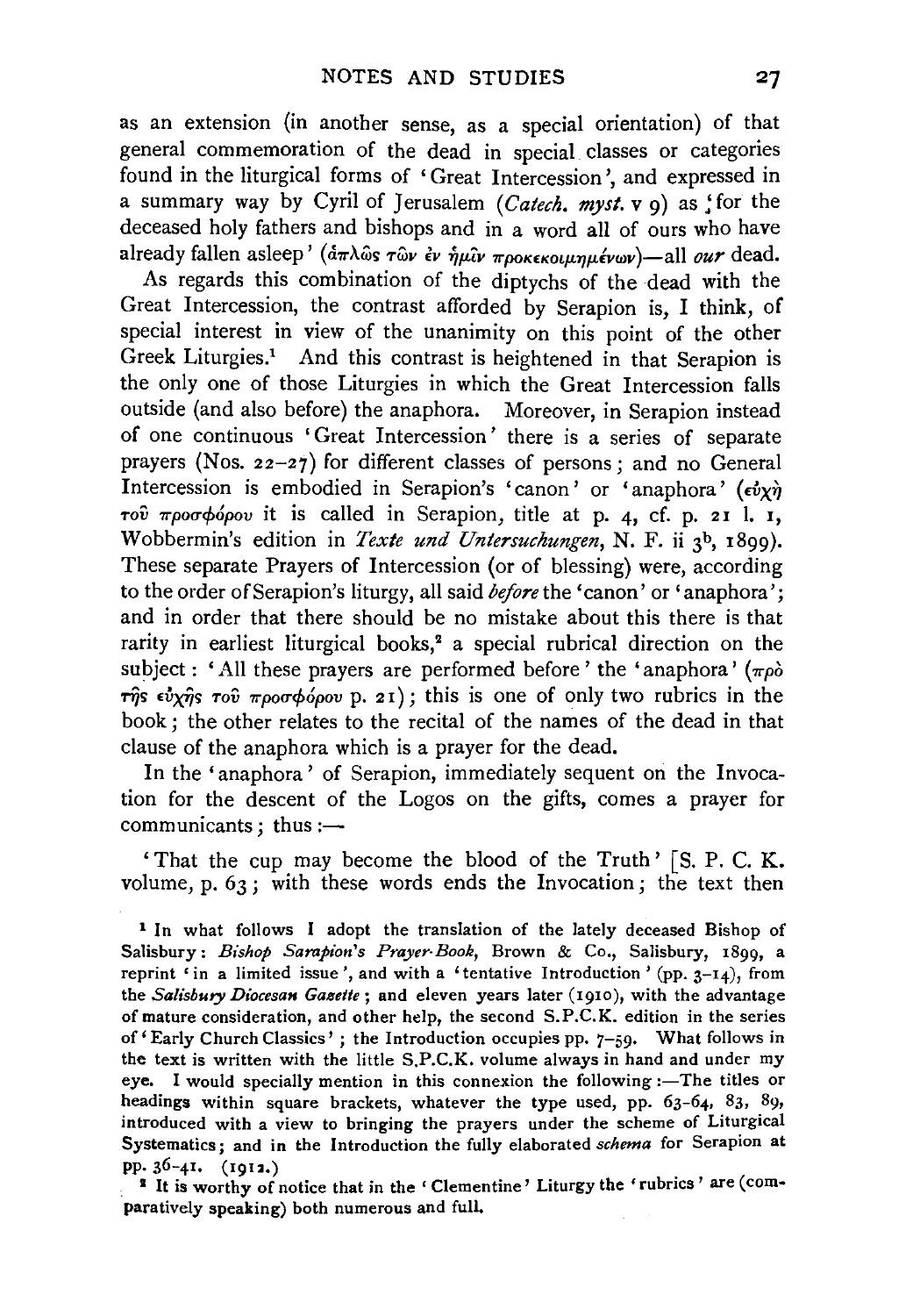as an extension (in another sense, as a special orientation) of that general commemoration of the dead in special classes or categories found in the liturgical forms of ' Great Intercession', and expressed in a summary way by Cyril of Jerusalem (Catech. myst. v 9) as 'for the deceased holy fathers and bishops and in a word all of ours who have already fallen asleep<sup>,</sup> (άπλῶς τῶν ἐν ἡμῖν προκεκοιμημένων)-all our dead.

As regards this combination of the diptychs of the dead with the Great Intercession, the contrast afforded by Serapion is, I think, of special interest in view of the unanimity on this point of the other Greek Liturgies.<sup>1</sup> And this contrast is heightened in that Serapion is the only one of those Liturgies in which the Great Intercession falls outside (and also before) the anaphora. Moreover, in Serapion instead of one continuous 'Great Intercession ' there is a series of separate prayers (Nos.  $22-27$ ) for different classes of persons; and no General Intercession is embodied in Serapion's 'canon' or 'anaphora' ( $\epsilon \psi x \gamma$ )  $\tau$ ov  $\pi$ *po* $\sigma$  $\phi$ *ópov* it is called in Serapion, title at p. 4, cf. p. 21 l. I, Wobbermin's edition in *Texte und Untersuchungen,* N. F. ii 3b, 1899). These separate Prayers of Intercession (or of blessing) were, according to the order of Serapion's liturgy, all said *before* the 'canon' or 'anaphora'; and in order that there should be no mistake about this there is that rarity in earliest liturgical books,<sup>2</sup> a special rubrical direction on the subject: 'All these prayers are performed before' the 'anaphora'  $(\pi \rho \delta)$ *Ths* εύχης του προσφόρου p. 21); this is one of only two rubrics in the book ; the other relates to the recital of the names of the dead in that clause of the anaphora which is a prayer for the dead.

In the 'anaphora' of Serapion, immediately sequent on the Invocation for the descent of the Logos on the gifts, comes a prayer for communicants; thus  $:=$ 

'That the cup may become the blood of the Truth' [S. P. C. K. volume, p. 63; with these words ends the Invocation; the text then

1 In what follows I adopt the translation of the lately deceased Bishop of Salisbury: *Bishop Sarapion's Prayer-Book,* Brown & Co., Salisbury, 1899, a reprint 'in a limited issue', and with a 'tentative Introduction' (pp.  $3-14$ ), from the *Salisbury Diocesan Gazette*; and eleven years later (1910), with the advantage of mature consideration, and other help, the second S.P.C.K. edition in the series of' Early Church Classics' ; the Introduction occupies pp. *7-59·* What follows in the text is written with the little S.P.C.K. volume always in hand and under my eye. I would specially mention in this connexion the following :- The titles or headings within square brackets, whatever the type used, pp. 63-64, 83, 89, introduced with a view to bringing the prayers under the scheme of Liturgical Systematics; and in the Introduction the fully elaborated *schema* for Serapion at pp.  $36-41.$  (1912.)

<sup>2</sup> It is worthy of notice that in the 'Clementine' Liturgy the 'rubrics' are (comparatively speaking) both numerous and full.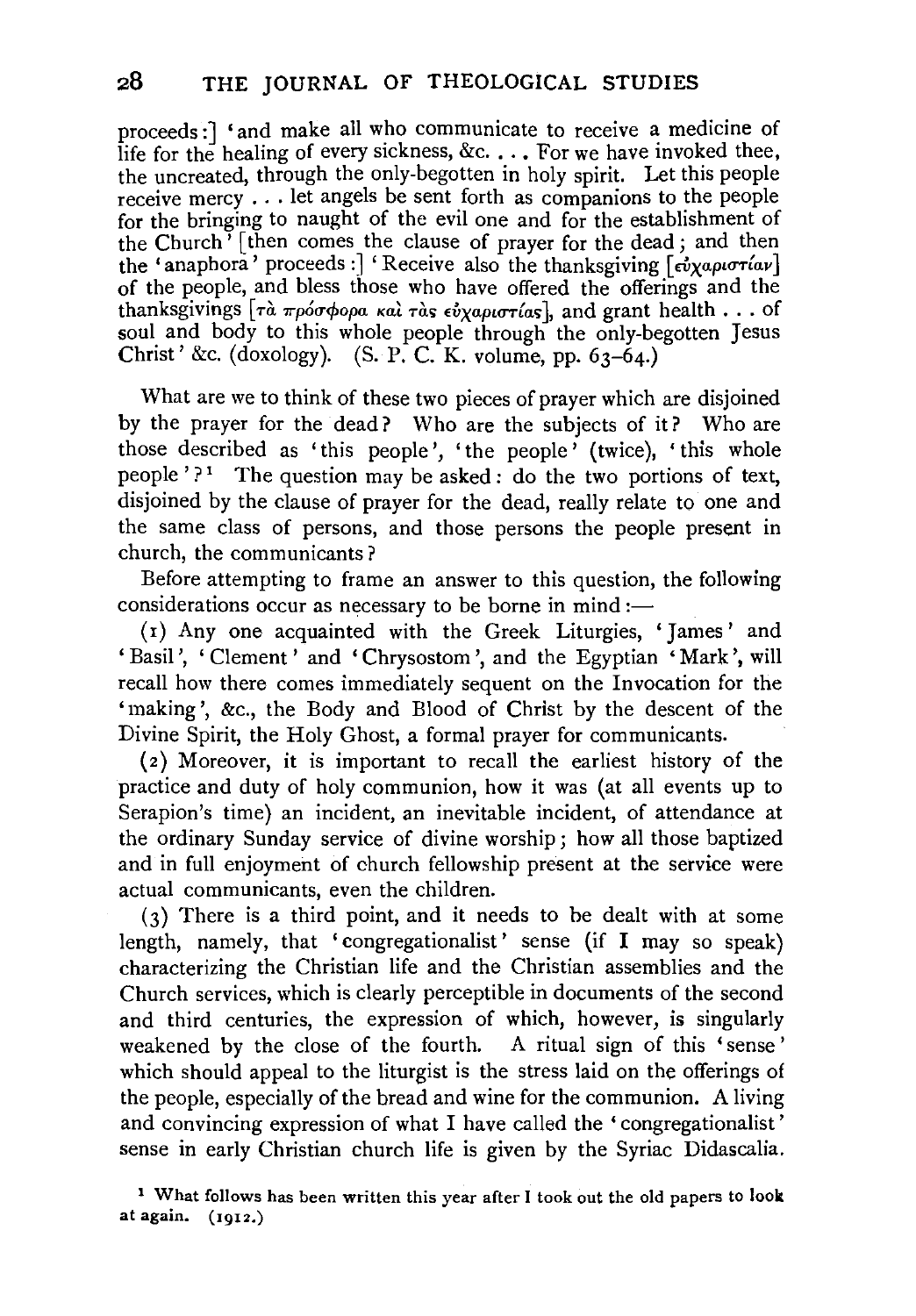proceeds:] 'and make all who communicate to receive a medicine of life for the healing of every sickness, &c.  $\ldots$ . For we have invoked thee, the uncreated, through the only-begotten in holy spirit. Let this people receive mercy ... let angels be sent forth as companions to the people for the bringing to naught of the evil one and for the establishment of the Church<sup>'</sup> [then comes the clause of prayer for the dead; and then the 'anaphora' proceeds:  $\int$  'Receive also the thanksgiving  $\lceil e^{i\theta} \chi a \rho u \sigma r \rceil$ of the people, and bless those who have offered the offerings and the thanksgivings  $[\tau \alpha \pi \rho \omega \phi \phi \rho \alpha \kappa \alpha \omega \tau \alpha \sigma \omega \sigma \omega \sigma \omega \sigma \omega \sigma \omega]$ , and grant health ... of soul and body to this whole people through the only-begotten Jesus Christ' &c. (doxology). (S. P. C. K. volume, pp. 63-64.)

What are we to think of these two pieces of prayer which are disjoined by the prayer for the dead? Who are the subjects of it? Who are those described as 'this people', 'the people' (twice), 'this whole people  $'$ ?<sup>1</sup> The question may be asked: do the two portions of text, disjoined by the clause of prayer for the dead, really relate to one and the same class of persons, and those persons the people present in church, the communicants?

Before attempting to frame an answer to this question, the following considerations occur as necessary to be borne in mind :-

(I) Any one acquainted with the Greek Liturgies, 'James' and 'Basil', 'Clement' and 'Chrysostom', and the Egyptian 'Mark', will recall how there comes immediately sequent on the Invocation for the 'making', &c., the Body and Blood of Christ by the descent of the Divine Spirit, the Holy Ghost, a formal prayer for communicants.

( 2) Moreover, it is important to recall the earliest history of the practice and duty of holy communion, how it was (at all events up to Serapion's time) an incident, an inevitable incident, of attendance at the ordinary Sunday service of divine worship; how all those baptized and in full enjoyment of church fellowship present at the service were actual communicants, even the children.

(3) There is a third point, and it needs to be dealt with at some length, namely, that 'congregationalist' sense (if I may so speak) characterizing the Christian life and the Christian assemblies and the Church services, which is clearly perceptible in documents of the second and third centuries, the expression of which, however, is singularly weakened by the close of the fourth. A ritual sign of this 'sense ' which should appeal to the liturgist is the stress laid on the offerings of the people, especially of the bread and wine for the communion. A living and convincing expression of what I have called the 'congregationalist' sense in early Christian church life is given by the Syriac Didascalia.

<sup>1</sup> What follows has been written this year after I took out the old papers to look at again. (1912.)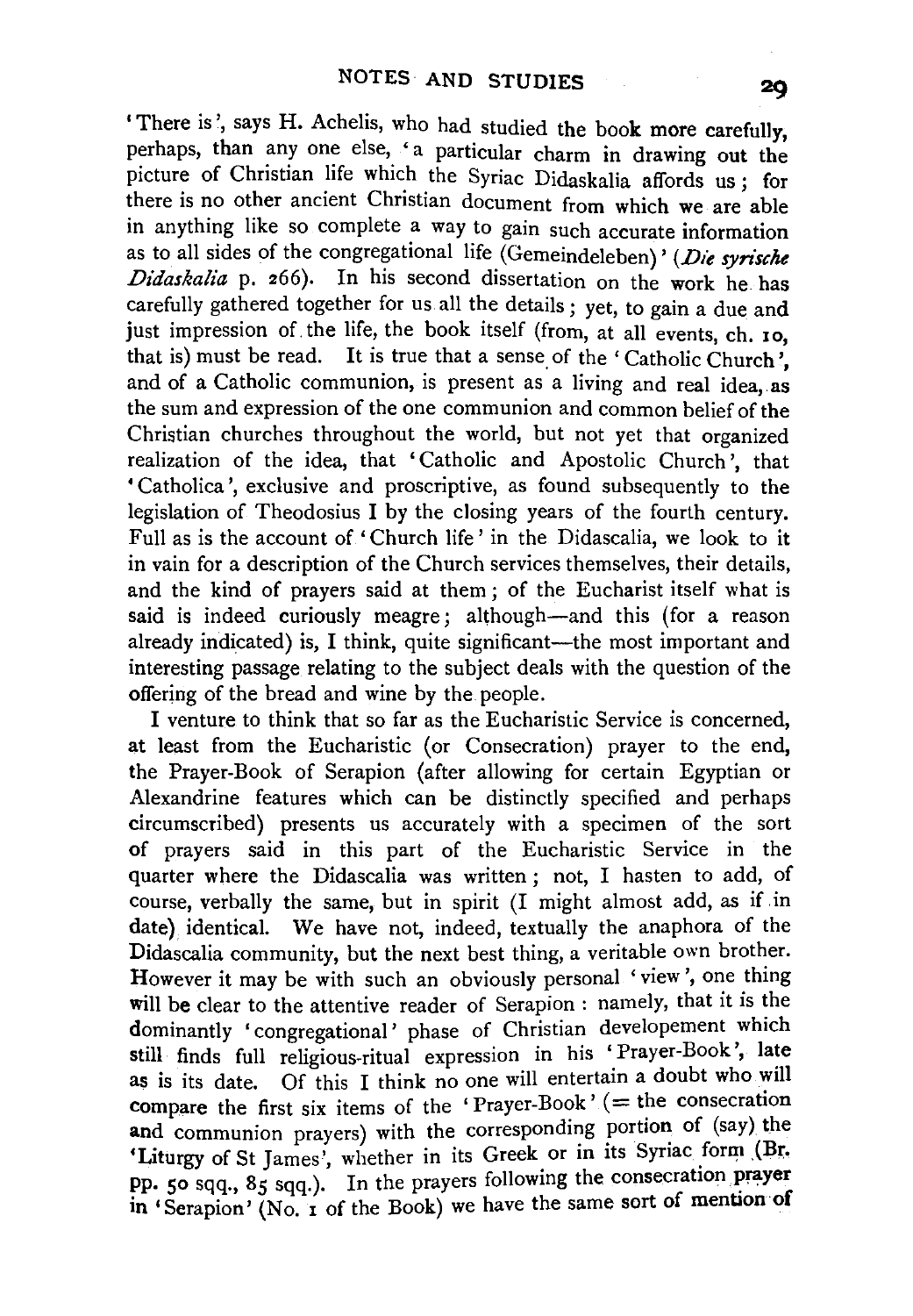' There is', says H. Achelis, who had studied the book more carefully, perhaps, than any one else, 'a particular charm in drawing out the picture of Christian life which the Syriac Didaskalia affords us; for there is no other ancient Christian document from which we are able in anything like so complete a way to gain such accurate information as to all sides of the congregational life (Gemeindeleben)' *(.Die synsche .Didaskalia* p. 266). In his second dissertation on the work he has carefully gathered together for us all the details; yet, to gain a due and just impression of the life, the book itself (from, at all events, ch. 10, that is) must be read. It is true that a sense of the 'Catholic Church', and of a Catholic communion, is present as a living and real idea, as the sum and expression of the one communion and common belief of the Christian churches throughout the world, but not yet that organized realization of the idea, that 'Catholic and Apostolic Church', that 'Catholica ', exclusive and proscriptive, as found subsequently to the legislation of Theodosius I by the closing years of the fourth century. Full as is the account of 'Church life' in the Didascalia, we look to it in vain for a description of the Church services themselves, their details, and the kind of prayers said at them; of the Eucharist itself what is said is indeed curiously meagre; although-and this (for a reason already indicated) is, I think, quite significant-the most important and interesting passage relating to the subject deals with the question of the offering of the bread and wine by the people.

I venture to think that so far as the Eucharistic Service is concerned, at least from the Eucharistic (or Consecration) prayer to the end, the Prayer-Book of Serapion (after allowing for certain Egyptian or Alexandrine features which can be distinctly specified and perhaps circumscribed) presents us accurately with a specimen of the sort of prayers said in this part of the Eucharistic Service in the quarter where the Didascalia was written; not, I hasten to add, of course, verbally the same, but in spirit (I might almost add, as if in date) identical. We have not, indeed, textually the anaphora of the Didascalia community, but the next best thing, a veritable own brother. However it may be with such an obviously personal 'view', one thing will be clear to the attentive reader of Serapion : namely, that it is the dominantly 'congregational' phase of Christian developement which still finds full religious-ritual expression in his 'Prayer-Book', late as is its date. Of this I think no one will entertam a doubt who will compare the first six items of the 'Prayer-Book' ( $=$  the consecration and communion prayers) with the corresponding portion of (say) the 'Liturgy of St James', whether in its Greek or in its Syriac form (Br. pp. 50 sqq., 85 sqq.). In the prayers following the consecration prayer in 'Serapion' (No. 1 of the Book) we have the same sort of mention of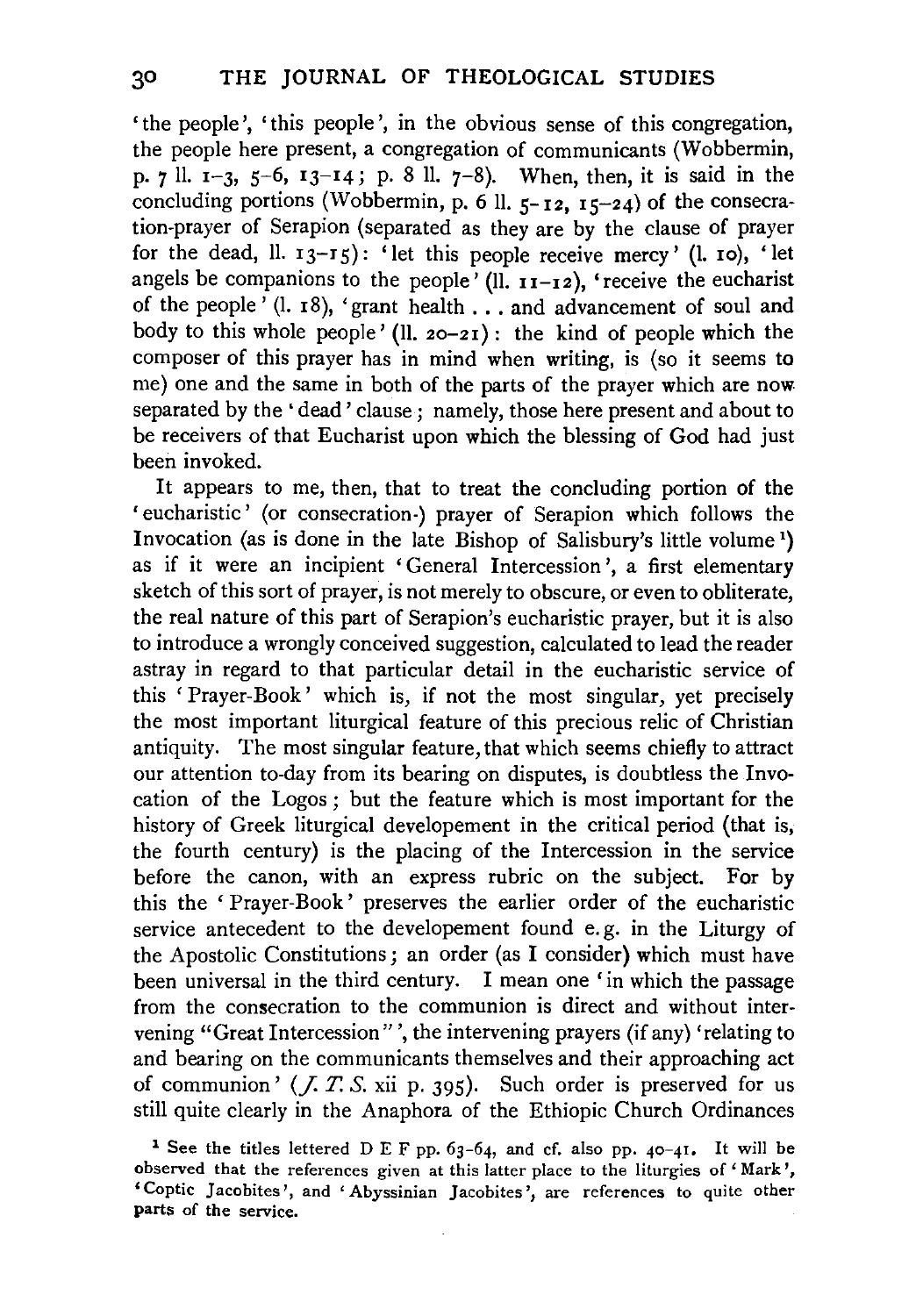'the people', 'this people', in the obvious sense of this congregation, the people here present, a congregation of communicants (Wobbermin, p. 7 ll.  $I-3$ ,  $5-6$ ,  $I3-I4$ ; p. 8 ll.  $7-8$ ). When, then, it is said in the concluding portions (Wobbermin, p. 6 ll.  $5-12$ ,  $15-24$ ) of the consecration-prayer of Serapion (separated as they are by the clause of prayer for the dead, ll.  $13-15$ ): 'let this people receive mercy' (l. 10), 'let angels be companions to the people' (ll.  $11-12$ ), 'receive the eucharist of the people ' (l. 18), 'grant health . . . and advancement of soul and body to this whole people' (ll.  $20-21$ ): the kind of people which the composer of this prayer has in mind when writing, is (so it seems to me) one and the same in both of the parts of the prayer which are now separated by the 'dead ' clause ; namely, those here present and about to be receivers of that Eucharist upon which the blessing of God had just been invoked.

It appears to me, then, that to treat the concluding portion of the 'eucharistic' (or consecration·) prayer of Serapion which follows the Invocation (as is done in the late Bishop of Salisbury's little volume 1) as if it were an incipient 'General Intercession', a first elementary sketch of this sort of prayer, is not merely to obscure, or even to obliterate, the real nature of this part of Serapion's eucharistic prayer, but it is also to introduce a wrongly conceived suggestion, calculated to lead the reader astray in regard to that particular detail in the eucharistic service of this 'Prayer-Book' which is, if not the most singular, yet precisely the most important liturgical feature of this precious relic of Christian antiquity. The most singular feature, that which seems chiefly to attract our attention to-day from its bearing on disputes, is doubtless the Invocation of the Logos ; but the feature which is most important for the history of Greek liturgical developement in the critical period (that is, the fourth century) is the placing of the Intercession in the service before the canon, with an express rubric on the subject. For by this the ' Prayer-Book' preserves the earlier order of the eucharistic service antecedent to the developement found e. g. in the Liturgy of the Apostolic Constitutions; an order (as I consider) which must have been universal in the third century. I mean one 'in which the passage from the consecration to the communion is direct and without intervening "Great Intercession"', the intervening prayers (if any) 'relating to and bearing on the communicants themselves and their approaching act of communion' (J. *T.* S. xii p. 395). Such order is preserved for us still quite clearly in the Anaphora of the Ethiopic Church Ordinances

<sup>&</sup>lt;sup>1</sup> See the titles lettered D E F pp. 63-64, and cf. also pp.  $40-41$ . It will be observed that the references given at this latter place to the liturgies of ' Mark', 'Coptic Jacobites', and 'Abyssinian Jacobites', are references to quite other parts of the service.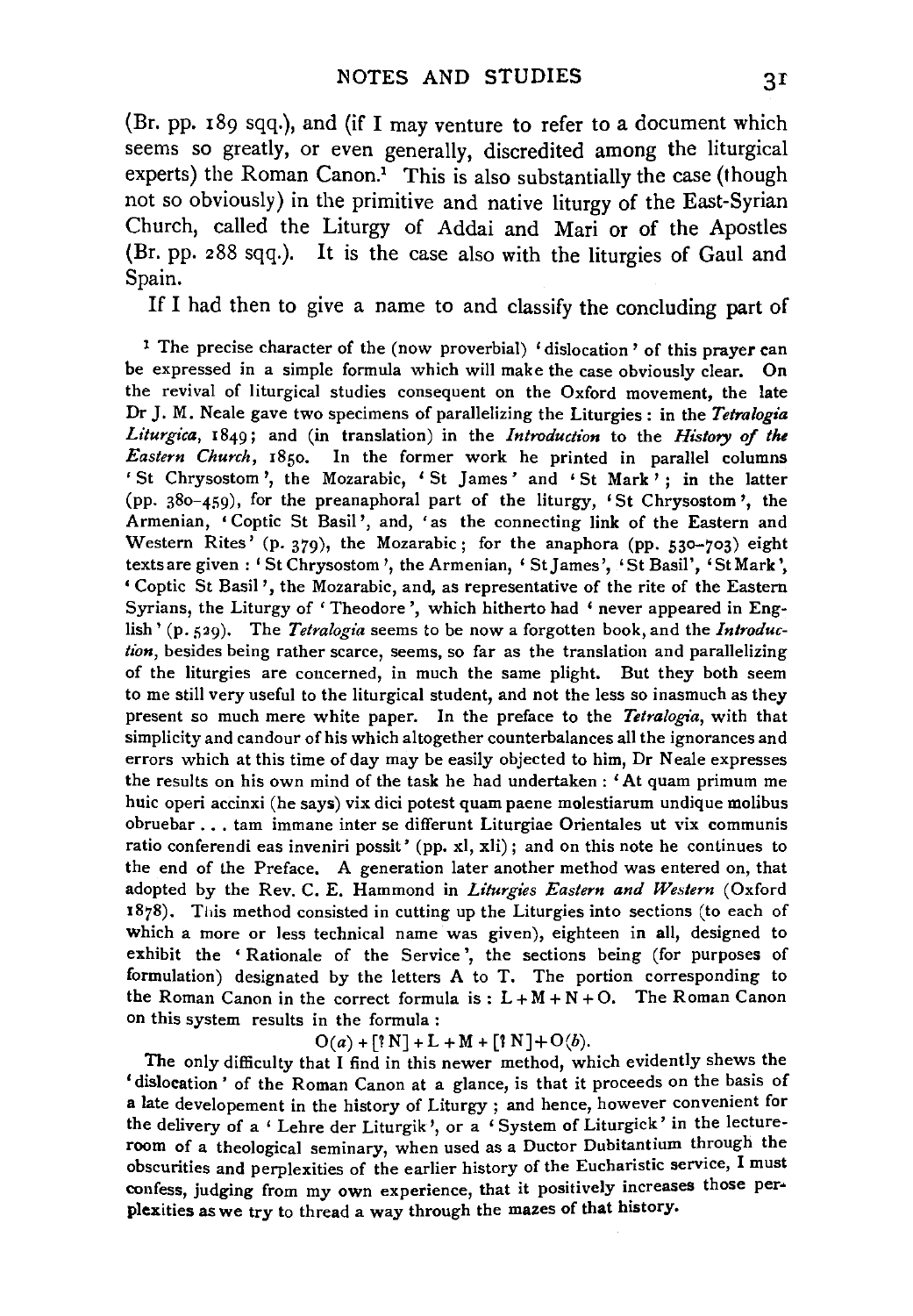(Er. pp. 189 sqq.), and (if I may venture to refer to a document which seems so greatly, or even generally, discredited among the liturgical experts) the Roman Canon.<sup>1</sup> This is also substantially the case (though not so obviously) in the primitive and native liturgy of the East-Syrian Church, called the Liturgy of Addai and Mari or of the Apostles (Er. pp. 288 sqq.). It is the case also with the liturgies of Gaul and Spain.

If I had then to give a name to and classify the concluding part of

<sup>1</sup> The precise character of the (now proverbial) 'dislocation' of this prayer can be expressed in a simple formula which will make the case obviously clear. On the revival of liturgical studies consequent on the Oxford movement, the late Dr J. M. Neale gave two specimens of parallelizing the Liturgies : in the *Tetralogia Liturgica,* 1849; and (in translation) in the *Introduction* to the *History of the Eastern Church,* 185o. In the former work he printed in parallel columns 'St Chrysostom ', the Mozarabic, 'St James' and 'St Mark' ; in the latter (pp. 380-459), for the preanaphoral part of the liturgy, 'St Chrysostom ', the Armenian, 'Coptic St Basil', and, 'as the connecting link of the Eastern and Western Rites' (p. 379), the Mozarabic; for the anaphora (pp.  $530-703$ ) eight texts are given: 'St Chrysostom', the Armenian, 'St James', 'St Basil', 'St Mark', ' Coptic St Basil', the Mozarabic, and, as representative of the rite of the Eastern Syrians, the Liturgy of 'Theodore ', which hitherto had 'never appeared in English' (p. 529). The *Tetralogia* seems to be now a forgotten book, and the *Introduction,* besides being rather scarce, seems, so far as the translation and parallelizing of the liturgies are concerned, in much the same plight. But they both seem to me still very useful to the liturgical student, and not the less so inasmuch as they present so much mere white paper. In the preface to the *Tetralogia,* with that simplicity and candour of his which altogether counterbalances all the ignorances and errors which at this time of day may be easily objected to him, Dr Neale expresses the results on his own mind of the task he had undertaken : 'At quam primum me huic operi accinxi (he says) vix dici potest quam paene molestiarum undique molibus obruebar ... tam immane inter se differunt Liturgiae Orientales ut vix communis ratio conferendi eas inveniri possit' (pp. xi, xli); and on this note he continues to the end of the Preface. A generation later another method was entered on, that adopted by the Rev. C. E. Hammond in *Liturgies Eastern and Western* (Oxford 1878). This method consisted in cutting up the Liturgies into sections (to each of which a more or less technical name was given), eighteen in all, designed to exhibit the 'Rationale of the Service', the sections being (for purposes of formulation) designated by the letters A to T. The portion corresponding to the Roman Canon in the correct formula is :  $L + M + N + O$ . The Roman Canon on this system results in the formula :

 $O(a) + [? N] + L + M + [? N] + O(b).$ 

The only difficulty that I find in this newer method, which evidently shews the 'dislocation ' of the Roman Canon at a glance, is that it proceeds on the basis of a late developement in the history of Liturgy ; and hence, however convenient for the delivery of a ' Lehre der Liturgik ', or a 'System of Liturgick' in the lectureroom of a theological seminary, when used as a Ductor Dubitantium through the obscurities and perplexities of the earlier history of the Eucharistic service, I must confess, judging from my own experience, that it positively increases those per• plexities as we try to thread a way through the mazes of that history.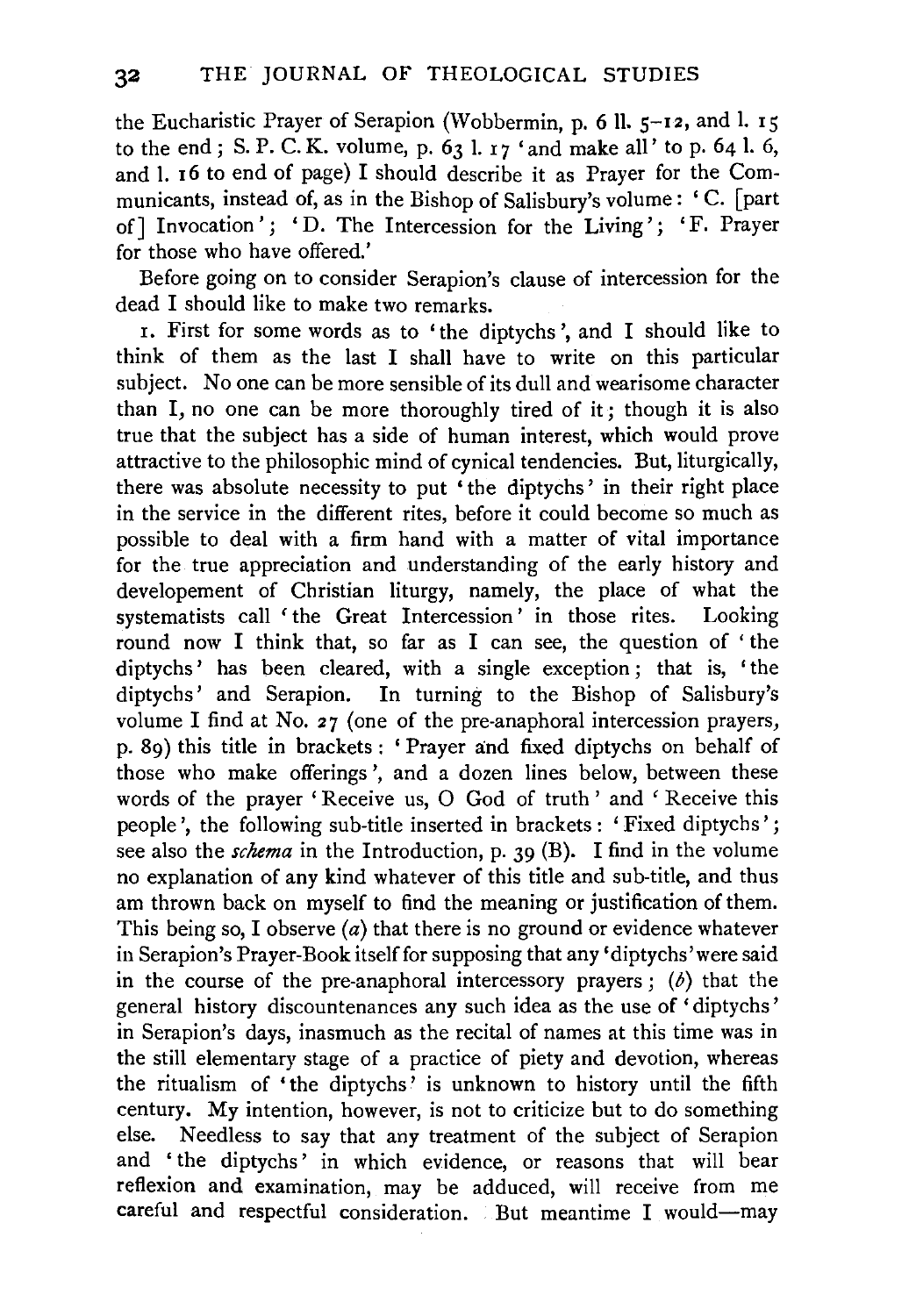the Eucharistic Prayer of Serapion (Wobbermin, p. 6 ll.  $5-12$ , and l.  $15$ to the end; S. P. C. K. volume, p. 63 1.  $17$  ' and make all' to p. 64 l. 6, and 1. I6 to end of page) I should describe it as Prayer for the Communicants, instead of, as in the Bishop of Salisbury's volume: ' C. [part of Invocation'; 'D. The Intercession for the Living'; 'F. Prayer for those who have offered.'

Before going on to consider Serapion's clause of intercession for the dead I should like to make two remarks.

I. First for some words as to 'the diptychs ', and I should like to think of them as the last I shall have to write on this particular subject. No one can be more sensible of its dull and wearisome character than I, no one can be more thoroughly tired of it; though it is also true that the subject has a side of human interest, which would prove attractive to the philosophic mind of cynical tendencies. But, liturgically, there was absolute necessity to put 'the diptychs' in their right place in the service in the different rites, before it could become so much as possible to deal with a firm hand with a matter of vital importance for the true appreciation and understanding of the early history and developement of Christian liturgy, namely, the place of what the systematists call 'the Great Intercession' in those rites. Looking round now I think that, so far as I can see, the question of ' the diptychs' has been cleared, with a single exception; that is, 'the diptychs' and Serapion. In turning to the Bishop of Salisbury's volume I find at No. 27 (one of the pre-anaphoral intercession prayers, p. 89) this title in brackets: 'Prayer and fixed diptychs on behalf of those who make offerings ', and a dozen lines below, between these words of the prayer 'Receive us, 0 God of truth' and ' Receive this people', the following sub-title inserted in brackets : 'Fixed diptychs'; see also the *schema* in the Introduction, p. 39 (B). I find in the volume no explanation of any kind whatever of this title and sub-title, and thus am thrown back on myself to find the meaning or justification of them. This being so, I observe  $(a)$  that there is no ground or evidence whatever in Serapion's Prayer-Book itself for supposing that any 'diptychs' were said in the course of the pre-anaphoral intercessory prayers;  $(b)$  that the general history discountenances any such idea as the use of 'diptychs' in Serapion's days, inasmuch as the recital of names at this time was in the still elementary stage of a practice of piety and devotion, whereas the ritualism of 'the diptychs' is unknown to history until the fifth century. My intention, however, is not to criticize but to do something else. Needless to say that any treatment of the subject of Serapion and 'the diptychs' in which evidence, or reasons that will bear reflexion and examination, may be adduced, will receive from me careful and respectful consideration. But meantime I would-may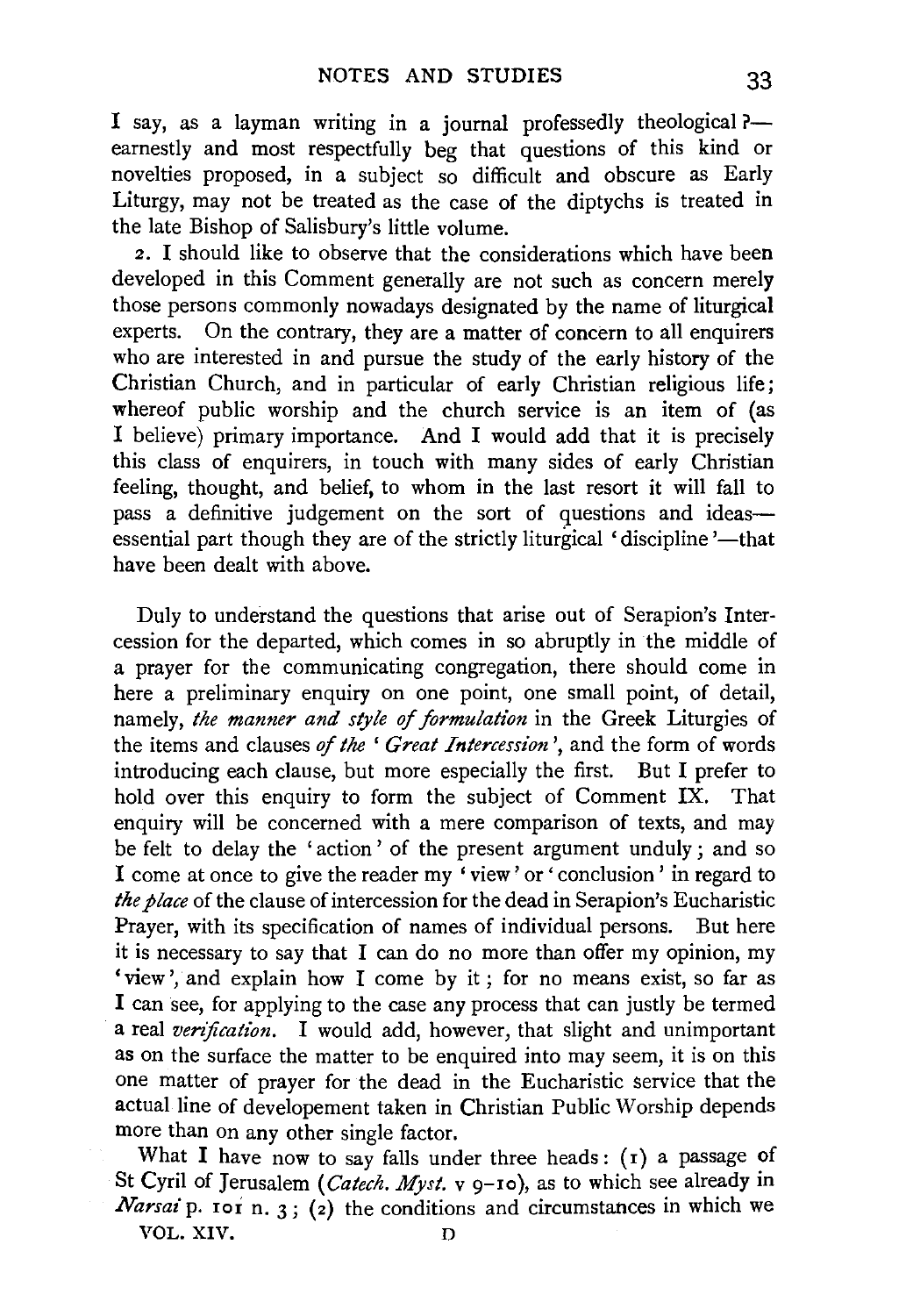I say, as a layman writing in a journal professedly theological ?earnestly and most respectfully beg that questions of this kind or novelties proposed, in a subject so difficult and obscure as Early Liturgy, may not be treated as the case of the diptychs is treated in the late Bishop of Salisbury's little volume.

2. I should like to observe that the considerations which have been developed in this Comment generally are not such as concern merely those persons commonly nowadays designated by the name of liturgical experts. On the contrary, they are a matter of concern to all enquirers who are interested in and pursue the study of the early history of the Christian Church, and in particular of early Christian religious life; whereof public worship and the church service is an item of (as I believe) primary importance. And I would add that it is precisely this class of enquirers, in touch with many sides of early Christian feeling, thought, and belief, to whom in the last resort it will fall to pass a definitive judgement on the sort of questions and ideasessential part though they are of the strictly liturgical 'discipline'—that have been dealt with above.

Duly to understand the questions that arise out of Serapion's Intercession for the departed, which comes in so abruptly in the middle of a prayer for the communicating congregation, there should come in here a preliminary enquiry on one point, one small point, of detail, namely, the manner and style of formulation in the Greek Liturgies of the items and clauses *of the* ' *Great Intercession',* and the form of words introducing each clause, but more especially the first. But I prefer to hold over this enquiry to form the subject of Comment IX. That enquiry will be concerned with a mere comparison of texts, and may be felt to delay the 'action' of the present argument unduly; and so I come at once to give the reader my  $\cdot$  view ' or  $\cdot$  conclusion ' in regard to *the place* of the clause of intercession for the dead in Serapion's Eucharistic Prayer, with its specification of names of individual persons. But here it is necessary to say that I can do no more than offer my opinion, my 'view ', and explain how I come by it ; for no means exist, so far as I can see, for applying to the case any process that can justly be termed a real *verification*. I would add, however, that slight and unimportant as on the surface the matter to be enquired into may seem, it is on this one matter of prayer for the dead in the Eucharistic service that the actual line of developement taken in Christian Public Worship depends more than on any other single factor.

What I have now to say falls under three heads:  $(r)$  a passage of St Cyril of Jerusalem (Catech. Myst. v 9-10), as to which see already in *Narsai* p. ror n. 3; (2) the conditions and circumstances in which we VOL. XIV. D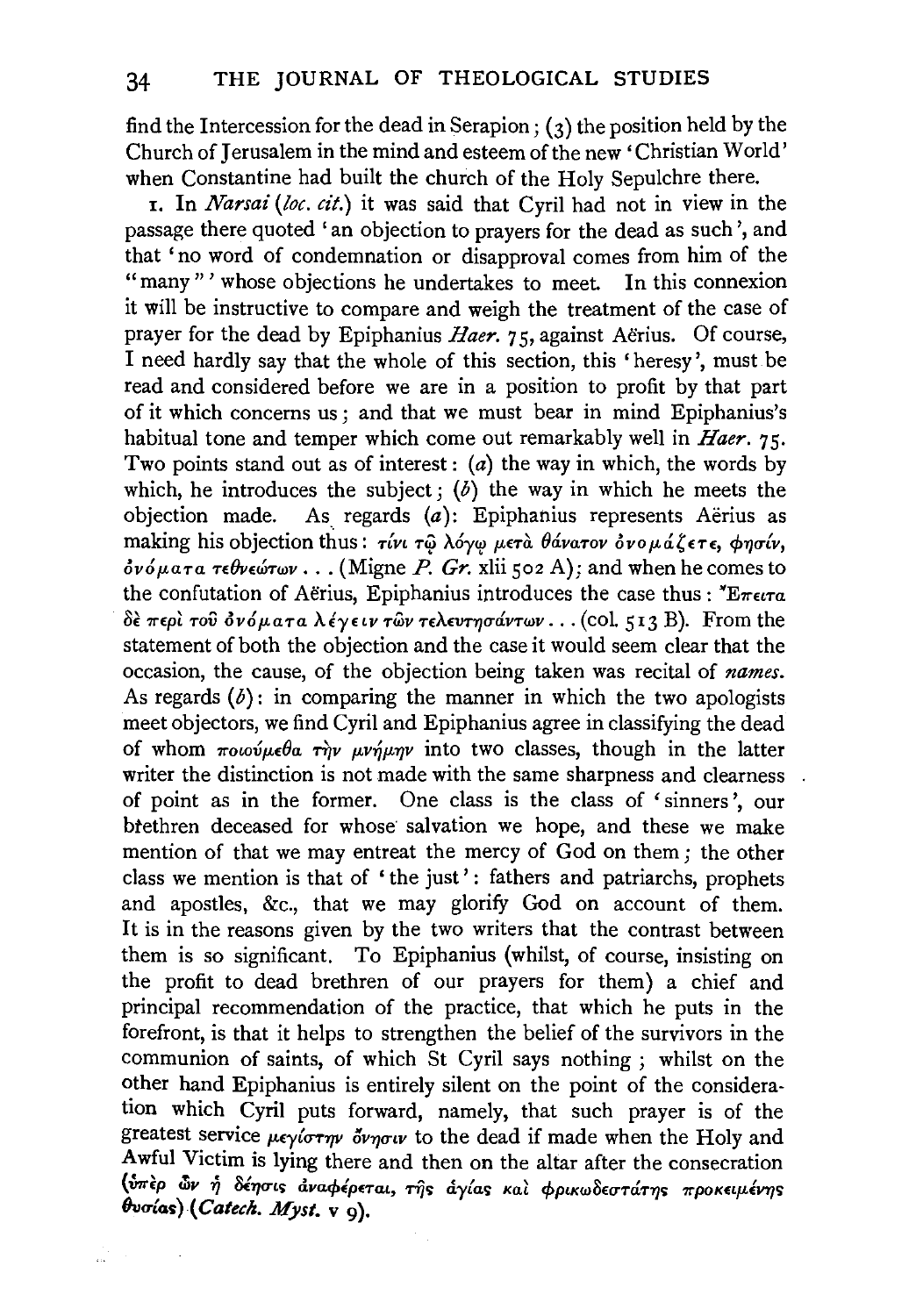find the Intercession for the dead in Serapion;  $(3)$  the position held by the Church of Jerusalem in the mind and esteem of the new 'Christian World' when Constantine had built the church of the Holy Sepulchre there.

r. In *Narsaz" (loc. cz"t.)* it was said that Cyril had not in view in the passage there quoted 'an objection to prayers for the dead as such', and that 'no word of condemnation or disapproval comes from him of the "many"' whose objections he undertakes to meet. In this connexion it will be instructive to compare and weigh the treatment of the case of prayer for the dead by Epiphanius *Haer.* 75, against Aerius. Of course, I need hardly say that the whole of this section, this 'heresy', must be read and considered before we are in a position to profit by that part of it which concerns us; and that we must bear in mind Epiphanius's habitual tone and temper which come out remarkably well in *Haer.* 75. Two points stand out as of interest:  $(a)$  the way in which, the words by which, he introduces the subject;  $(b)$  the way in which he meets the objection made. As regards (a): Epiphanius represents Aerius as making his objection thus: τίνι τῷ λόγω μετὰ θάνατον ὀνομάζετε, φησίν,  $\delta\nu\delta\mu$ a*ta T* $\epsilon\theta\nu\epsilon\omega\tau\omega\nu$  . . . (Migne *P. Gr.* xlii 502 A); and when he comes to the confutation of Aerius, Epiphanius introduces the case thus :  $E\pi\epsilon\iota\tau a$ *8£ 7r€pL TOV ov6JJ-aTa A.iyuvTWVT€A€VT'Y}UaVTWV •••* (col. 5I3 B). From the statement of both the objection and the case it would seem clear that the occasion, the cause, of the objection being taken was recital of *names.*  As regards  $(b)$ : in comparing the manner in which the two apologists meet objectors, we find Cyril and Epiphanius agree in classifying the dead of whom  $\pi_0\omega\omega\mu\epsilon\theta a$   $\tau\gamma\nu\mu\nu\gamma\mu\eta\nu$  into two classes, though in the latter writer the distinction is not made with the same sharpness and clearness. of point as in the former. One class is the class of 'sinners', our brethren deceased for whose salvation we hope, and these we make mention of that we may entreat the mercy of God on them; the other class we mention is that of ' the just' : fathers and patriarchs, prophets and apostles, &c., that we may glorify God on account of them. It is in the reasons given by the two writers that the contrast between them is so significant. To Epiphanius (whilst, of course, insisting on the profit to dead brethren of our prayers for them) a chief and principal recommendation of the practice, that which he puts in the forefront, is that it helps to strengthen the belief of the survivors in the communion of saints, of which St Cyril says nothing ; whilst on the other hand Epiphanius is entirely silent on the point of the consideration which Cyril puts forward, namely, that such prayer is of the greatest service  $\mu \epsilon \gamma \omega \tau \eta \nu$  ov $\eta \sigma \nu$  to the dead if made when the Holy and Awful Victim is lying there and then on the altar after the consecration (k~p ,ijy *-tj B£t}trt<; d.vacp£p£Tat,* rijr; *tly{ar; KaL cpptKWiJ£uTaT'f}<; 7rpOK€tfJ-iv'f}<;*   $\theta$ vo*ias*) (Catech. Myst. v 9).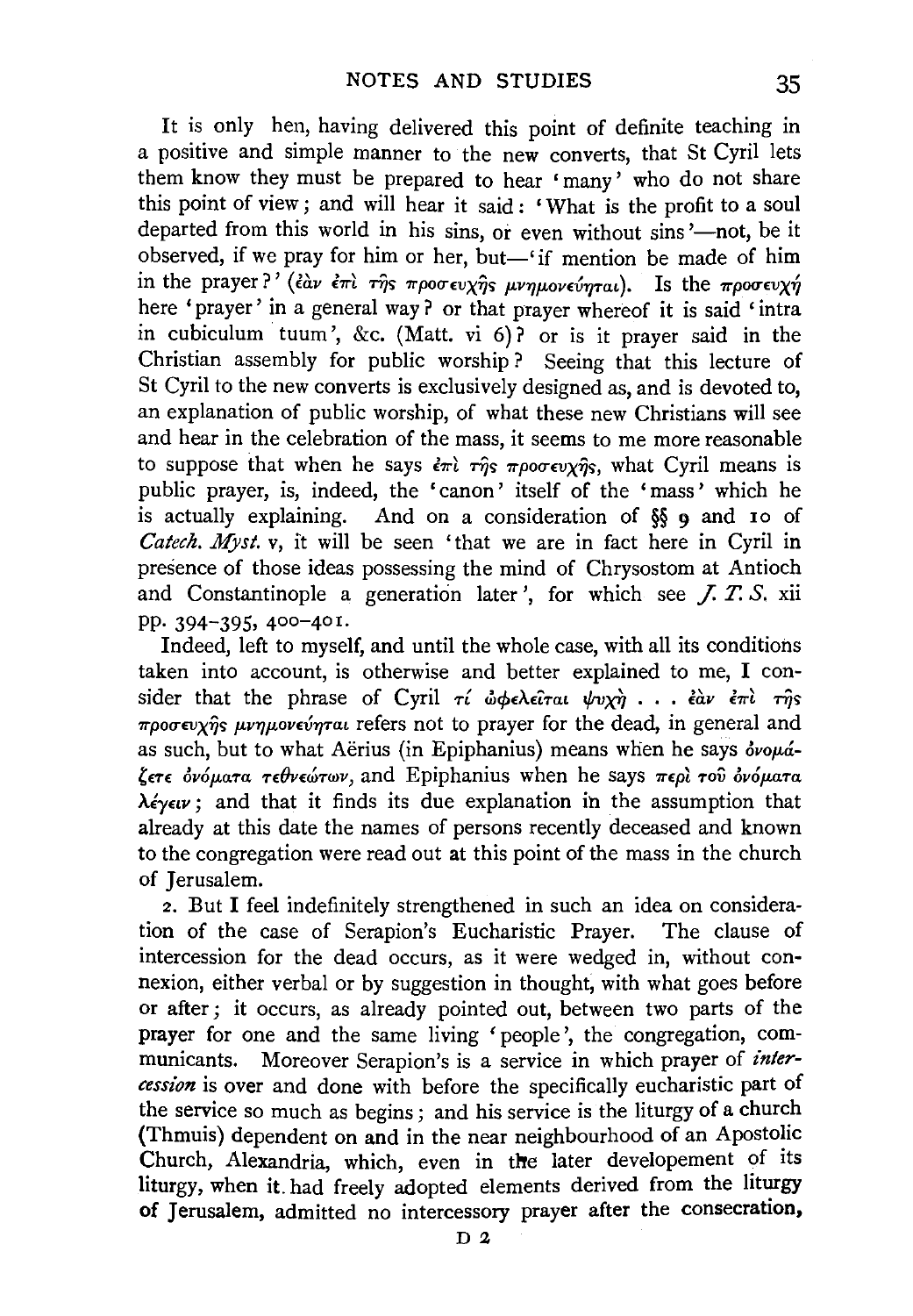It is only hen, having delivered this point of definite teaching in a positive and simple manner to the new converts, that St Cyril lets them know they must be prepared to hear 'many' who do not share this point of view; and will hear it said : 'What is the profit to a soul departed from this world in his sins, or even without sins'-not, be it observed, if we pray for him or her, but-'if mention be made of him in the prayer?'  $(\epsilon \alpha \nu \epsilon \pi)$   $\tau \hat{\eta}$ s  $\pi \rho \sigma \epsilon \nu \chi \hat{\eta}$ s  $\mu \nu \eta \mu \sigma \nu \epsilon \nu \eta \tau \alpha$ . Is the  $\pi \rho \sigma \sigma \epsilon \nu \chi \hat{\eta}$ here 'prayer' in a general way? or that prayer whereof it is said 'intra in cubiculum tuum', &c. (Matt. vi 6)? or is it prayer said in the Christian assembly for public worship? Seeing that this lecture of St Cyril to the new converts is exclusively designed as, and is devoted to, an explanation of public worship, of what these new Christians will see and hear in the celebration of the mass, it seems to me more reasonable to suppose that when he says επί της προσευχής, what Cyril means is public prayer, is, indeed, the 'canon' itself of the 'mass' which he is actually explaining. And on a consideration of §§ 9 and 10 of *Catech. Myst.* v, it will be seen 'that we are in fact here in Cyril in presence of those ideas possessing the mind of Chrysostom at Antioch and Constantinople a generation later', for which see *J. T. S.* xii pp. 394-395, 400-401.

Indeed, left to myself, and until the whole case, with all its conditions taken into account, is otherwise and better explained to me, I consider that the phrase of Cyril  $\tau i$   $\phi \phi \epsilon \lambda \epsilon \hat{i} \tau a \psi \nu \chi \hat{\eta} \dots \hat{\epsilon} \hat{a} \nu \hat{\epsilon} \pi \hat{i} \tau \hat{\eta} s$ *-rrpocrwx7Js p..vTJp..ovo5YJ-raL* refers not to prayer for the dead, in general and as such, but to what Aërius (in Epiphanius) means when he says *dvoud*- $\zeta$ <sub>erε</sub> *δνόματα τεθνεώτων*, and Epiphanius when he says περί τοῦ *δνόματα M:ynv;* and that it finds its due explanation in the assumption that already at this date the names of persons recently deceased and known to the congregation were read out at this point of the mass in the church of Jerusalem.

2. But I feel indefinitely strengthened in such an idea on consideration of the case of Serapion's Eucharistic Prayer. The clause of intercession for the dead occurs, as it were wedged in, without connexion, either verbal or by suggestion in thought, with what goes before or after; it occurs, as already pointed out, between two parts of the prayer for one and the same living 'people', the congregation, communicants. Moreover Serapion's is a service in which prayer of *infercession* is over and done with before the specifically eucharistic part of the service so much as begins ; and his service is the liturgy of a church (Thmuis) dependent on and in the near neighbourhood of an Apostolic Church, Alexandria, which, even in the later developement of its liturgy, when it. had freely adopted elements derived from the liturgy of Jerusalem, admitted no intercessory prayer after the consecration,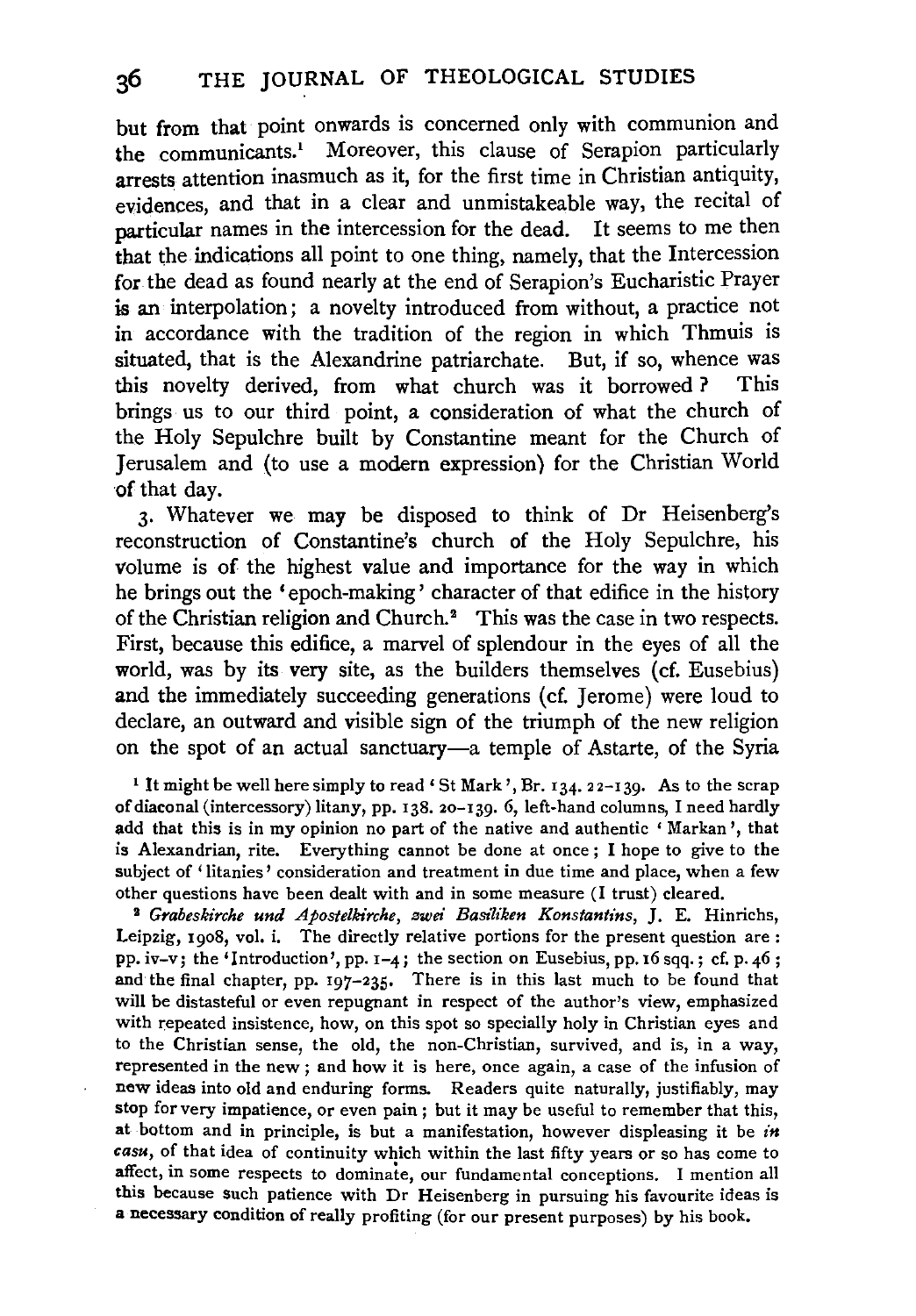but from that point onwards is concerned only with communion and the communicants.<sup>1</sup> Moreover, this clause of Serapion particularly arrests attention inasmuch as it, for the first time in Christian antiquity, evidences, and that in a clear and unmistakeable way, the recital of particular names in the intercession for the dead. It seems to me then that the indications all point to one thing, namely, that the Intercession for the dead as found nearly at the end of Serapion's Eucharistic Prayer is an interpolation; a novelty introduced from without, a practice not in accordance with the tradition of the region in which Thmuis is situated, that is the Alexandrine patriarchate. But, if so, whence was this novelty derived, from what church was it borrowed ? This brings us to our third point, a consideration of what the church of the Holy Sepulchre built by Constantine meant for the Church of Jerusalem and (to use a modern expression) for the Christian World of that day.

3· Whatever we may be disposed to think of Dr Heisenberg's reconstruction of Constantine's church of the Holy Sepulchre, his volume is of the highest value and importance for the way in which he brings out the 'epoch-making' character of that edifice in the history of the Christian religion and Church.<sup>2</sup> This was the case in two respects. First, because this edifice, a marvel of splendour in the eyes of all the world, was by its very site, as the builders themselves (cf. Eusebius) and the immediately succeeding generations (cf. Jerome) were loud to declare, an outward and visible sign of the triumph of the new religion on the spot of an actual sanctuary-a temple of Astarte, of the Syria

<sup>1</sup> It might be well here simply to read 'St Mark', Br. 134. 22-139. As to the scrap of diaconal (intercessory) litany, pp. 138. 20-139. 6, left-hand columns, I need hardly add that this is in my opinion no part of the native and authentic ' Markan ', that is Alexandrian, rite. Everything cannot be done at once ; I hope to give to the subject of 'litanies' consideration and treatment in due time and place, when a few other questions have been dealt with and in some measure (I trust) cleared. 2 *Grabeskirche und A postelkirche, zwei Basiliken Konstantins,* J. E. Hinrichs,

Leipzig, 1908, vol. i. The directly relative portions for the present question are: pp. iv-v; the 'Introduction', pp.  $I-4$ ; the section on Eusebius, pp. 16 sqq.; cf. p. 46; and the final chapter, pp. 197-235• There is in this last much to be found that will be distasteful or even repugnant in respect of the author's view, emphasized with repeated insistence, how, on this spot so specially holy in Christian eyes and to the Christian sense, the old, the non-Christian, survived, and is, in a way, represented in the new ; and how it is here, once again, a case of the infusion of new ideas into old and enduring forms. Readers quite naturally, justifiably, may stop for very impatience, or even pain ; but it may be useful to remember that this, at bottom and in principle, is but a manifestation, however displeasing it be *in casu,* of that idea of continuity which within the last fifty years or so has come to affect, in some respects to dominate, our fundamental conceptions. I mention all this because such patience with Dr Heisenberg in pursuing his favourite ideas is a necessary condition of really profiting (for our present purposes) by his book.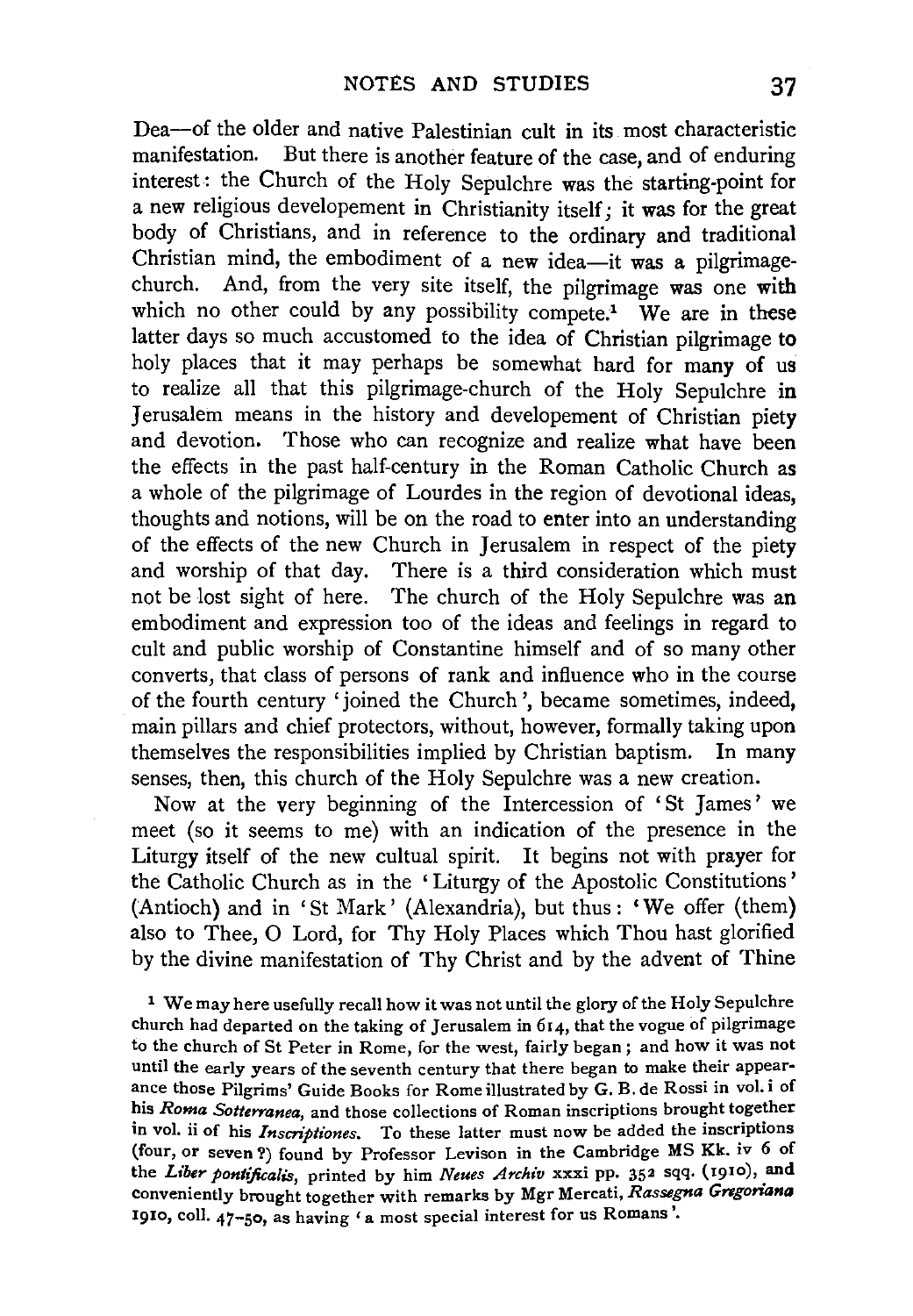Dea-of the older and native Palestinian cult in its most characteristic manifestation. But there is another feature of the case, and of enduring interest: the Church of the Holy Sepulchre was the starting-point for a new religious developement in Christianity itself; it was for the great body of Christians, and in reference to the ordinary and traditional Christian mind, the embodiment of a new idea-it was a pilgrimagechurch. And, from the very site itself, the pilgrimage was one with which no other could by any possibility compete.<sup>1</sup> We are in these latter days so much accustomed to the idea of Christian pilgrimage to holy places that it may perhaps be somewhat hard for many of us to realize all that this pilgrimage-church of the Holy Sepulchre in Jerusalem means in the history and developement of Christian piety and devotion. Those who can recognize and realize what have been the effects in the past half-century in the Roman Catholic Church as a whole of the pilgrimage of Lourdes in the region of devotional ideas, thoughts and notions, will be on the road to enter into an understanding of the effects of the new Church in Jerusalem in respect of the piety and worship of that day. There is a third consideration which must not be lost sight of here. The church of the Holy Sepulchre was an embodiment and expression too of the ideas and feelings in regard to cult and public worship of Constantine himself and of so many other converts, that class of persons of rank and influence who in the course of the fourth century 'joined the Church', became sometimes, indeed, main pillars and chief protectors, without, however, formally taking upon themselves the responsibilities implied by Christian baptism. In many senses, then, this church of the Holy Sepulchre was a new creation.

Now at the very beginning of the Intercession of 'St James' we meet (so it seems to me) with an indication of the presence in the Liturgy itself of the new cultual spirit. It begins not with prayer for the Catholic Church as in the ' Liturgy of the Apostolic Constitutions ' (Antioch) and in 'St Mark' (Alexandria), but thus: 'We offer (them) also to Thee, 0 Lord, for Thy Holy Places which Thou hast glorified by the divine manifestation of Thy Christ and by the advent of Thine

1 We may here usefully recall how it was not until the glory of the Holy Sepulchre church had departed on the taking of Jerusalem in 614, that the vogue of pilgrimage to the church of St Peter in Rome, for the west, fairly began; and how it was not until the early years of the seventh century that there began to make their appearance those Pilgrims' Guide Books for Rome illustrated by G. B. de Rossi in vol. i of his *Roma Sotterranea,* and those collections of Roman inscriptions brought together in vol. ii of his *lnscriptiones,* To these latter must now be added the inscriptions (four, or seven?) found by Professor Levison in the Cambridge MS Kk. iv 6 of the *Liber pontificalis*, printed by him *Neues Archiv* xxxi pp. 352 sqq. (1910), and conveniently brought together with remarks by Mgr Mercati, *Rassegna Gngonana*  1910, coli. 47-50, as having 'a most special interest for us Romans'.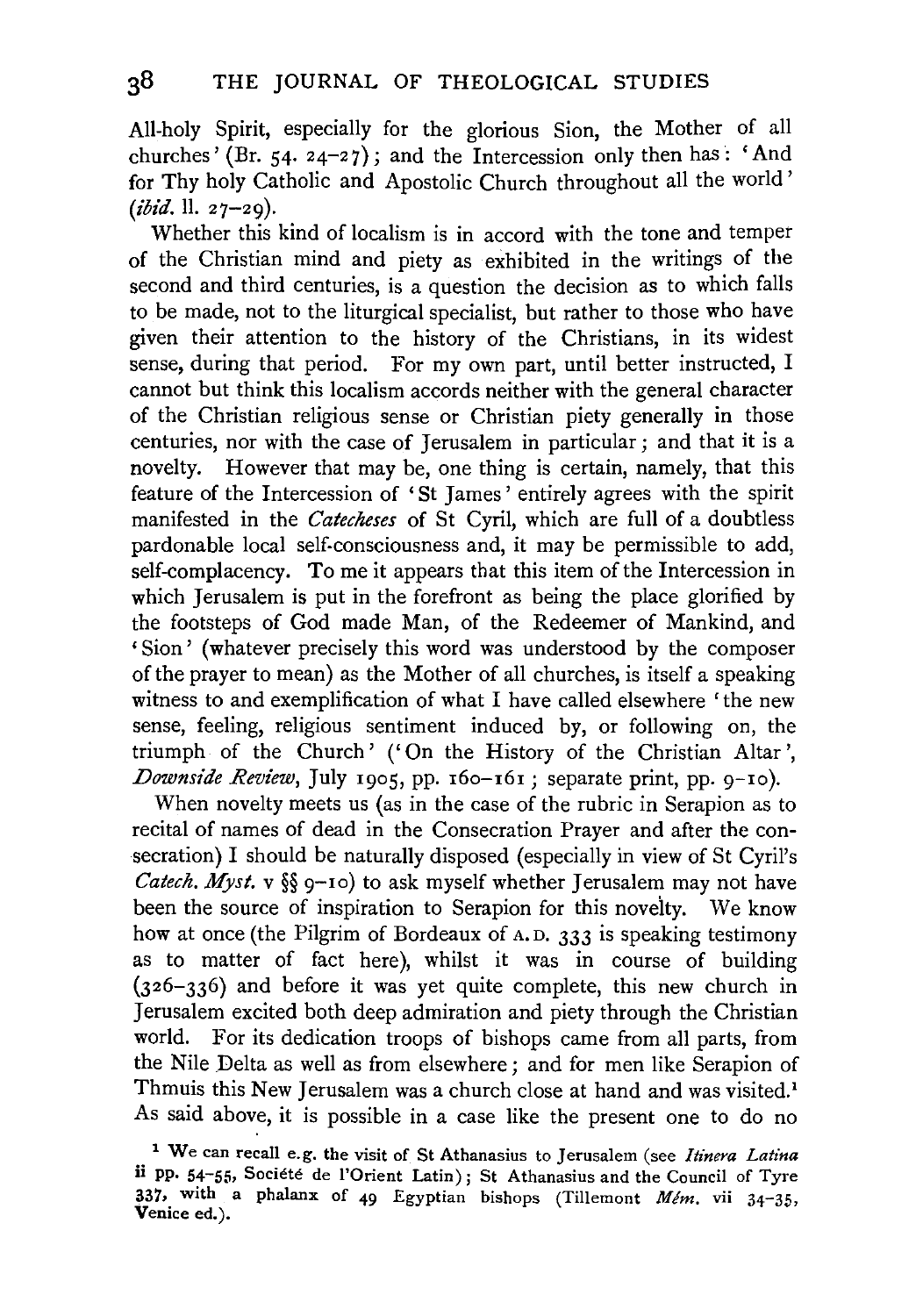All-holy Spirit, especially for the glorious Sion, the Mother of all churches' (Br. 54· 24-27); and the Intercession only then has: 'And for Thy holy Catholic and Apostolic Church throughout all the world' (*ibid.* 11. 27-29).

Whether this kind of localism is in accord with the tone and temper of the Christian mind and piety as exhibited in the writings of the second and third centuries, is a question the decision as to which falls to be made, not to the liturgical specialist, but rather to those who have given their attention to the history of the Christians, in its widest sense, during that period. For my own part, until better instructed, I cannot but think this localism accords neither with the general character of the Christian religious sense or Christian piety generally in those centuries, nor with the case of Jerusalem in particular ; and that it is a novelty. However that may be, one thing is certain, namely, that this feature of the Intercession of 'St James' entirely agrees with the spirit manifested in the *Catecheses* of St Cyril, which are full of a doubtless pardonable local self-consciousness and, it may be permissible to add, self-complacency. To me it appears that this item of the Intercession in which Jerusalem is put in the forefront as being the place glorified by the footsteps of God made Man, of the Redeemer of Mankind, and 'Sion' (whatever precisely this word was understood by the composer of the prayer to mean) as the Mother of all churches, is itself a speaking witness to and exemplification of what I have called elsewhere 'the new sense, feeling, religious sentiment induced by, or following on, the triumph of the Church' ('On the History of the Christian Altar', *Downside Review,* July 1905, pp. r6o-r6r; separate print, pp. 9-ro).

When novelty meets us (as in the case of the rubric in Serapion as to recital of names of dead in the Consecration Prayer and after the consecration) I should be naturally disposed (especially in view of St Cyril's *Catech. Myst.* v §§ 9-ro) to ask myself whether Jerusalem may not have been the source of inspiration to Serapion for this novelty. We know how at once (the Pilgrim of Bordeaux of A.D. 333 is speaking testimony as to matter of fact here), whilst it was in course of building (326-336) and before it was yet quite complete, this new church in Jerusalem excited both deep admiration and piety through the Christian world. For its dedication troops of bishops came from all parts, from the Nile Delta as well as from elsewhere; and for men like Serapion of Thmuis this New Jerusalem was a church close at hand and was visited.<sup>1</sup> As said above, it is possible in a case like the present one to do no

<sup>1</sup> We can recall e.g. the visit of St Athanasius to Jerusalem (see *Itinera Latina*  ii PP· 54-55, Societe de !'Orient Latin); St Athanasius and the Council of Tyre 337, with a phalanx of 49 Egyptian bishops (Tillemont *Mem.* vii 34-35, Venice ed.).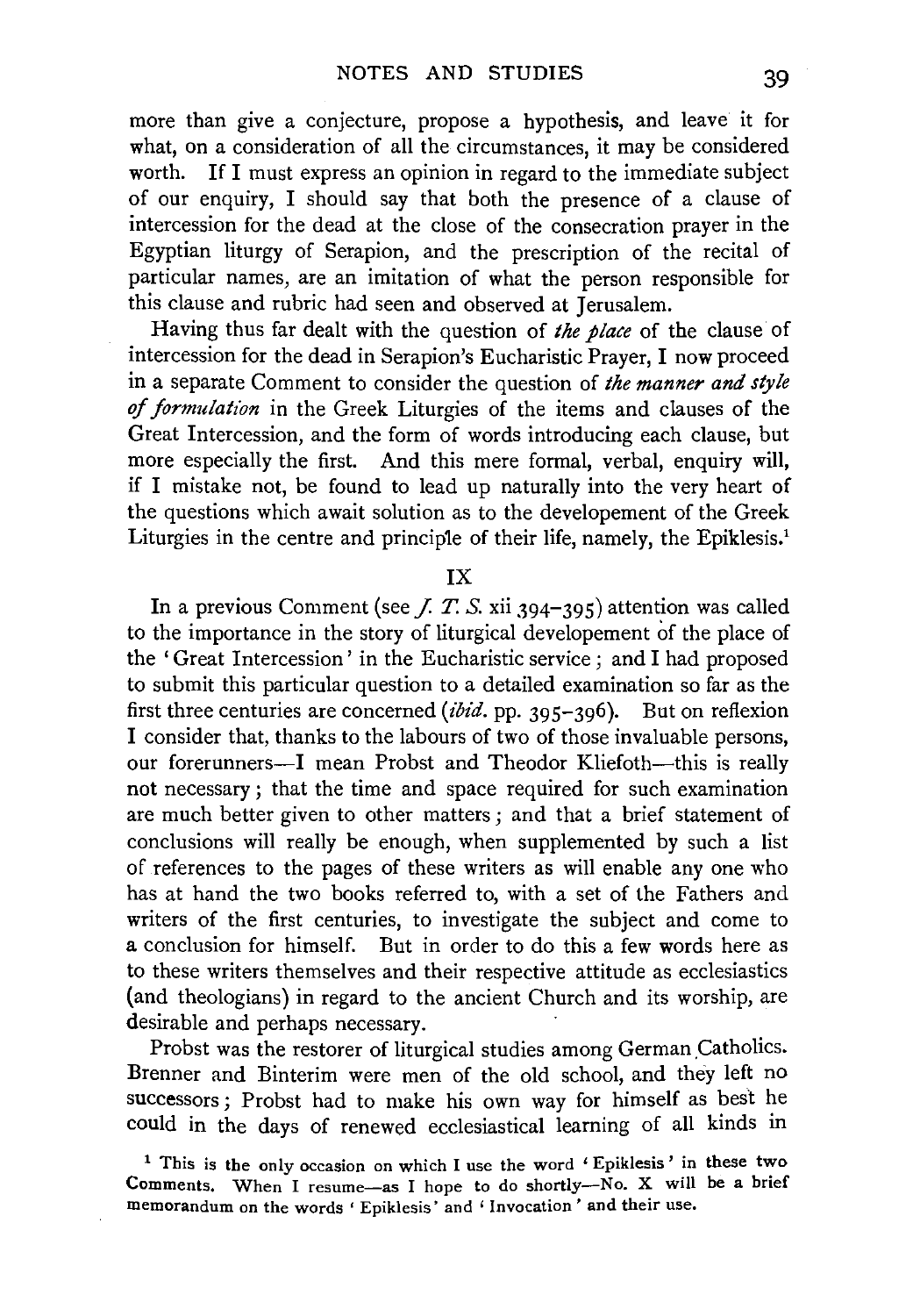more than give a conjecture, propose a hypothesis, and leave it for what, on a consideration of all the circumstances, it may be considered worth. If I must express an opinion in regard to the immediate subject of our enquiry, I should say that both the presence of a clause of intercession for the dead at the close of the consecration prayer in the Egyptian liturgy of Serapion, and the prescription of the recital of particular names, are an imitation of what the person responsible for this clause and rubric had seen and observed at Jerusalem.

Having thus far dealt with the question of *the place* of the clause of intercession for the dead in Serapion's Eucharistic Prayer. I now proceed in a separate Comment to consider the question of *the manner and style*  of formulation in the Greek Liturgies of the items and clauses of the Great Intercession, and the form of words introducing each clause, but more especially the first. And this mere formal, verbal, enquiry will, if I mistake not, be found to lead up naturally into the very heart of the questions which await solution as to the developement of the Greek Liturgies in the centre and principle of their life, namely, the Epiklesis.<sup>1</sup>

#### IX

In a previous Comment (see  $\overline{J}$ ,  $\overline{T}$ ,  $\overline{S}$ , xii 394-395) attention was called to the importance in the story of liturgical developement of the place of the 'Great Intercession' in the Eucharistic service; and I had proposed to submit this particular question to a detailed examination so far as the first three centuries are concerned (ibid. pp. 395-396). But on reflexion I consider that, thanks to the labours of two of those invaluable persons, our forerunners-I mean Probst and Theodor Kliefoth-this is really not necessary ; that the time and space required for such examination are much better given to other matters; and that a brief statement of conclusions will really be enough, when supplemented by such a list of references to the pages of these writers as will enable any one who has at hand the two books referred to, with a set of the Fathers and writers of the first centuries, to investigate the subject and come to a conclusion for himself. But in order to do this a few words here as to these writers themselves and their respective attitude as ecclesiastics (and theologians) in regard to the ancient Church and its worship, are desirable and perhaps necessary.

Probst was the restorer of liturgical studies among German Catholics. Brenner and Binterim were men of the old school, and they left no successors; Probst had to make his own way for himself as best he could in the days of renewed ecclesiastical learning of all kinds in

<sup>&</sup>lt;sup>1</sup> This is the only occasion on which I use the word 'Epiklesis' in these two Comments. When I resume-as I hope to do shortly--No. X will be a brief memorandum on the words ' Epiklesis' and ' Invocation ' and their use.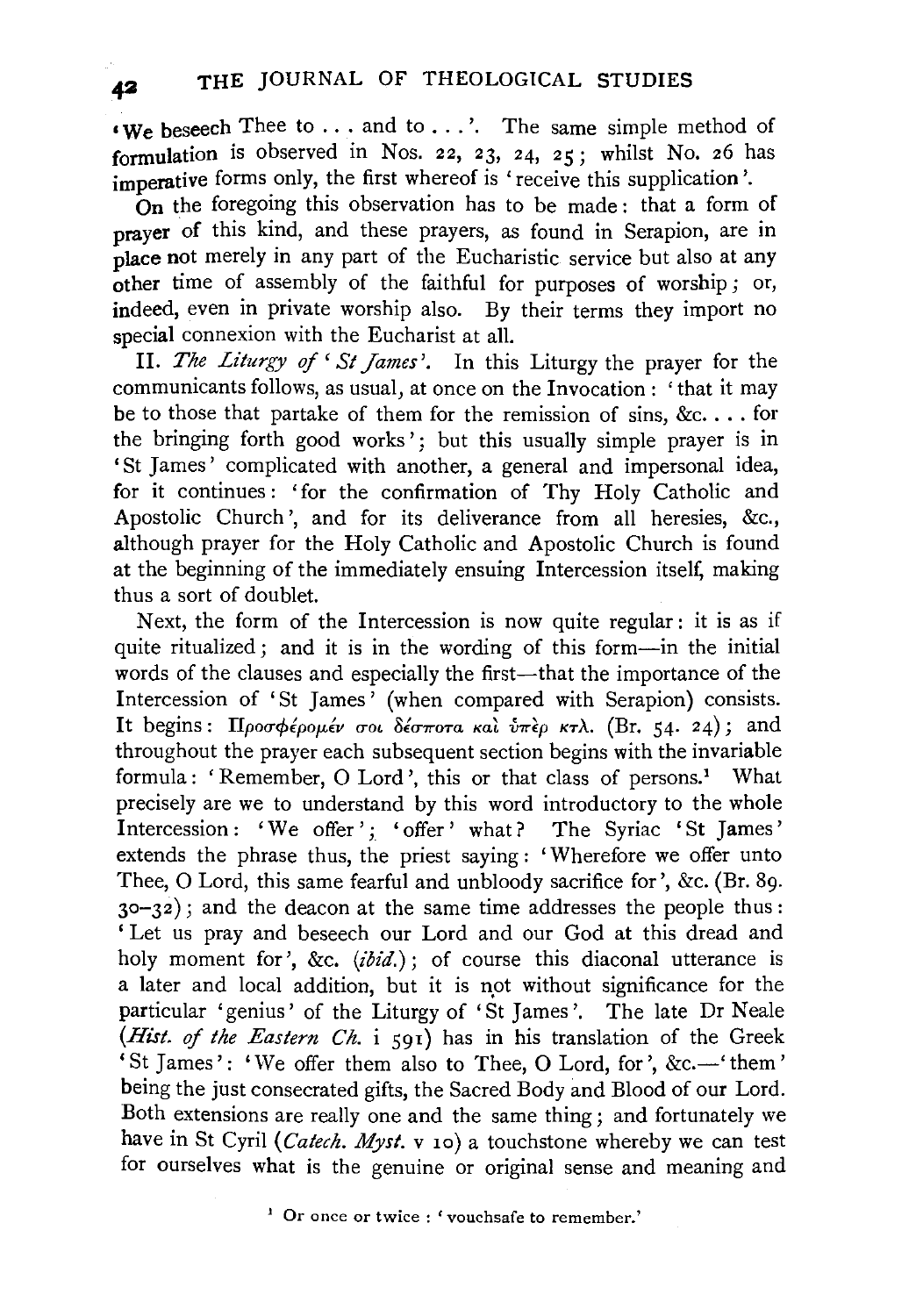•We beseech Thee to ... and to ... '. The same simple method of formulation is observed in Nos. 22, 23, 24, 25; whilst No. 26 has imperative forms only, the first whereof is 'receive this supplication'.

On the foregoing this observation has to be made : that a form of prayer of this kind, and these prayers, as found in Serapion, are in place not merely in any part of the Eucharistic service but also at any other time of assembly of the faithful for purposes of worship; or, indeed, even in private worship also. By their terms they import no special connexion with the Eucharist at all.

II. *The Liturgy of' St James'.* In this Liturgy the prayer for the communicants follows, as usual, at once on the Invocation: 'that it may be to those that partake of them for the remission of sins,  $&c...$  for the bringing forth good works'; but this usually simple prayer is in 'St James' complicated with another, a general and impersonal idea, for it continues : 'for the confirmation of Thy Holy Catholic and Apostolic Church', and for its deliverance from all heresies, &c., although prayer for the Holy Catholic and Apostolic Church is found at the beginning of the immediately ensuing Intercession itself, making thus a sort of doublet.

Next, the form of the Intercession is now quite regular: it is as if quite ritualized ; and it is in the wording of this form-in the initial words of the clauses and especially the first-that the importance of the Intercession of 'St James' (when compared with Serapion) consists. It begins: Προσφέρομέν σοι δέσποτα και ύπερ κτλ. (Br. 54. 24); and throughout the prayer each subsequent section begins with the invariable formula: 'Remember, O Lord', this or that class of persons.<sup>1</sup> What precisely are we to understand by this word introductory to the whole Intercession : 'We offer'; 'offer' what? The Syriac 'St James' extends the phrase thus, the priest saying: 'Wherefore we offer unto Thee, O Lord, this same fearful and unbloody sacrifice for', &c. (Br. 89. 30-32); and the deacon at the same time addresses the people thus: ' Let us pray and beseech our Lord and our God at this dread and holy moment for', &c. (*ibid.*); of course this diaconal utterance is a later and local addition, but it is *npt* without significance for the particular 'genius' of the Liturgy of 'St James'. The late Dr Neale *(Hist. of the Eastern Ch. i* 591) has in his translation of the Greek 'St James': 'We offer them also to Thee, O Lord, for', &c.-' them' being the just consecrated gifts, the Sacred Body and Blood of our Lord. Both extensions are really one and the same thing; and fortunately we have in St Cyril *(Catech. Myst.* v 10) a touchstone whereby we can test for ourselves what is the genuine or original sense and meaning and

<sup>1</sup> Or once or twice : 'vouchsafe to remember.'

42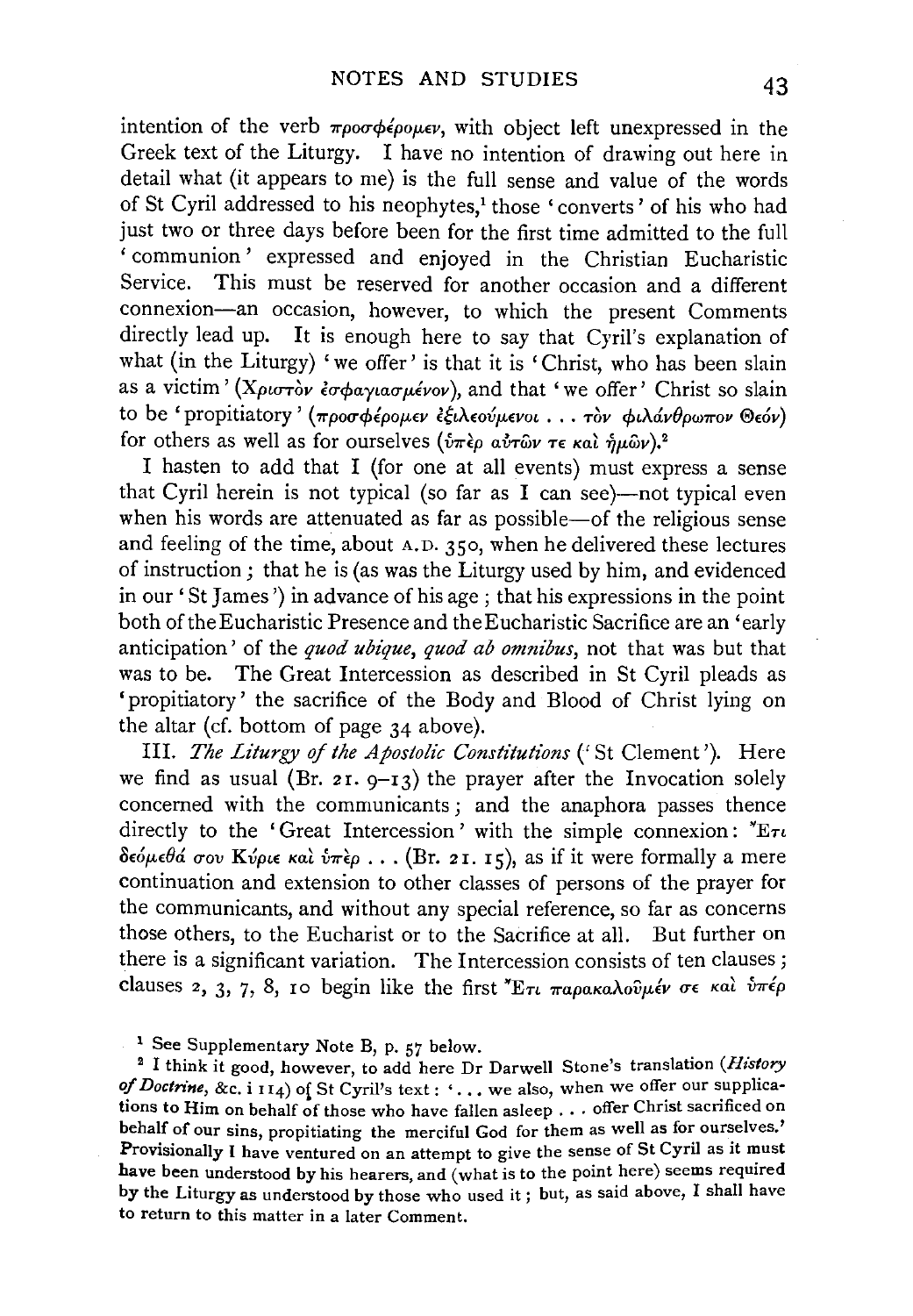intention of the verb  $προσφέρομεν, with object left unexpressed in the$ Greek text of the Liturgy. I have no intention of drawing out here in detail what (it appears to me) is the full sense and value of the words of St Cyril addressed to his neophytes/ those 'converts' of his who had just two or three days before been for the first time admitted to the full ' communion ' expressed and enjoyed in the Christian Eucharistic Service. This must be reserved for another occasion and a different connexion-an occasion, however, to which the present Comments directly lead up. It is enough here to say that Cyril's explanation of what (in the Liturgy) 'we offer' is that it is 'Christ, who has been slain as a victim<sup>'</sup> (Χριστὸν ἐσφαγιασμένον), and that 'we offer' Christ so slain to be 'propitiatory' (προσφέρομεν εξιλεούμενοι ... τον φιλάνθρωπον ®εόν) for others as well as for ourselves  $(\hat{v}\pi\hat{\epsilon}\theta \hat{a}\hat{v}\tau\hat{\omega}\hat{v}\tau\hat{\epsilon} \hat{\kappa}\hat{a}\hat{v}\tau\hat{\omega}\hat{v})$ .<sup>2</sup>

I hasten to add that I (for one at all events) must express a sense that Cyril herein is not typical (so far as I can see)—not typical even when his words are attenuated as far as possible—of the religious sense and feeling of the time, about A.D. 350, when he delivered these lectures of instruction; that he is (as was the Liturgy used by him, and evidenced in our 'St James') in advance of his age; that his expressions in the point both of the Eucharistic Presence and the Eucharistic Sacrifice are an 'early anticipation' of the *quod ubique, quod ab omnibus,* not that was but that was to be. The Great Intercession as described in St Cyril pleads as 'propitiatory' the sacrifice of the Body and Blood of Christ lying on the altar (cf. bottom of page 34 above).

III. The Liturgy of the Apostolic Constitutions ('St Clement'). Here we find as usual (Br. 21.  $q-13$ ) the prayer after the Invocation solely concerned with the communicants ; and the anaphora passes thence directly to the 'Great Intercession' with the simple connexion:  $E\tau\iota$ *8£6p.£0a crov Kvpt£ Kat v1rf.p ••* . (Br. 21. 15), as if it were formally a mere continuation and extension to other classes of persons of the prayer for the communicants, and without any special reference, so far as concerns those others, to the Eucharist or to the Sacrifice at all. But further on there is a significant variation. The Intercession consists of ten clauses ; clauses z, 3, 7, 8, 10 begin like the first <sup>\*</sup>E<sub>Tt</sub>  $\pi a \rho a \kappa a \lambda o \hat{v} \mu \epsilon \nu$   $\sigma \epsilon$   $\kappa a \hat{v} \bar{v} \tau \epsilon \rho$ 

<sup>1</sup> See Supplementary Note B, p. 57 below.<br><sup>2</sup> I think it good, however, to add here Dr Darwell Stone's translation *(History of Doctrine, &c.* i 114) of St Cyril's text: '... we also, when we offer our supplications to Him on behalf of those who have fallen asleep . . . offer Christ sacrificed on behalf of our sins, propitiating the merciful God for them as well as for ourselves.' Provisionally I have ventured on an attempt to give the sense of St Cyril as it must have been understood by his hearers, and (what is to the point here) seems required by the Liturgy as understood by those who used it ; but, as said above, I shall have to return to this matter in a later Comment.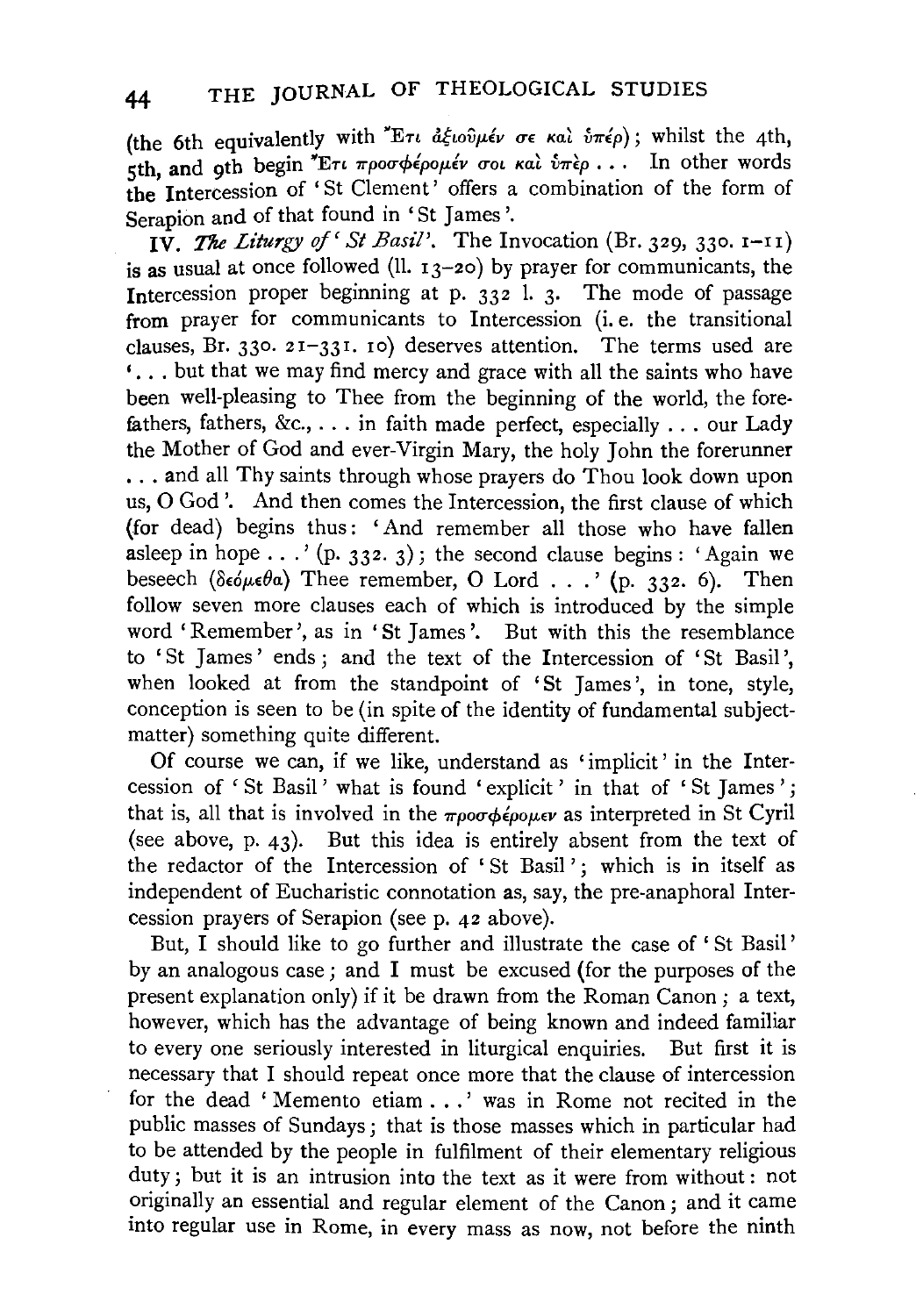(the 6th equivalently with ET  $d\xi$ <sup>1</sup>  $\phi$   $\chi$   $\sigma$   $\epsilon$   $\kappa$ at  $\delta \pi$  $\epsilon$  $\rho$ ); whilst the 4th, sth, and 9th begin  $E\tau v$   $\pi \rho$ 00 $\phi \epsilon \rho \rho \mu \epsilon \nu$  oot kat  $\delta \pi \epsilon \rho$  ... In other words the Intercession of 'St Clement' offers a combination of the form of Serapion and of that found in 'St James '.

IV. The Liturgy of ' St Basil'. The Invocation (Br. 329, 330.  $r-r_1$ ) is as usual at once followed (ll.  $13-20$ ) by prayer for communicants, the Intercession proper beginning at p.  $332$  l. 3. The mode of passage from prayer for communicants to Intercession (i.e. the transitional clauses, Br. 330. 21-33r. ro) deserves attention. The terms used are ' ... but that we may find mercy and grace with all the saints who have been well-pleasing to Thee from the beginning of the world, the forefathers, fathers, &c., ... in faith made perfect, especially ... our Lady the Mother of God and ever-Virgin Mary, the holy John the forerunner , .. and all Thy saints through whose prayers do Thou look down upon us, 0 God '. And then comes the Intercession, the first clause of which (for dead) begins thus: 'And remember all those who have fallen asleep in hope  $\dots$  ' (p. 332. 3); the second clause begins: 'Again we beseech *(* $\delta \epsilon \phi \mu \epsilon \theta a$ *)* Thee remember, O Lord . . . ' (p. 332. 6). Then follow seven more clauses each of which is introduced by the simple word 'Remember', as in 'St James '. But with this the resemblance to 'St James' ends; and the text of the Intercession of 'St Basil', when looked at from the standpoint of 'St James', in tone, style, conception is seen to be (in spite of the identity of fundamental subjectmatter) something quite different.

Of course we can, if we like, understand as 'implicit ' in the Intercession of 'St Basil' what is found 'explicit' in that of 'St James '; that is, all that is involved in the  $\pi\rho$ oo $\sigma$ *b* $\epsilon$ *poucr* as interpreted in St Cyril (see above, p. 43). But this idea is entirely absent from the text of the redactor of the Intercession of ' St Basil '; which is in itself as independent of Eucharistic connotation as, say, the pre-anaphoral Intercession prayers of Serapion (see p. 42 above).

But, I should like to go further and illustrate the case of ' St Basil' by an analogous case; and I must be excused (for the purposes of the present explanation only) if it be drawn from the Roman Canon; a text, however, which has the advantage of being known and indeed familiar to every one seriously interested in liturgical enquiries. But first it is necessary that I should repeat once more that the clause of intercession for the dead ' Memento etiam ... ' was in Rome not recited in the public masses of Sundays; that is those masses which in particular had to be attended by the people in fulfilment of their elementary religious duty; but it is an intrusion into the text as it were from without: not originally an essential and regular element of the Canon; and it came into regular use in Rome, in every mass as now, not before the ninth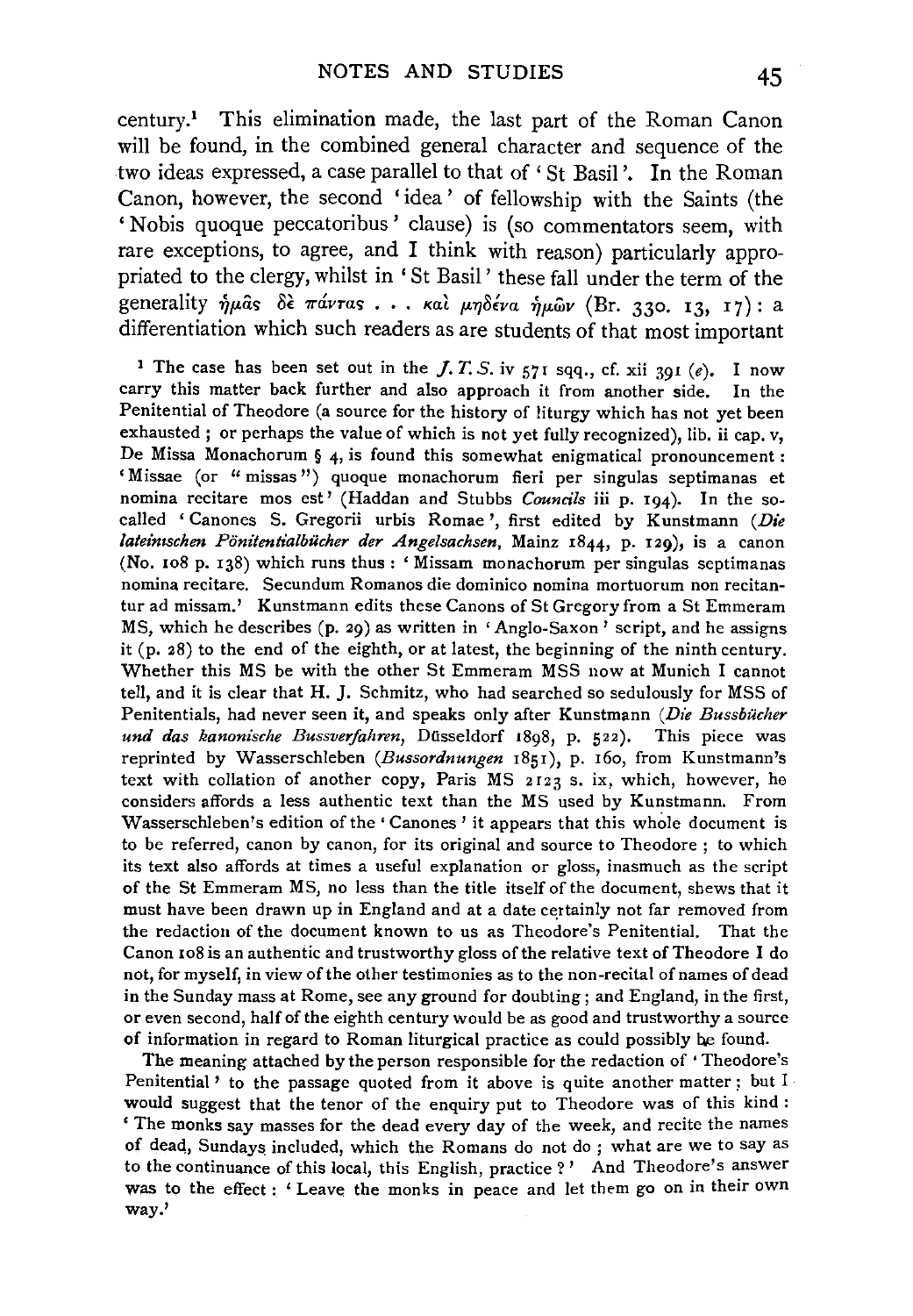century.1 This elimination made, the last part of the Roman Canon will be found, in the combined general character and sequence of the two ideas expressed, a case parallel to that of ' St Basil'. In the Roman Canon, however, the second 'idea' of fellowship with the Saints (the 'Nobis quoque peccatoribus' clause) is (so commentators seem, with rare exceptions, to agree, and I think with reason) particularly appropriated to the clergy, whilst in 'St Basil' these fall under the term of the generality ήμας δε πάντας ... και μηδένα ήμων (Br. 330. 13, 17): a differentiation which such readers as are students of that most important

<sup>1</sup> The case has been set out in the *J. T. S.* iv  $571$  sqq., cf. xii 391 (e). I now carry this matter back further and also approach it from another side. In the Penitential of Theodore (a source for the history of liturgy which has not yet been exhausted ; or perhaps the value of which is not yet fully recognized), lib. ii cap. v, De Missa Monachorum  $\S$  4, is found this somewhat enigmatical pronouncement : 'Missae (or "missas") quoque monachorum fieri per singulas septimanas et nomina recitare mos est' (Haddan and Stubbs *Councils* iii p. 194). In the socalled 'Canones S. Gregorii urbis Romae ', first edited by Kunstmann *(Die*  lateinischen Pönitentialbücher der Angelsachsen, Mainz 1844, p. 129), is a canon (No. 108 p. 138) which runs thus: 'Missam monachorum per singulas septimanas nomina recitare. Secundum Romanos die dominico nomina mortuorum non recitantur ad missam.' Kunstmann edits these Canons of St Gregory from a St Emmcram MS, which he describes (p. 29) as written in 'Anglo-Saxon' script, and he assigns it (p. 28) to the end of the eighth, or at latest, the beginning of the ninth century. Whether this MS be with the other St Emmeram MSS now at Munich I cannot tell, and it is clear that H. J. Schmitz, who had searched so sedulously for MSS of Penitentials, had never seen it, and speaks only after Kunstmann *(Die Bussbiicher und das kanonische Bussveifahren,* Dusseldorf 1898, p. 522). This piece was reprinted by Wasserschleben *(Bussordnungen* 1851), p. r6o, from Kunstmann's text with collation of another copy, Paris MS 2123 s. ix, which, however, he considers affords a less authentic text than the MS used by Kunstmann. From Wasserschleben's edition of the' Canones' it appears that this whole document is to be referred, canon by canon, for its original and source to Theodore ; to which its text also affords at times a useful explanation or gloss, inasmuch as the script of the St Emmeram MS, no less than the title itself of the document, shews that it must have been drawn up in England and at a date certainly not far removed from the redaction of the document known to us as Theodore's Penitential. That the Canon 108 is an authentic and trustworthy gloss of the relative text of Theodore I do not, for myself, in view of the other testimonies as to the non-recital of names of dead in the Sunday mass at Rome, see any ground for doubting; and England, in the first, or even second, half of the eighth century would be as good and trustworthy a source of information in regard to Roman liturgical practice as could possibly b.e found.

The meaning attached by the person responsible for the redaction of 'Theodore's Penitential' to the passage quoted from it above is quite another matter; but I would suggest that the tenor of the enquiry put to Theodore was of this kind : ' The monks say masses for the dead every day of the week, and recite the names of deaq, Sundays included, which the Romans do not do ; what are we to say as to the continuance of this local, this English, practice?' And Theodore's answer was to the effect: 'Leave the monks in peace and let them go on in their own way.'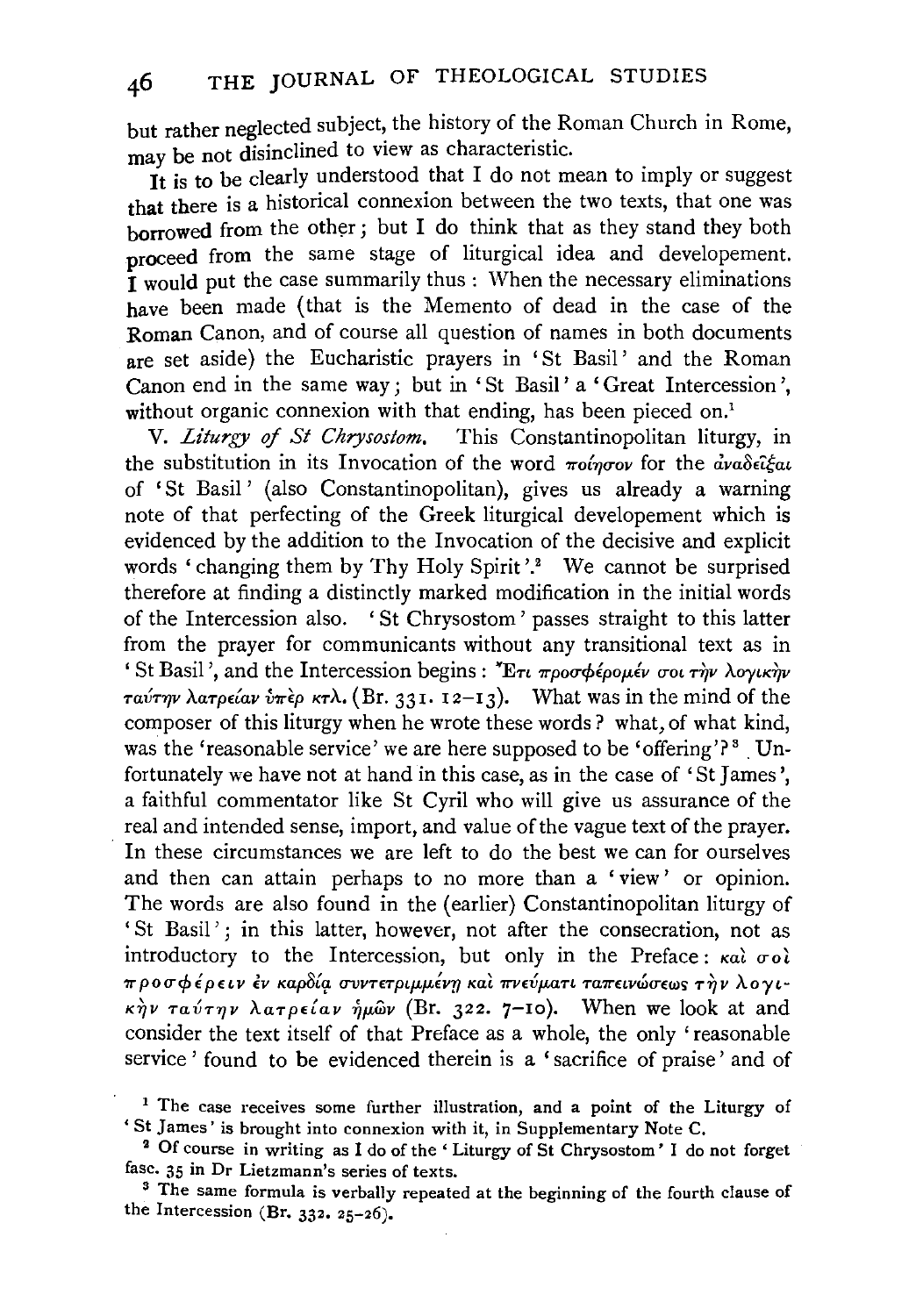but rather neglected subject, the history of the Roman Church in Rome, may be not disinclined to view as characteristic.

 $\overline{I}$  is to be clearly understood that I do not mean to imply or suggest that there is a historical connexion between the two texts, that one was borrowed from the other; but I do think that as they stand they both proceed from the same stage of liturgical idea and developement. 1 would put the case summarily thus : When the necessary eliminations have been made (that is the Memento of dead in the case of the Roman Canon, and of course all question of names in both documents are set aside) the Eucharistic prayers in 'St Basil' and the Roman Canon end in the same way; but in 'St Basil' a 'Great Intercession', without organic connexion with that ending, has been pieced on.<sup>1</sup>

V. *Liturgy of St Chrysostom.* This Constantinopolitan liturgy, in the substitution in its Invocation of the word *ποίησον* for the *αναδείξαι* of 'St Basil ' (also Constantinopolitan), gives us already a warning note of that perfecting of the Greek liturgical developement which is evidenced by the addition to the Invocation of the decisive and explicit words 'changing them by Thy Holy Spirit'.<sup>2</sup> We cannot be surprised therefore at finding a distinctly marked modification in the initial words of the Intercession also. 'St Chrysostom' passes straight to this latter from the prayer for communicants without any transitional text as in 'St Basil', and the Intercession begins:  $^{\prime}E_{\tau\iota}$   $\pi\rho\sigma\sigma\phi\epsilon\rho\sigma\mu\epsilon\nu$  *τοι την λογικήν*  $\tau a\nu\tau\eta\nu\lambda a\tau\rho\epsilon\omega\nu\nu\pi\epsilon\rho\kappa\tau\lambda.$  (Br. 331. 12–13). What was in the mind of the composer of this liturgy when he wrote these words? what, of what kind, was the 'reasonable service' we are here supposed to be 'offering'?<sup>3</sup> Unfortunately we have not at hand in this case, as in the case of 'St James', a faithful commentator like St Cyril who will give us assurance of the real and intended sense, import, and value of the vague text of the prayer. In these circumstances we are left to do the best we can for ourselves and then can attain perhaps to no more than a ' view' or opinion. The words are also found in the (earlier) Constantinopolitan liturgy of 'St Basil'; in this latter, however, not after the consecration, not as introductory to the Intercession, but only in the Preface:  $\kappa a \delta \sigma o \delta$  $\pi$ ροσφέρειν έν καρδία συντετριμμένη και πνεύματι ταπεινώσεως την λογι- $\kappa \dot{\gamma}$ ν ταύτην λατρείαν ήμων (Br. 322. 7-10). When we look at and consider the text itself of that Preface as a whole, the only 'reasonable service ' found to be evidenced therein is a ' sacrifice of praise' and of

<sup>&</sup>lt;sup>1</sup> The case receives some further illustration, and a point of the Liturgy of 'St James' is brought into connexion with it, in Supplementary Note C. 2 Of course in writing as I do of the ' Liturgy of St Chrysostom' I do not forget

fasc. 35 in Dr Lietzmann's series of texts.

<sup>&</sup>lt;sup>3</sup> The same formula is verbally repeated at the beginning of the fourth clause of the Intercession (Br. 332.  $25-26$ ).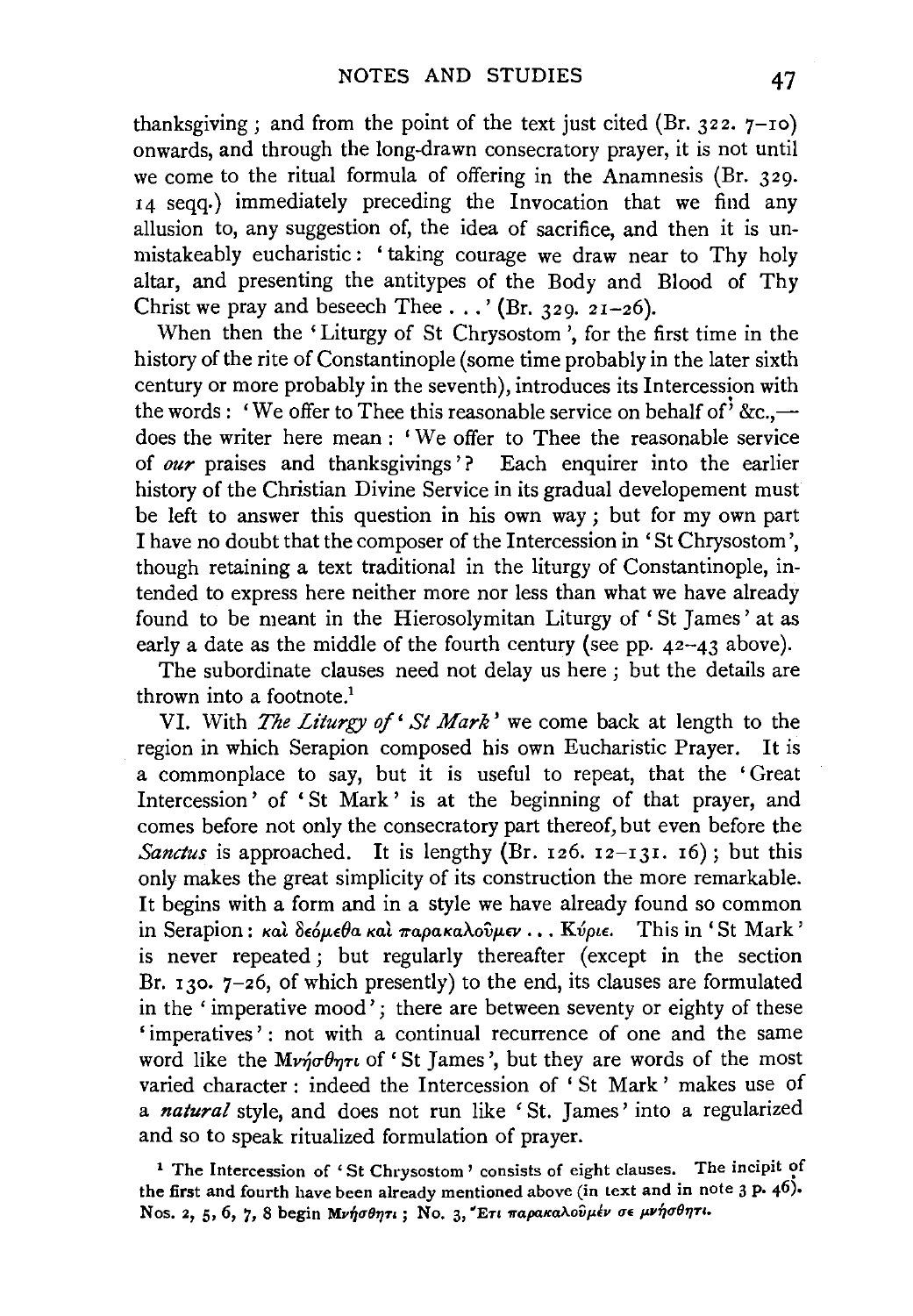thanksgiving; and from the point of the text just cited (Br.  $322.7-10$ ) onwards, and through the long-drawn consecratory prayer, it is not until we come to the ritual formula of offering in the Anamnesis (Er. 329. 14 seqq.) immediately preceding the Invocation that we find any allusion to, any suggestion of, the idea of sacrifice, and then it is unmistakeably eucharistic: ' taking courage we draw near to Thy holy altar, and presenting the antitypes of the Body and Blood of Thy Christ we pray and beseech Thee . . . ' (Br. 329. 21-26).

When then the 'Liturgy of St Chrysostom', for the first time in the history of the rite of Constantinople (some time probably in the later sixth century or more probably in the seventh), introduces its Intercession with the words : 'We offer to Thee this reasonable service on behalf of  ${}^{3}$  &c.,does the writer here mean: 'We offer to Thee the reasonable service of *our* praises and thanksgivings '? Each enquirer into the earlier history of the Christian Divine Service in its gradual developement must be left to answer this question in his own way ; but for my own part I have no doubt that the composer of the Intercession in 'St Chrysostom ', though retaining a text traditional in the liturgy of Constantinople, intended to express here neither more nor less than what we have already found to be meant in the Hierosolymitan Liturgy of 'St James' at as early a date as the middle of the fourth century (see pp.  $42-43$  above).

The subordinate clauses need not delay us here ; but the details are thrown into a footnote.<sup>1</sup>

VI. With *The Liturgy* of' *St Mark'* we come back at length to the region in which Serapion composed his own Eucharistic Prayer. It is a commonplace to say, but it is useful to repeat, that the 'Great Intercession' of 'St Mark' is at the beginning of that prayer, and comes before not only the consecratory part thereof, but even before the *Sanctus* is approached. It is lengthy (Br. 126. 12–131. 16); but this only makes the great simplicity of its construction the more remarkable. It begins with a form and in a style we have already found so common in Serapion : *Kat 8€6p.d)a Kat 7rapaKaAovp.w* .•. *Kvpt€.* This in 'St Mark' is never repeated ; but regularly thereafter (except in the section Br. 130.  $7-26$ , of which presently) to the end, its clauses are formulated in the ' imperative mood'; there are between seventy or eighty of these 'imperatives': not with a continual recurrence of one and the same word like the M $\nu \eta \sigma \theta \eta \tau \iota$  of 'St James', but they are words of the most varied character : indeed the Intercession of 'St Mark' makes use of a *natural* style, and does not run like 'St. James' into a regularized and so to speak ritualized formulation of prayer.

<sup>&</sup>lt;sup>1</sup> The Intercession of 'St Chrysostom' consists of eight clauses. The incipit of the first and fourth have been already mentioned above (in text and in note 3 P· 46). Nos. 2, 5, 6, 7, 8 begin Μνήσθητι; Νo. 3, Έτι παρακαλούμέν σε μνήσθητι.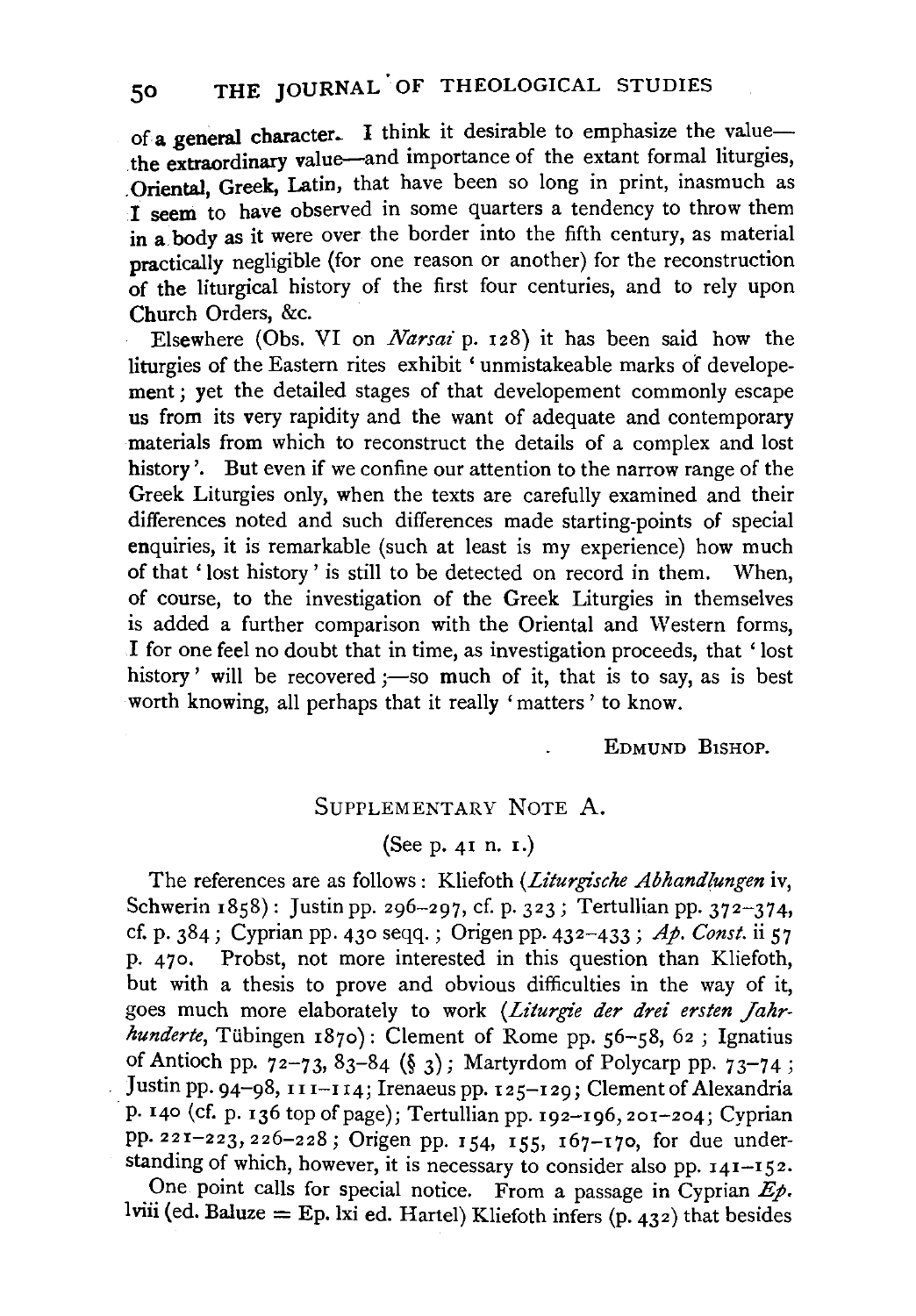of a general character. I think it desirable to emphasize the valuethe extraordinary value-and importance of the extant formal liturgies. . Oriental, Greek, Latin, that have been so long in print, inasmuch as 1 seem to have observed in some quarters a tendency to throw them in a body as it were over the border into the fifth century, as material practically negligible (for one reason or another) for the reconstruction of the liturgical history of the first four centuries, and to rely upon Church Orders, &c.

Elsewhere (Ohs. VI on *Narsai* p. 128) it has been said how the liturgies of the Eastern rites exhibit ' unmistakeable marks of developement; yet the detailed stages of that developement commonly escape us from its very rapidity and the want of adequate and contemporary materials from which to reconstruct the details of a complex and lost history'. But even if we confine our attention to the narrow range of the Greek Liturgies only, when the texts are carefully examined and their differences noted and such differences made starting-points of special enquiries, it is remarkable (such at least is my experience) how much of that 'lost history' is still to be detected on record in them. When, of course, to the investigation of the Greek Liturgies in themselves is added a further comparison with the Oriental and Western forms, I for one feel no doubt that in time, as investigation proceeds, that 'lost history' will be recovered ;- so much of it, that is to say, as is best worth knowing, all perhaps that it really 'matters' to know.

EDMUND BISHOP.

## SUPPLEMENTARY NOTE A.

## (See p. 41 n. x.)

The references are as follows : Kliefoth (Liturgische Abhandlungen iv, Schwerin 1858): Justin pp. 296-297, cf. p. 323; Tertullian pp. 372-374, cf. p. 384; Cyprian pp. 430 seqq. ; Origen pp. 432-433; *Ap. Const.* ii 57 p. 470. Probst, not more interested in this question than Kliefoth, but with a thesis to prove and obvious difficulties in the way of it, goes much more elaborately to work (Liturgie der drei ersten Jahr*hunderte*, Tübingen 1870): Clement of Rome pp. 56-58, 62; Ignatius of Antioch pp. 72-73, 83-84 (§ 3); Martyrdom of Polycarp pp. 73-74; Justin pp. 94-98, II r-1 14; Irenaeus pp. 125-129; Clement of Alexandria · P· 140 (cf. p. 136 top of page); Tertullian pp. 192-196, 201-204; Cyprian PP· 221-223,226-228; Origen pp. 154, 155, 167-170, for due understanding of which, however, it is necessary to consider also pp. 141-152.

One point calls for special notice. From a passage in Cyprian  $E_p$ . lviii (ed. Baluze = Ep. lxi ed. Hartel) Kliefoth infers (p. 432) that besides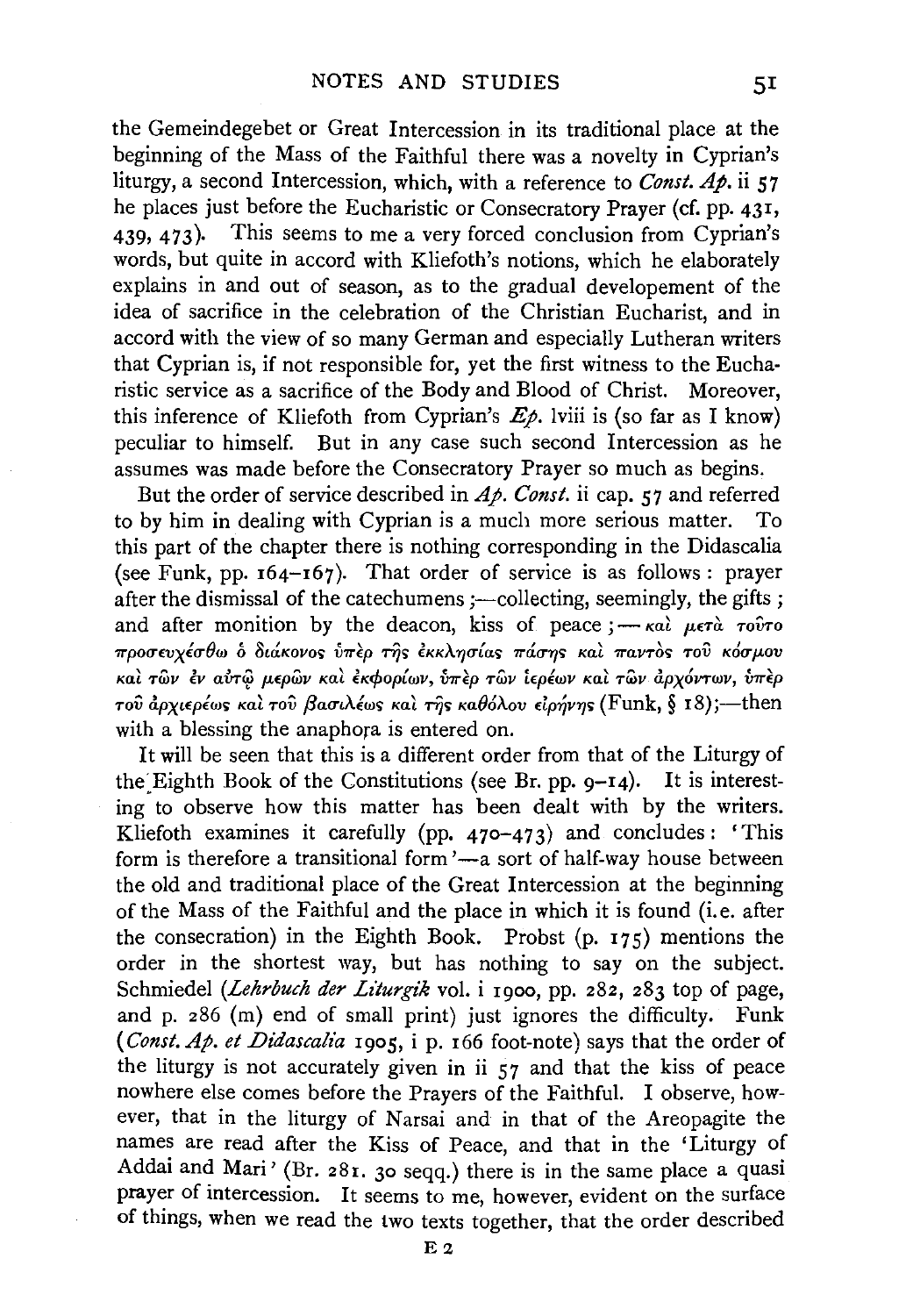the Gemeindegebet or Great Intercession in its traditional place at the beginning of the Mass of the Faithful there was a novelty in Cyprian's liturgy, a second Intercession, which, with a reference to *Const. Ap.* ii 57 he places just before the Eucharistic or Consecratory Prayer (cf. pp. 431, 439, 473). This seems to me a very forced conclusion from Cyprian's words, but quite in accord with Kliefoth's notions, which he elaborately explains in and out of season, as to the gradual developement of the idea of sacrifice in the celebration of the Christian Eucharist, and in accord with the view of so many German and especially Lutheran writers that Cyprian is, if not responsible for, yet the first witness to the Eucha· ristic service as a sacrifice of the Body and Blood of Christ. Moreover, this inference of Kliefoth from Cyprian's  $E_p$ . lviii is (so far as I know) peculiar to himself. But in any case such second Intercession as he assumes was made before the Consecratory Prayer so much as begins.

But the order of service described in Ap. Const. ii cap. 57 and referred to by him in dealing with Cyprian is a much more serious matter. To this part of the chapter there is nothing corresponding in the Didascalia (see Funk, pp.  $164-167$ ). That order of service is as follows: prayer after the dismissal of the catechumens  $:$  -collecting, seemingly, the gifts ; and after monition by the deacon, kiss of peace ;  $-\kappa a$   $\mu \epsilon \tau a$   $\tau o \hat{v} \tau o$  $\pi$ ροσευχέσθω ο διάκονος υπερ της εκκλησίας πάσης και παντος του κόσμου Kat *TWV* f.v awe{> JLEpwv Kat f.Kcpop{wv, V7rEp *TWV* iEpl:wv Kat *TWV* dpx&vrwv, V7rEp τού άρχιερέως και του βασιλέως και της καθόλου ειρήνης (Funk, § 18);—then with a blessing the anaphora is entered on.

It will be seen that this is a different order from that of the Liturgy of the Eighth Book of the Constitutions (see Br. pp.  $9-I4$ ). It is interesting to observe how this matter has been dealt with by the writers. Kliefoth examines it carefully (pp. 470-473) and concludes: 'This form is therefore a transitional form'—a sort of half-way house between the old and traditional place of the Great Intercession at the beginning of the Mass of the Faithful and the place in which it is found (i.e. after the consecration) in the Eighth Book. Probst  $(p. 175)$  mentions the order in the shortest way, but has nothing to say on the subject. Schmiedel *(Lehrbuch der Liturgik* vol. i 1900, pp. 282, 283 top of page, and p. 286 (m) end of small print) just ignores the difficulty. Funk ( *Const. Ap. et Didascalia* 1905, i p. x66 foot-note) says that the order of the liturgy is not accurately given in ii 57 and that the kiss of peace nowhere else comes before the Prayers of the Faithful. I observe, however, that in the liturgy of Narsai and in that of the Areopagite the names are read after the Kiss of Peace, and that in the 'Liturgy of Addai and Mari' (Br. 281. 30 seqq.) there is in the same place a quasi prayer of intercession. It seems to me, however, evident on the surface of things, when we read the two texts together, that the order described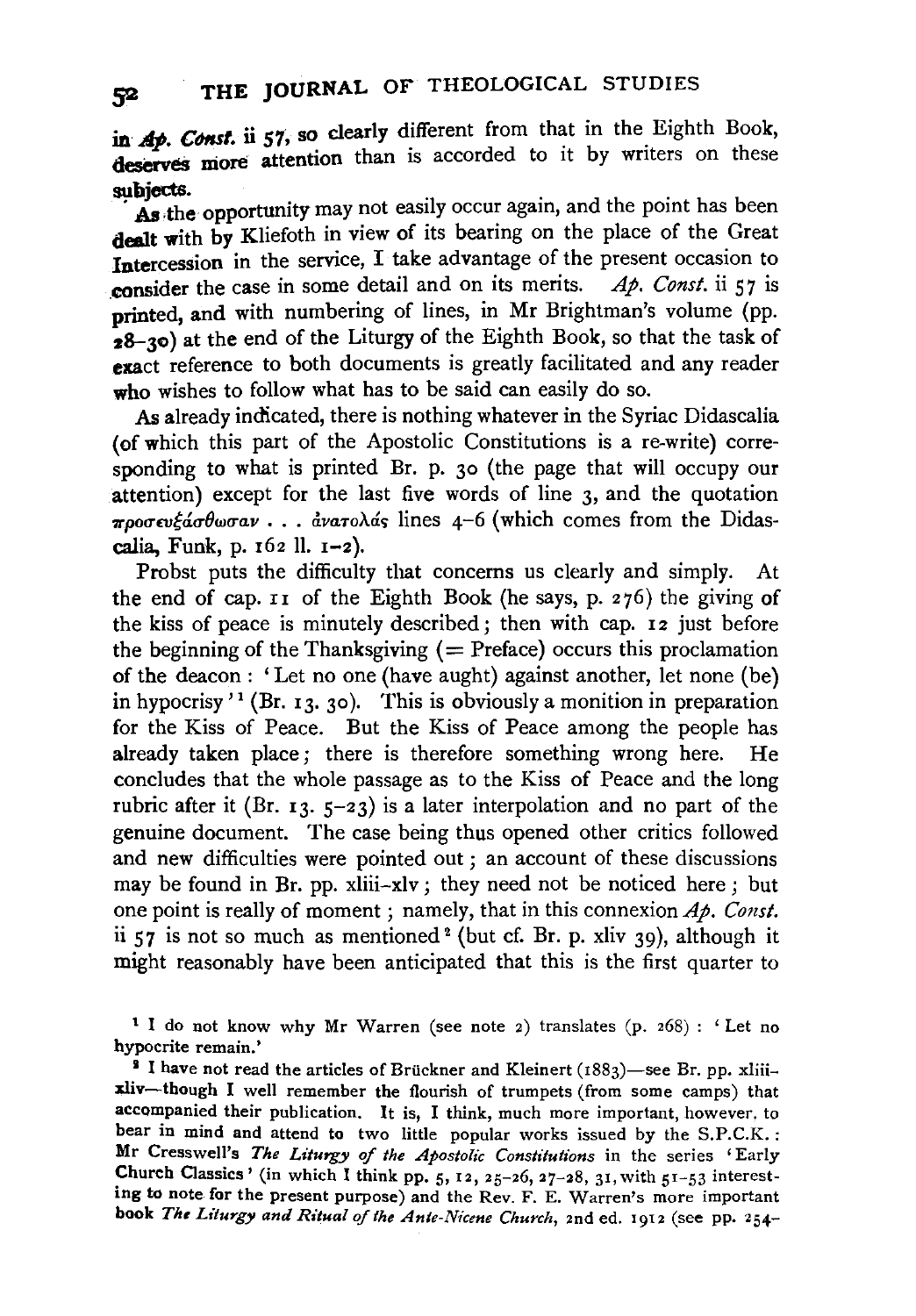in Ap. Const. ii 57, so clearly different from that in the Eighth Book, deserves more attention than is accorded to it by writers on these

subjects.<br>As the opportunity may not easily occur again, and the point has been dealt with by Kliefoth in view of its bearing on the place of the Great Intercession in the service, I take advantage of the present occasion to consider the case in some detail and on its merits. *Ap. Const.* ii 57 is printed, and with numbering of lines, in Mr Brightman's volume (pp.  $28-30$ ) at the end of the Liturgy of the Eighth Book, so that the task of exact reference to both documents is greatly facilitated and any reader who wishes to follow what has to be said can easily do so.

As already indicated, there is nothing whatever in the Syriac Didascalia (of which this part of the Apostolic Constitutions is a re-write) corresponding to what is printed Br. p. 30 (the page that will occupy our attention) except for the last five words of line 3, and the quotation 7rp00'€1J~&.u0wuav ••• *avaToA&c;* lines 4-6 (which comes from the Didascalia, Funk, p. 162 ll. 1-2).

Probst puts the difficulty that concerns us clearly and simply. At the end of cap. II of the Eighth Book (he says, p. 276) the giving of the kiss of peace is minutely described; then with cap. Iz just before the beginning of the Thanksgiving  $($  = Preface) occurs this proclamation of the deacon : 'Let no one (have aught) against another, let none (be) in hypocrisy<sup>'1</sup> (Br. 13. 30). This is obviously a monition in preparation for the Kiss of Peace. But the Kiss of Peace among the people has already taken place; there is therefore something wrong here. He concludes that the whole passage as to the Kiss of Peace and the long rubric after it (Br. 13.  $5-23$ ) is a later interpolation and no part of the genuine document. The case being thus opened other critics followed and new difficulties were pointed out ; an account of these discussions may be found in Br. pp. xliii-xlv; they need not be noticed here ; but one point is really of moment ; namely, that in this connexion *Ap. Cons!.*  ii  $57$  is not so much as mentioned<sup>2</sup> (but cf. Br. p. xliv 39), although it might reasonably have been anticipated that this is the first quarter to

<sup>1</sup> I do not know why Mr Warren (see note 2) translates  $(p. 268)$ : 'Let no hypocrite remain.'<br>
<sup>3</sup> I have not read the articles of Brückner and Kleinert (1883)—see Br. pp. xliii-

<sup>:</sup>div-though I well remember the flourish of trumpets (from some camps) that accompanied their publication. It is, I think, much more important, however. to bear in mind and attend to two little popular works issued by the S.P.C.K. : Mr Cresswell's *The Liturgy of the Apostolic Constitutions* in the series 'Early Church Classics' (in which I think pp. 5, 12, 25-26, 27-28, 31, with  $51-53$  interesting to note for the present purpose) and the Rev. F. E. Warren's more important book *Tht Liturgy and Ritual of the Ante-Nicene Church,* 2nd ed. 1912 (see pp. 254-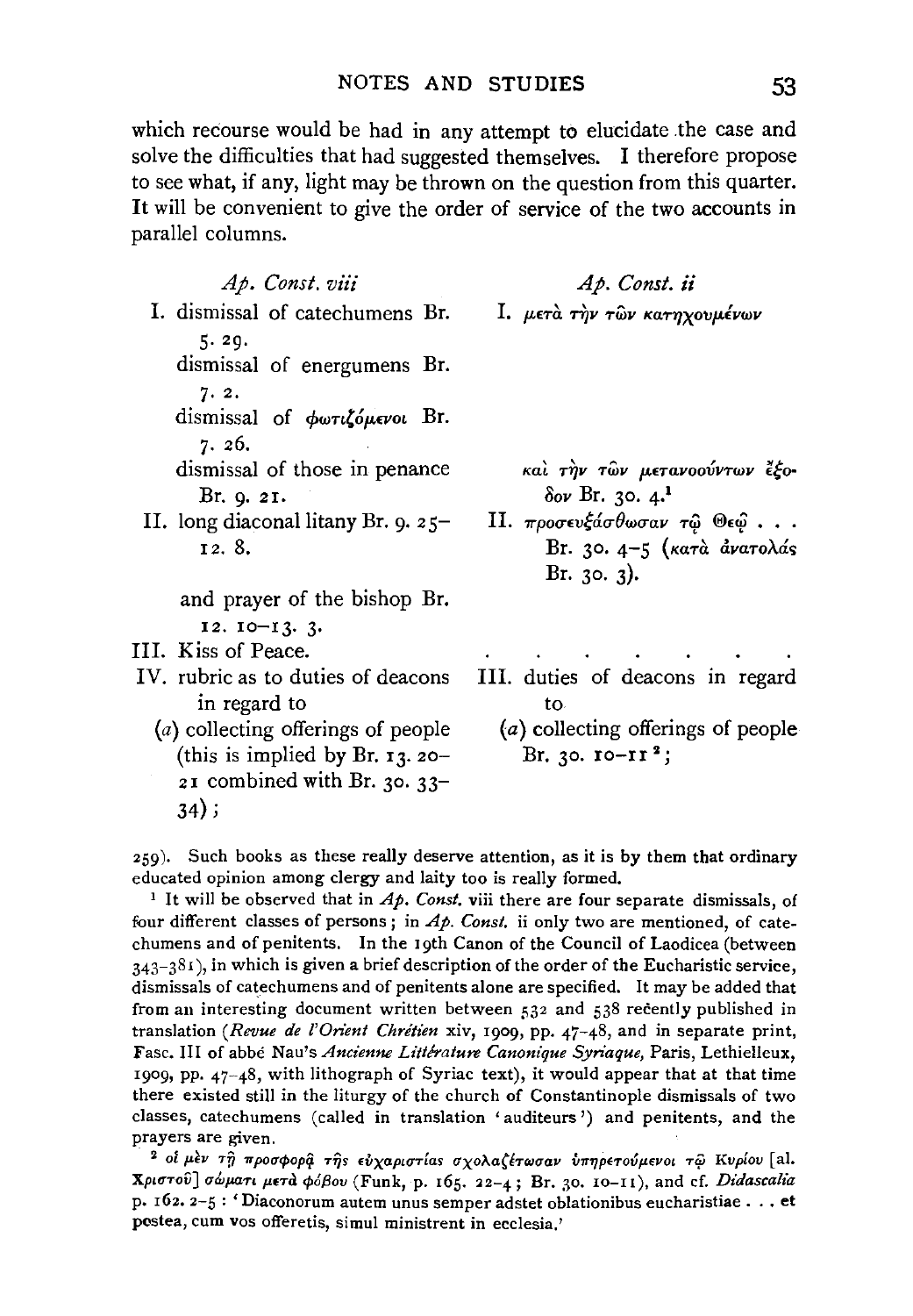which recourse would be had in any attempt to elucidate the case and solve the difficulties that had suggested themselves. I therefore propose to see what, if any, light may be thrown on the question from this quarter. It will be convenient to give the order of service of the two accounts in parallel columns.

I. dismissal of catechumens Br. II. long diaconal litany Br. 9. 25-*Ap. Cons!. viii*  5· 29. dismissal of energumens Br. 7· 2. dismissal of  $\phi$ wTL (6µEVOL Br. 7· 26. dismissal of those in penance Br. 9. 21. 12. 8. and prayer of the bishop Br.  $12. 10 - 13. 3.$ Ill. Kiss of Peace. IV. rubric as to duties of deacons in regard to (a) collecting offerings of people (this is implied by Br. 13. 20- 21 combined with Br. 30.  $33$ -34); *Ap. Const.* ii Ι. μετά την των κατηχουμένων *Kal την των μετανοούντων έξο-* $\delta$ ov Br. 30. 4.<sup>1</sup> II. προσευξάσθωσαν τω Θεώ... Br. 30. 4-5 (κατά άνατολάς Br. 30. 3). III. duties of deacons in regard to (a) collecting offerings of people Br. 30.  $10-11^2$ ;

259). Such books as these really deserve attention, as it is by them that ordinary

educated opinion among clergy and laity too is really formed.<br><sup>1</sup> It will be observed that in *Ap. Const.* viii there are four separate dismissals, of four different classes of persons ; in *Ap. Const.* ii only two are mentioned, of catechumens and of penitents. In the 19th Canon of the Council of Laodicea (between  $343-381$ ), in which is given a brief description of the order of the Eucharistic service, dismissals of catechumens and of penitents alone are specified. It may be added that from an interesting document written between 532 and 538 recently published in translation *(Revue de !'Orient Chritien* xiv, 1909, pp. 47-48, and in separate print, Fasc. III of abbe Nau's *Ancienne Litterature Canonique Syriaque*, Paris, Lethielleux, 1909, pp.  $47-48$ , with lithograph of Syriac text), it would appear that at that time there existed still in the liturgy of the church of Constantinople dismissals of two classes, catechumens (called in translation 'auditeurs ') and penitents, and the prayers are given.<br><sup>2</sup> ol μεν τη προσφορά της εύχαριστίας σχολαζέτωσαν υπηρετούμενοι τώ Κυρίου [al.

*Xριστού] σώματι μετά φόβου* (Funk, p. 165. 22-4; Br. 30. 10-11), and cf. *Didascalia* p. 162. 2-5 : 'Diaconorum autem unus semper adstet oblationibus eucharistiae ... et postea, cum vos offeretis, simul ministrent in ecclesia.'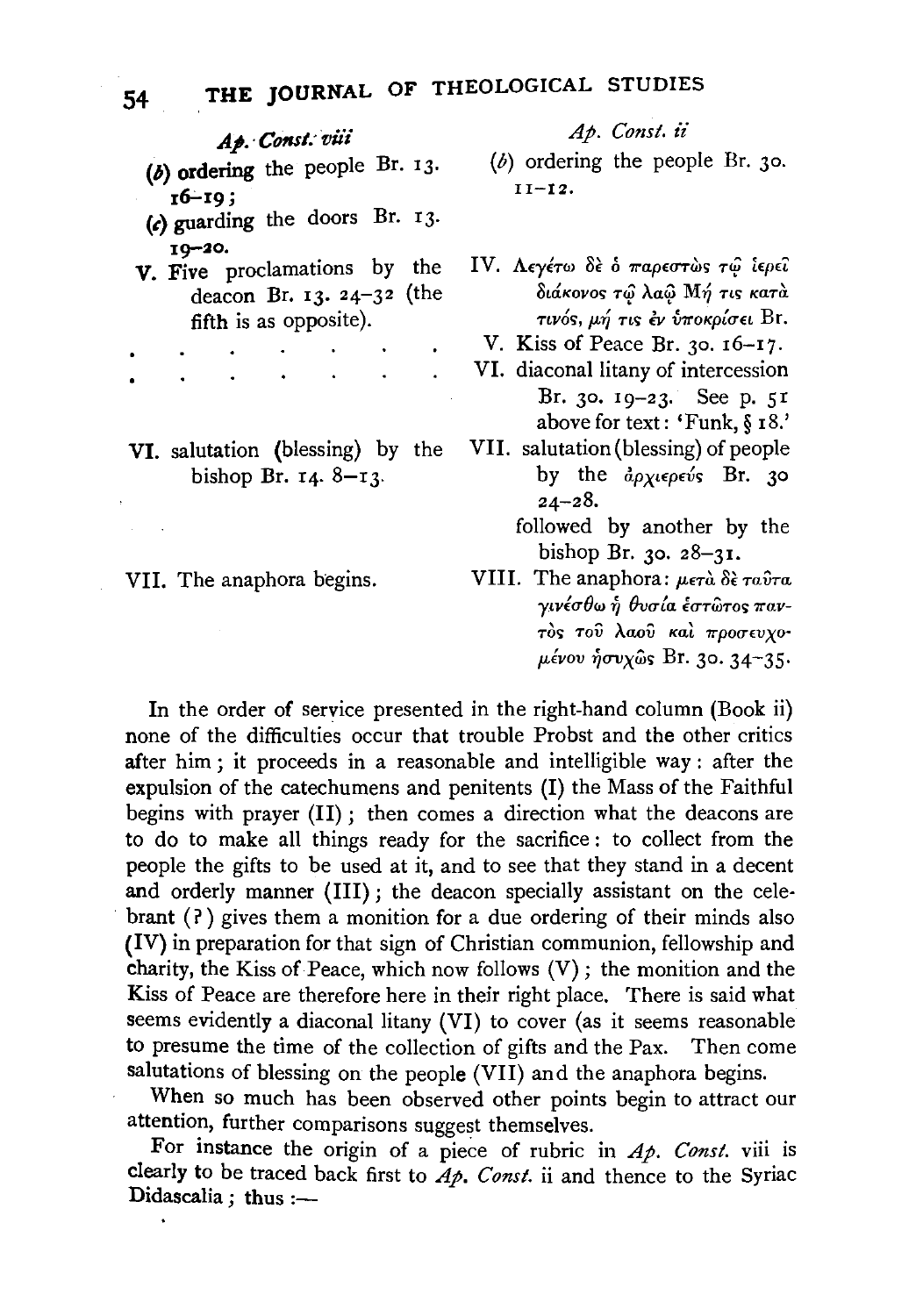| Ap. Const. viii                                           | Ap. Const. ii                                                                                    |
|-----------------------------------------------------------|--------------------------------------------------------------------------------------------------|
| ( $b$ ) ordering the people Br. 13.                       | $(b)$ ordering the people Br. 30.                                                                |
| $16 - 19$ ;                                               | $II-II2$ .                                                                                       |
| $(c)$ guarding the doors Br. 13.                          |                                                                                                  |
| 10-20.                                                    |                                                                                                  |
| V. Five proclamations by the                              | ΙV. Λεγέτω δε ο παρεστώς τώ ιερεί                                                                |
| deacon Br. 13. $24-32$ (the                               | διάκονος τῷ λαῷ Μή τις κατὰ                                                                      |
| fifth is as opposite).                                    | τινός, μή τις έν υποκρίσει Βι.                                                                   |
| $\bullet$ , and $\bullet$ , and $\bullet$ , and $\bullet$ | V. Kiss of Peace Br. 30. $16 - 17$ .                                                             |
|                                                           | VI. diaconal litany of intercession                                                              |
|                                                           | Br. 30. 19–23. See p. 51                                                                         |
|                                                           | above for text: 'Funk, $\S$ 18.'                                                                 |
| VI. salutation (blessing) by the                          | VII. salutation (blessing) of people                                                             |
| bishop Br. $14.8 - 13$ .                                  | by the $\partial \rho \chi_{\alpha\beta}$ by the $\partial \rho$                                 |
|                                                           | 24–28.                                                                                           |
|                                                           | followed by another by the                                                                       |
|                                                           | bishop Br. 30. $28 - 31$ .                                                                       |
| VII. The anaphora begins.                                 | VIII. The anaphora: $\mu \epsilon \tau \dot{\alpha} \delta \dot{\epsilon} \tau a \hat{v} \tau a$ |
|                                                           | γινέσθω ή θυσία έστῶτος παν-                                                                     |
|                                                           | τός του λαού καί προσευχο-                                                                       |

In the order of service presented in the right-hand column (Book ii) none of the difficulties occur that trouble Probst and the other critics after him; it proceeds in a reasonable and intelligible way: after the expulsion of the catechumens and penitents (I) the Mass of the Faithful begins with prayer (II) ; then comes a direction what the deacons are to do to make all things ready for the sacrifice : to collect from the people the gifts to be used at it, and to see that they stand in a decent and orderly manner (III); the deacon specially assistant on the celebrant (? ) gives them a monition for a due ordering of their minds also (IV) in preparation for that sign of Christian communion, fellowship and charity, the Kiss of Peace, which now follows (V) ; the monition and the Kiss of Peace are therefore here in their right place. There is said what seems evidently a diaconal litany (VI) to cover (as it seems reasonable to presume the time of the collection of gifts and the Pax. Then come salutations of blessing on the people (VII) and the anaphora begins.

 $\mu\acute{\epsilon}$ νου ήσυχως Br. 30. 34-35.

When so much has been observed other points begin to attract our attention, further comparisons suggest themselves.

For instance the origin of a piece of rubric in Ap. Const. viii is clearly to be traced back first to  $Ap$ . Const. ii and thence to the Syriac Didascalia; thus :-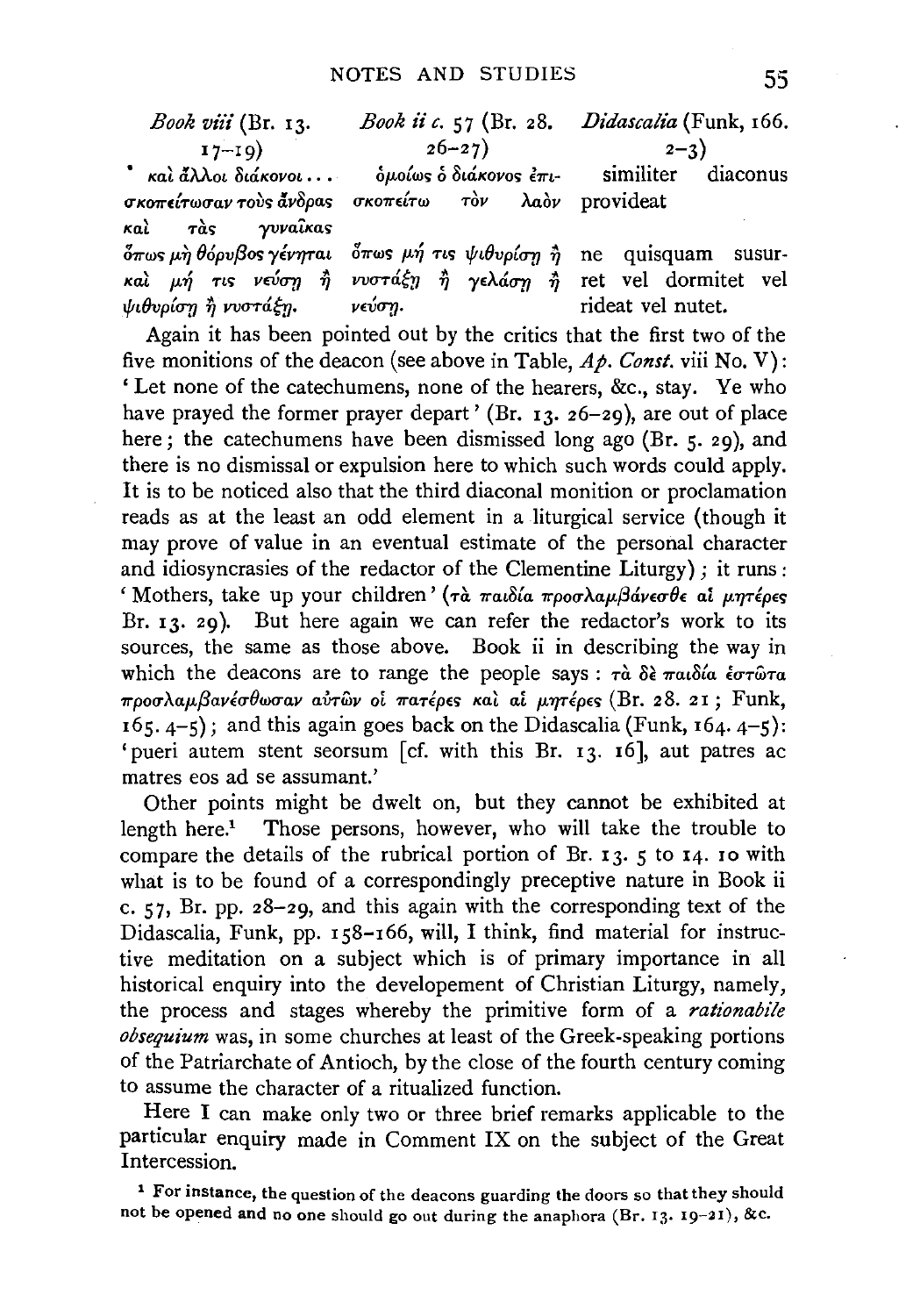| Book viii (Br. $13$ .      |                                                                   | <i>Book ii c.</i> 57 (Br. 28. <i>Didascalia</i> (Funk, 166. |
|----------------------------|-------------------------------------------------------------------|-------------------------------------------------------------|
| $17-19$                    | $26 - 27$                                                         | $2 - 3$                                                     |
|                            | $^*$ καὶ ἄλλοι διάκονοι δμοίως δ διάκονος έπι- similiter diaconus |                                                             |
|                            | σκοπείτωσαν τους άνδρας σκοπείτω τον λαόν provideat               |                                                             |
| καλ τας γυναΐκας           |                                                                   |                                                             |
|                            | όπως μη θόρυβος γένηται όπως μή τις ψιθυρίση ή ne quisquam susur- |                                                             |
|                            | καί μή τις νεύση ή νυστάξη ή γελάση ή ret vel dormitet vel        |                                                             |
| ψιθυρίση ή νυστάξη. γεύση. |                                                                   | rideat vel nutet.                                           |

Again it has been pointed out by the critics that the first two of the five monitions of the deacon (see above in Table, Ap. *Const.* viii No. V): 'Let none of the catechumens, none of the hearers, &c., stay. Ye who have prayed the former prayer depart' (Br. 13. 26-29), are out of place here; the catechumens have been dismissed long ago (Br. 5. 29), and there is no dismissal or expulsion here to which such words could apply. It is to be noticed also that the third diaconal monition or proclamation reads as at the least an odd element in a liturgical service (though it may prove of value in an eventual estimate of the personal character and idiosyncrasies of the redactor of the Clementine Liturgy) ; it runs : ' Mothers, take up your children' (τα παιδία προσλαμβάνεσθε αι μητέρες Br.  $13.29$ ). But here again we can refer the redactor's work to its sources, the same as those above. Book ii in describing the way in which the deacons are to range the people says :  $\tau \hat{a} \delta \hat{\epsilon} \pi a \iota \delta a \hat{\epsilon} \sigma \tau \hat{\omega} \tau a$  $\pi$ ροσλαμβανέσθωσαν αὐτῶν οι πατέρες και ai μητέρες (Br. 28. 21; Funk,  $165. 4-5$ ; and this again goes back on the Didascalia (Funk,  $164. 4-5$ ): 'pueri autem stent seorsum [cf. with this Br. 13. 16], aut patres ac matres eos ad se assumant.'

Other points might be dwelt on, but they cannot be exhibited at length here.<sup>1</sup> Those persons, however, who will take the trouble to compare the details of the rubrical portion of Br. 13. 5 to 14. ro with what is to be found of a correspondingly preceptive nature in Book ii c. 57, Br. pp. 28-29, and this again with the corresponding text of the Didascalia, Funk, pp. 158-166, will, I think, find material for instructive meditation on a subject which is of primary importance in all historical enquiry into the developement of Christian Liturgy, namely, the process and stages whereby the primitive form of a *rationabile obsequium* was, in some churches at least of the Greek-speaking portions of the Patriarchate of Antioch, by the close of the fourth century coming to assume the character of a ritualized function.

Here I can make only two or three brief remarks applicable to the particular enquiry made in Comment IX on the subject of the Great Intercession.

<sup>1</sup> For instance, the question of the deacons guarding the doors so that they should not be opened and no one should go out during the anaphora (Br. 13. 19-21), &c.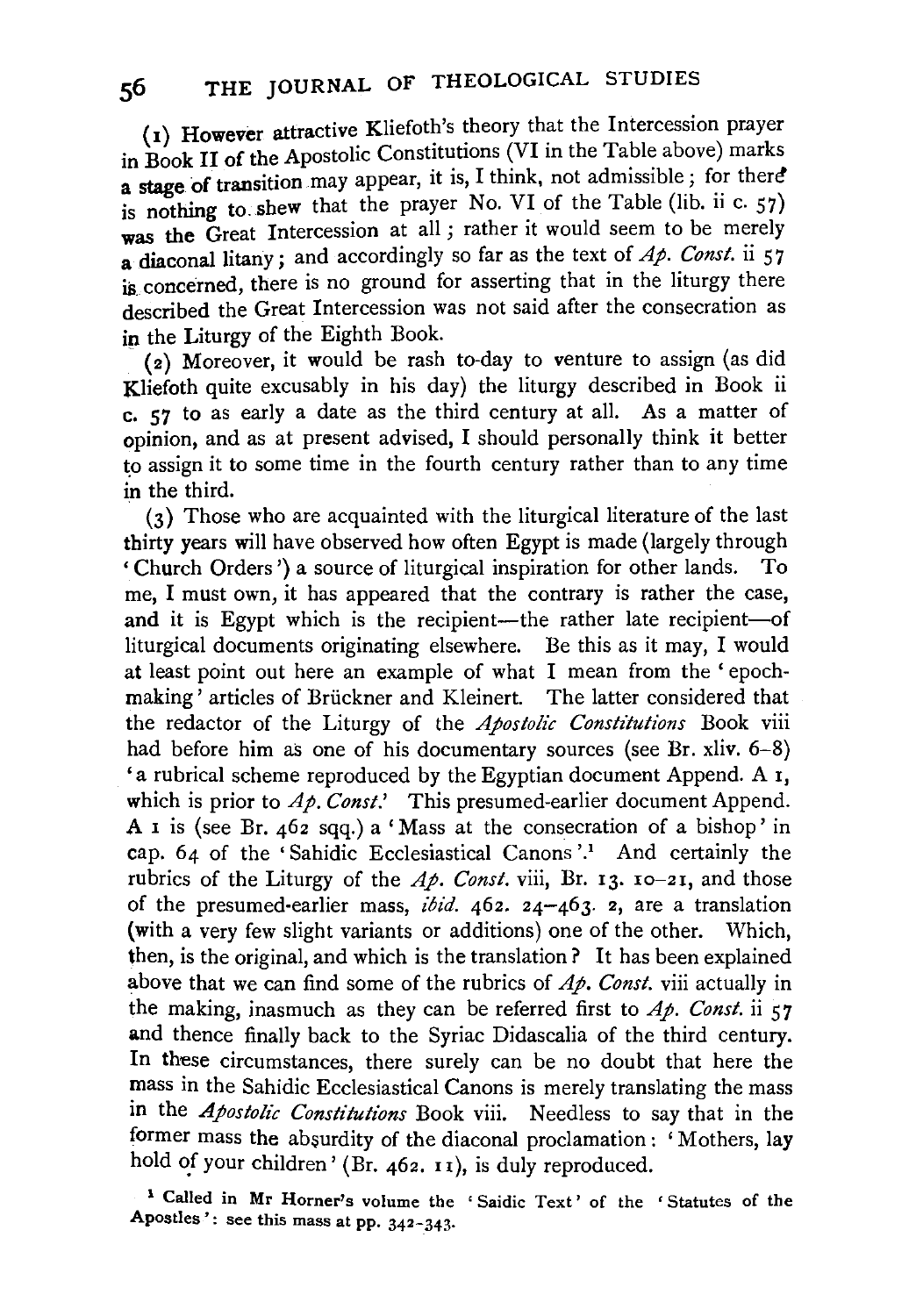(1) However attractive Kliefoth's theory that the Intercession prayer  $\frac{1}{\sqrt{1 + \frac{1}{\sqrt{1 + \frac{1}{\sqrt{1 + \frac{1}{\sqrt{1 + \frac{1}{\sqrt{1 + \frac{1}{\sqrt{1 + \frac{1}{\sqrt{1 + \frac{1}{\sqrt{1 + \frac{1}{\sqrt{1 + \frac{1}{\sqrt{1 + \frac{1}{\sqrt{1 + \frac{1}{\sqrt{1 + \frac{1}{\sqrt{1 + \frac{1}{\sqrt{1 + \frac{1}{\sqrt{1 + \frac{1}{\sqrt{1 + \frac{1}{\sqrt{1 + \frac{1}{\sqrt{1 + \frac{1}{\sqrt{1 + \frac{1}{\sqrt{1 + \frac{1}{\sqrt{1 + \frac{1}{\sqrt{1 +$ a stage of transition may appear, it is, I think, not admissible; for there is nothing to. shew that the prayer No. VI of the Table (lib. ii c. 57) was the Great Intercession at all ; rather it would seem to be merely a diaconal litany; and accordingly so far as the text of  $Ap$ . Const. ii 57 is concerned, there is no ground for asserting that in the liturgy there described the Great Intercession was not said after the consecration as in the Liturgy of the Eighth Book.

(2) Moreover, it would be rash to-day to venture to assign (as did Kliefoth quite excusably in his day) the liturgy described in Book ii c. 57 to as early a date as the third century at all. As a matter of opinion, and as at present advised, I should personally think it better to assign it to some time in the fourth century rather than to any time in the third.

(3) Those who are acquainted with the liturgical literature of the last thirty years will have observed how often Egypt is made (largely through 'Church Orders') a source of liturgical inspiration for other lands. To me, I must own, it has appeared that the contrary is rather the case, and it is Egypt which is the recipient-the rather late recipient-of liturgical documents originating elsewhere. Be this as it may, I would at least point out here an example of what I mean from the 'epochmaking<sup>,</sup> articles of Brückner and Kleinert. The latter considered that the redactor of the Liturgy of the *Apostolic Constitutions* Book viii had before him as one of his documentary sources (see Br. xliv. 6-8) 'a rubrical scheme reproduced by the Egyptian document Append. A 1, which is prior to *Ap. Const.'* This presumed-earlier document Append. A 1 is (see Br.  $462$  sqq.) a 'Mass at the consecration of a bishop' in cap. 64 of the 'Sahidic Ecclesiastical Canons'.' And certainly the rubrics of the Liturgy of the Ap. Const. viii, Br. 13. 10-21, and those of the presumed-earlier mass,  $ibid$ . 462. 24-463. 2, are a translation (with a very few slight variants or additions) one of the other. Which, then, is the original, and which is the translation? It has been explained above that we can find some of the rubrics of *Ap. Const.* viii actually in the making, inasmuch as they can be referred first to  $A_p$ . Const. ii 57 and thence finally back to the Syriac Didascalia of the third century. In these circumstances, there surely can be no doubt that here the mass in the Sahidic Ecclesiastical Canons is merely translating the mass in the *Apostolic Constitutions* Book viii. Needless to say that in the former mass the absurdity of the diaconal proclamation: 'Mothers, lay hold of your children' (Br. 462. II), is duly reproduced.

1 Called in Mr Horner's volume the ' Saidic Text' of the ' Statutes of the Apostles': see this mass at pp. 342-343.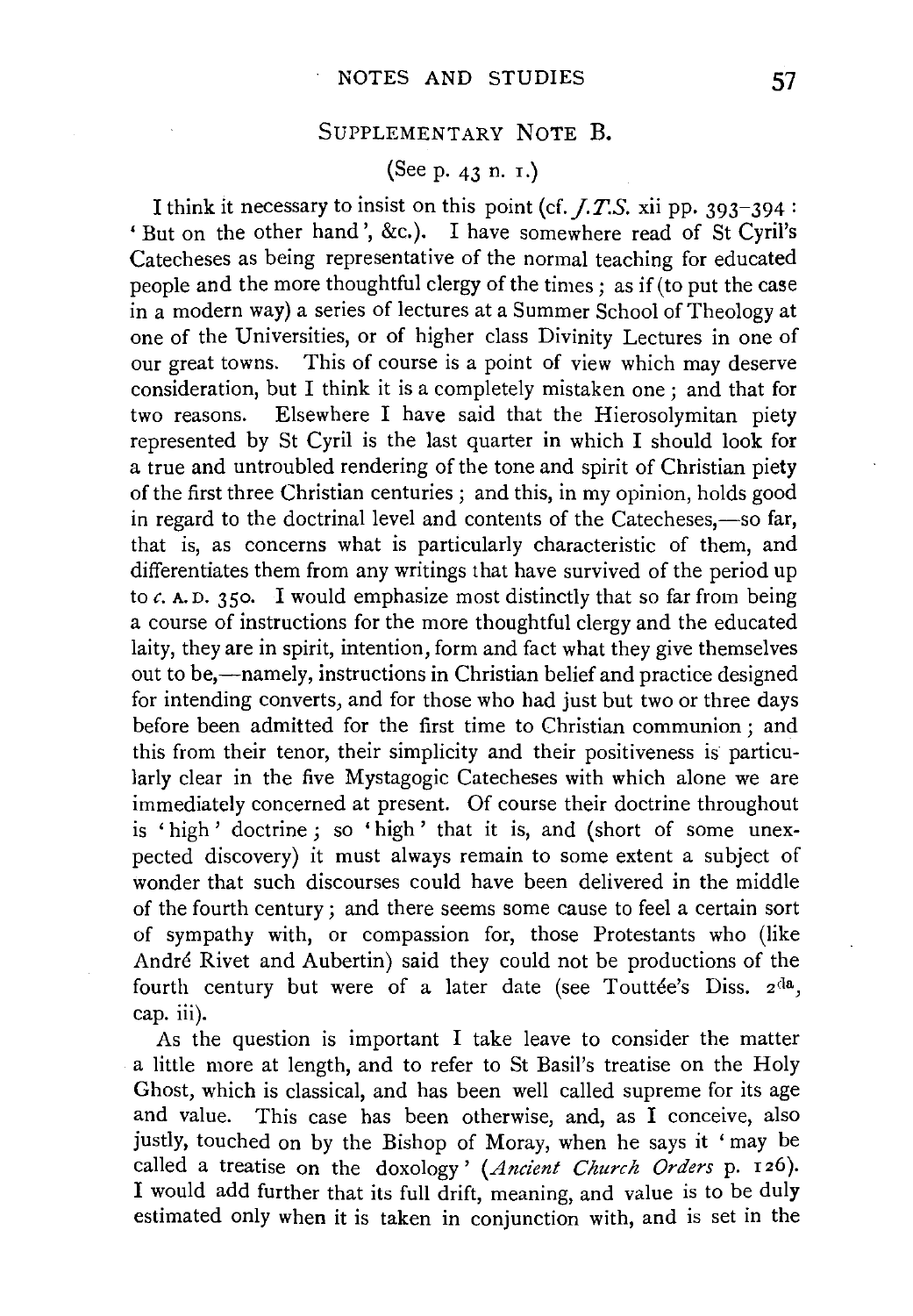## SUPPLEMENTARY NOTE B.

## (See p. 43 n. 1.)

I think it necessary to insist on this point (cf. *j.T.S.* xii pp. 393-394: 'But on the other hand', &c.). I have somewhere read of St Cyril's Catecheses as being representative of the normal teaching for educated people and the more thoughtful clergy of the times; as if (to put the case in a modern way) a series of lectures at a Summer School of Theology at one of the Universities, or of higher class Divinity Lectures in one of our great towns. This of course is a point of view which may deserve consideration, but I think it is a completely mistaken one; and that for two reasons. Elsewhere I have said that the Hierosolymitan piety represented by St Cyril is the last quarter in which I should look for a true and untroubled rendering of the tone and spirit of Christian piety of the first three Christian centuries ; and this, in my opinion, holds good in regard to the doctrinal level and contents of the Catecheses,-so far, that is, as concerns what is particularly characteristic of them, and differentiates them from any writings that have survived of the period up to *c.* A. D. 350. I would emphasize most distinctly that so far from being a course of instructions for the more thoughtful clergy and the educated laity, they are in spirit, intention, form and fact what they give themselves out to be,—namely, instructions in Christian belief and practice designed for intending converts, and for those who had just but two or three days before been admitted for the first time to Christian communion ; and this from their tenor, their simplicity and their positiveness is particularly clear in the five Mystagogic Catecheses with which alone we are immediately concerned at present. Of course their doctrine throughout is 'high' doctrine; so 'high' that it is, and (short of some unexpected discovery) it must always remain to some extent a subject of wonder that such discourses could have been delivered in the middle of the fourth century; and there seems some cause to feel a certain sort of sympathy with, or compassion for, those Protestants who (like Andre Rivet and Aubertin) said they could not be productions of the fourth century but were of a later date (see Touttée's Diss.  $z^{da}$ , cap. iii).

As the question is important I take leave to consider the matter a little more at length, and to refer to St Basil's treatise on the Holy Ghost, which is classical, and has been well called supreme for its age and value. This case has been otherwise, and, as I conceive, also justly, touched on by the Bishop of Moray, when he says it ' may be called a treatise on the doxology' *(Ancient Church Orders* p. 126). I would add further that its full drift, meaning, and value is to be duly estimated only when it is taken in conjunction with, and is set in the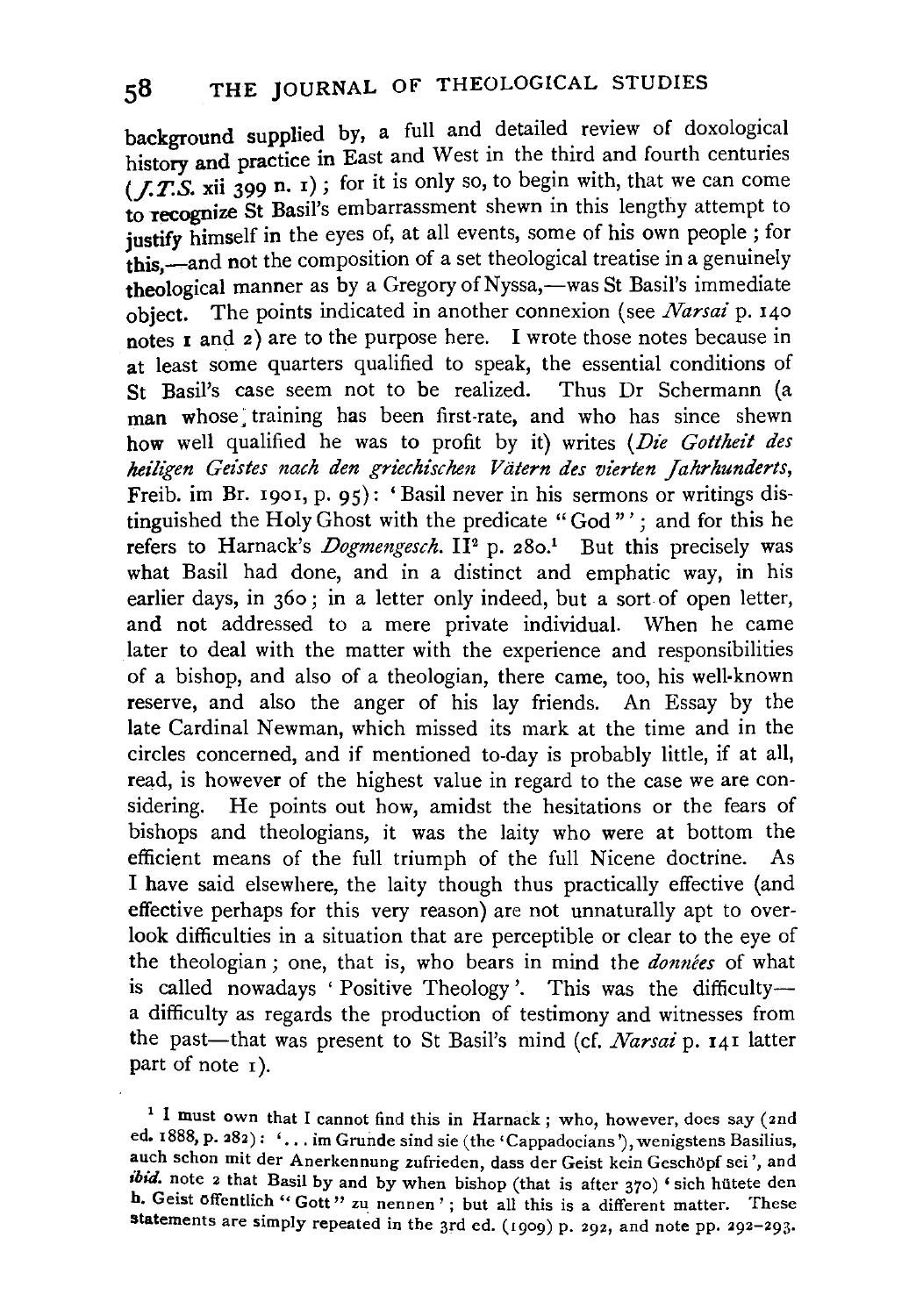background supplied by, a full and detailed review of doxological history and practice in East and West in the third and fourth centuries  $(T.S. xii 399 n. t)$ ; for it is only so, to begin with, that we can come to recognize St Basil's embarrassment shewn in this lengthy attempt to justify himself in the eyes of, at all events, some of his own people ; for this,—and not the composition of a set theological treatise in a genuinely theological manner as by a Gregory of Nyssa,—was St Basil's immediate object. The points indicated in another connexion (see *Narsai* p. 140 notes **1** and **2**) are to the purpose here. I wrote those notes because in at least some quarters qualified to speak, the essential conditions of St Basil's case seem not to be realized. Thus Dr Schermann (a man whose training has been first-rate, and who has since shewn bow well qualified he was to profit by it) writes *(Die Gottheit des heilz"gen Geistes nach den griechischen Viitern des vier/en Jahrhunderts,*  Freib. im Br. 1901, p. 95): 'Basil never in his sermons or writings distinguished the Holy Ghost with the predicate "God"'; and for this he refers to Harnack's *Dogmengesch*. II<sup>2</sup> p. 280.<sup>1</sup> But this precisely was what Basil had done, and in a distinct and emphatic way, in his earlier days, in 360; in a letter only indeed, but a sort of open letter, and not addressed to a mere private individual. When he came later to deal with the matter with the experience and responsibilities of a bishop, and also of a theologian, there came, too, his well-known reserve, and also the anger of his lay friends. An Essay by the late Cardinal Newman, which missed its mark at the time and in the circles concerned, and if mentioned to-day is probably little, if at all, read, is however of the highest value in regard to the case we are considering. He points out how, amidst the hesitations or the fears of bishops and theologians, it was the laity who were at bottom the efficient means of the full triumph of the full Nicene doctrine. As I have said elsewhere, the laity though thus practically effective (and effective perhaps for this very reason) are not unnaturally apt to overlook difficulties in a situation that are perceptible or clear to the eye of the theologian; one, that is, who bears in mind the *donnees* of what is called nowadays 'Positive Theology'. This was the difficultya difficulty as regards the production of testimony and witnesses from the past-that was present to St Basil's mind (cf. *Narsai* p. 141 latter part of note  $r$ ).

<sup>1</sup> I must own that I cannot find this in Harnack; who, however, does say (2nd ed. 1888, p. 282): ' ... im Grunde sind sie (the 'Cappadocians '), wenigstens Basilius, auch schon mit der Anerkennung zufrieden, dass der Geist kein Geschöpf sei', and ibid. note 2 that Basil by and by when bishop (that is after 370) 'sich hütete den h. Geist öffentlich "Gott" zu nennen'; but all this is a different matter. These statements are simply repeated in the 3rd ed. (1909) p. 292, and note pp. 292-293.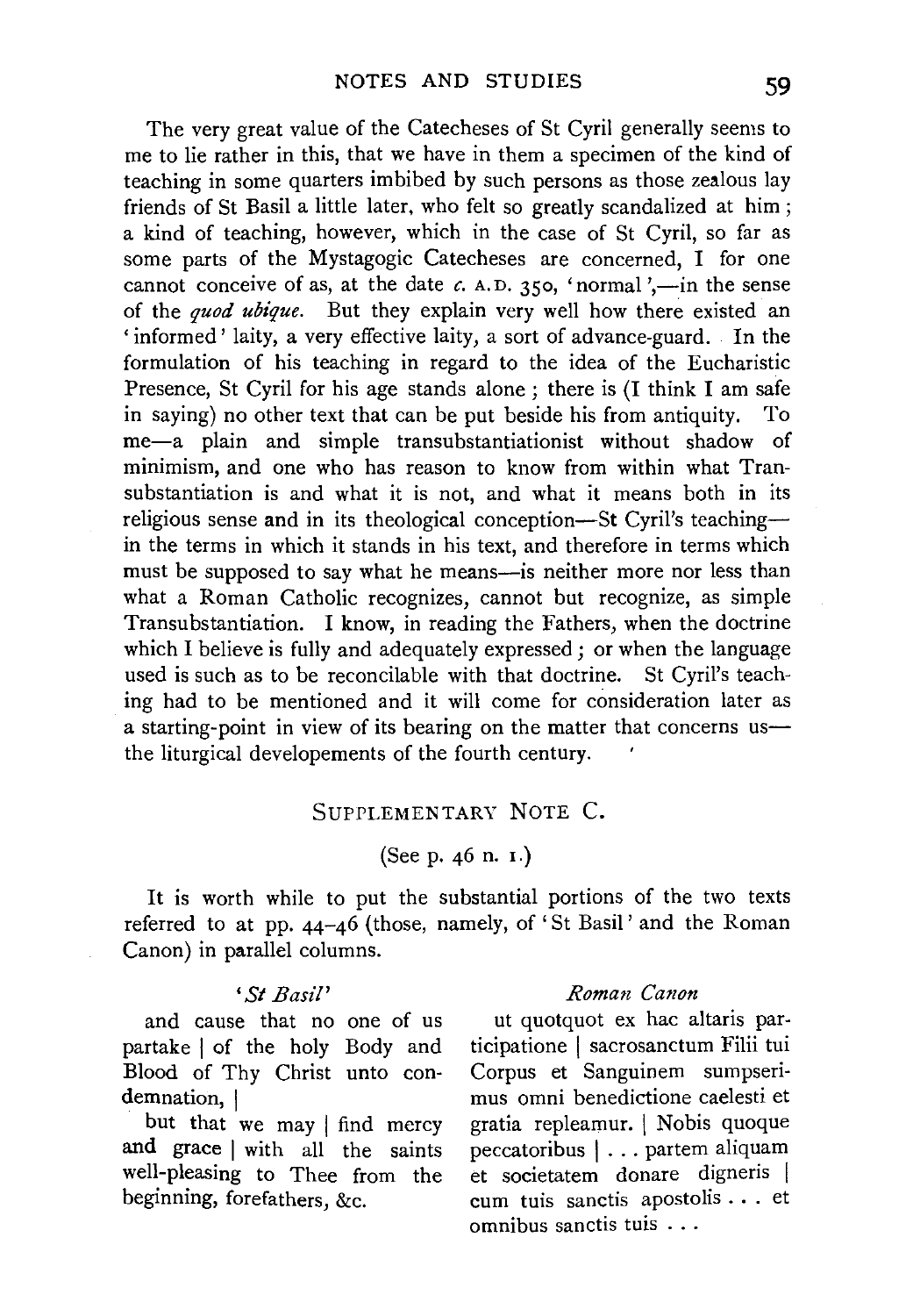The very great value of the Catecheses of St Cyril generally seems to me to lie rather in this, that we have in them a specimen of the kind of teaching in some quarters imbibed by such persons as those zealous lay friends of St Basil a little later, who felt so greatly scandalized at him; a kind of teaching, however, which in the case of St Cyril, so far as some parts of the Mystagogic Catecheses are concerned, I for one cannot conceive of as, at the date  $c$ . A. D. 350, 'normal',—in the sense of the *quod ubique.* But they explain very well how there existed an 'informed' laity, a very effective laity, a sort of advance-guard. In the formulation of his teaching in regard to the idea of the Eucharistic Presence, St Cyril for his age stands alone ; there is (I think I am safe in saying) no other text that can be put beside his from antiquity. To me-a plain and simple transubstantiationist without shadow of minimism, and one who has reason to know from within what Transubstantiation is and what it is not, and what it means both in its religious sense and in its theological conception-St Cyril's teachingin the terms in which it stands in his text, and therefore in terms which must be supposed to say what he means--is neither more nor less than what a Roman Catholic recognizes, cannot but recognize, as simple Transubstantiation. I know, in reading the Fathers, when the doctrine which I believe is fully and adequately expressed ; or when the language used is such as to be reconcilable with that doctrine. St Cyril's teaching had to be mentioned and it will come for consideration later as a starting-point in view of its bearing on the matter that concerns usthe liturgical developements of the fourth century.

### SUPPLEMENTARY NOTE C.

## (Seep. 46 n. 1.)

It is worth while to put the substantial portions of the two texts referred to at pp.  $44-46$  (those, namely, of 'St Basil' and the Roman Canon) in parallel columns.

### *'St Basil'*

and cause that no one of us partake I of the holy Body and Blood of Thy Christ unto condemnation,  $\vert$ 

but that we may  $\vert$  find mercy and grace I with all the saints well-pleasing to Thee from the beginning, forefathers, &c.

#### *Roman Canon*

ut quotquot ex hac altaris participatione | sacrosanctum Filii tui Corpus et Sanguinem sumpserimus omni benedictione caelesti et gratia repleamur. I Nobis quoque peccatoribus I ... partem aliquam et societatem donare digneris I cum tuis sanctis apostolis . . . et omnibus sanctis tuis ...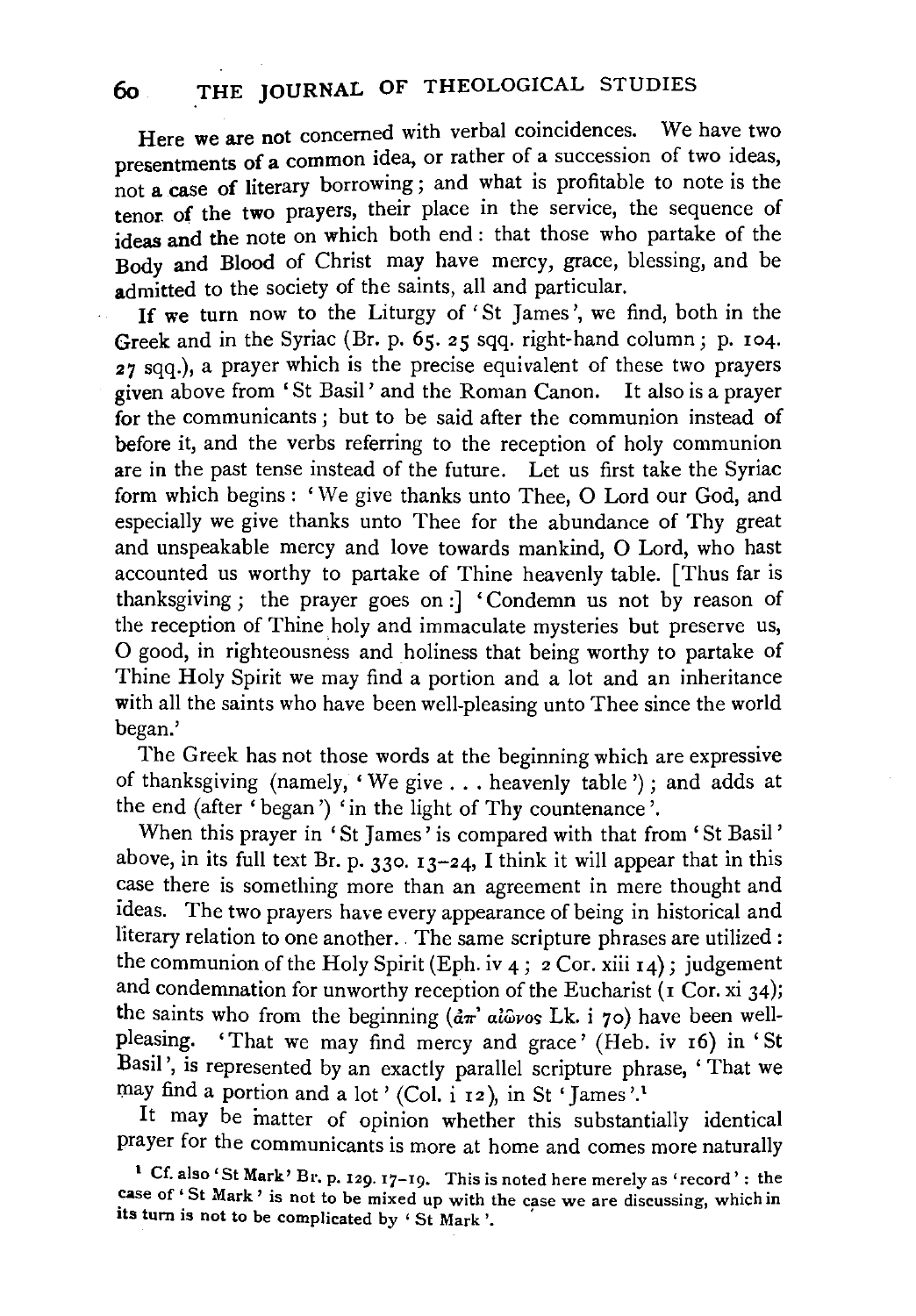# **6o .THE JOURNAL** OF THEOLOGICAL STUDIES

Here we are not concerned with verbal coincidences. We have two presentments of a common idea, or rather of a succession of two ideas, not a case of literary borrowing; and what is profitable to note is the tenor of the two prayers, their place in the service, the sequence of ideas and the note on which both end: that those who partake of the Body and Blood of Christ may have mercy, grace, blessing, and be admitted to the society of the saints, all and particular.

If we turn now to the Liturgy of' St James ', we find, both in the Greek and in the Syriac (Br. p. 65. 25 sqq. right-hand column; p. 104. 27 sqq.), a prayer which is the precise equivalent of these two prayers given above from 'St Basil' and the Roman Canon. It also is a prayer for the communicants ; but to be said after the communion instead of before it, and the verbs referring to the reception of holy communion are in the past tense instead of the future. Let us first take the Syriac form which begins: 'We give thanks unto Thee, 0 Lord our God, and especially we give thanks unto Thee for the abundance of Thy great and unspeakable mercy and love towards mankind, 0 Lord, who hast accounted us worthy to partake of Thine heavenly table. [Thus far is thanksgiving ; the prayer goes on :] 'Condemn us not by reason of the reception of Thine holy and immaculate mysteries but preserve us, 0 good, in righteousness and holiness that being worthy to partake of Thine Holy Spirit we may find a portion and a lot and an inheritance with all the saints who have been well-pleasing unto Thee since the world began.'

The Greek has not those words at the beginning which are expressive of thanksgiving (namely, 'We give ... heavenly table'); and adds at the end (after 'began') 'in the light of Thy countenance'.

When this prayer in 'St James' is compared with that from 'St Basil' above, in its full text Br. p. 330.  $13-24$ , I think it will appear that in this case there is something more than an agreement in mere thought and ideas. The two prayers have every appearance of being in historical and literary relation to one another. The same scripture phrases are utilized: the communion of the Holy Spirit (Eph. iv 4; 2 Cor. xiii 14); judgement and condemnation for unworthy reception of the Eucharist (1 Cor. xi 34); the saints who from the beginning  $(d\pi^i a_i\hat{\omega}_{\nu}$  Lk. i 70) have been wellpleasing. 'That we may find mercy and grace' (Heb. iv 16) in 'St Basil', is represented by an exactly parallel scripture phrase, ' That we may find a portion and a lot ' (Col.  $i$  12), in St 'James'.<sup>1</sup>

It may be matter of opinion whether this substantially identical prayer for the communicants is more at home and comes more naturally

<sup>1</sup> Cf. also' St Mark' Br. p. 129. 17-19. This is noted here merely as 'record' : the case of 'St Mark' is not to be mixed up with the case we are discussing, which in its turn is not to be complicated by 'St Mark'.